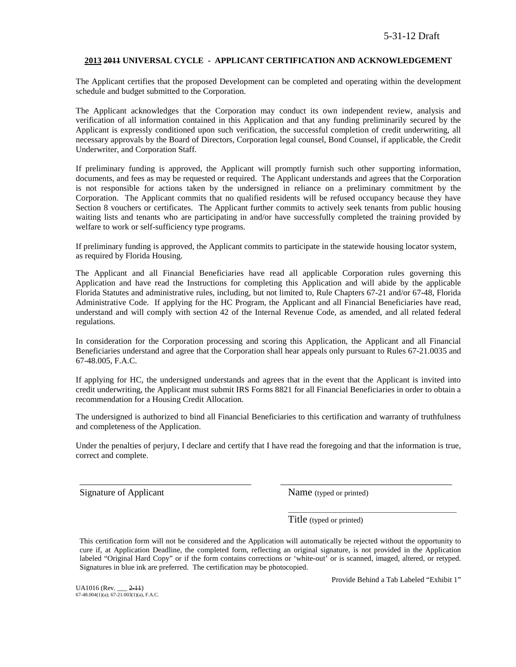### **2013 2011 UNIVERSAL CYCLE - APPLICANT CERTIFICATION AND ACKNOWLEDGEMENT**

The Applicant certifies that the proposed Development can be completed and operating within the development schedule and budget submitted to the Corporation.

The Applicant acknowledges that the Corporation may conduct its own independent review, analysis and verification of all information contained in this Application and that any funding preliminarily secured by the Applicant is expressly conditioned upon such verification, the successful completion of credit underwriting, all necessary approvals by the Board of Directors, Corporation legal counsel, Bond Counsel, if applicable, the Credit Underwriter, and Corporation Staff.

If preliminary funding is approved, the Applicant will promptly furnish such other supporting information, documents, and fees as may be requested or required. The Applicant understands and agrees that the Corporation is not responsible for actions taken by the undersigned in reliance on a preliminary commitment by the Corporation. The Applicant commits that no qualified residents will be refused occupancy because they have Section 8 vouchers or certificates. The Applicant further commits to actively seek tenants from public housing waiting lists and tenants who are participating in and/or have successfully completed the training provided by welfare to work or self-sufficiency type programs.

If preliminary funding is approved, the Applicant commits to participate in the statewide housing locator system, as required by Florida Housing.

The Applicant and all Financial Beneficiaries have read all applicable Corporation rules governing this Application and have read the Instructions for completing this Application and will abide by the applicable Florida Statutes and administrative rules, including, but not limited to, Rule Chapters 67-21 and/or 67-48, Florida Administrative Code. If applying for the HC Program, the Applicant and all Financial Beneficiaries have read, understand and will comply with section 42 of the Internal Revenue Code, as amended, and all related federal regulations.

In consideration for the Corporation processing and scoring this Application, the Applicant and all Financial Beneficiaries understand and agree that the Corporation shall hear appeals only pursuant to Rules 67-21.0035 and 67-48.005, F.A.C.

If applying for HC, the undersigned understands and agrees that in the event that the Applicant is invited into credit underwriting, the Applicant must submit IRS Forms 8821 for all Financial Beneficiaries in order to obtain a recommendation for a Housing Credit Allocation.

The undersigned is authorized to bind all Financial Beneficiaries to this certification and warranty of truthfulness and completeness of the Application.

Under the penalties of perjury, I declare and certify that I have read the foregoing and that the information is true, correct and complete.

\_\_\_\_\_\_\_\_\_\_\_\_\_\_\_\_\_\_\_\_\_\_\_\_\_\_\_\_\_\_\_\_\_\_\_\_\_ \_\_\_\_\_\_\_\_\_\_\_\_\_\_\_\_\_\_\_\_\_\_\_\_\_\_\_\_\_\_\_\_\_\_\_\_\_

Signature of Applicant Name (typed or printed)

Title (typed or printed)

This certification form will not be considered and the Application will automatically be rejected without the opportunity to cure if, at Application Deadline, the completed form, reflecting an original signature, is not provided in the Application labeled "Original Hard Copy" or if the form contains corrections or 'white-out' or is scanned, imaged, altered, or retyped. Signatures in blue ink are preferred. The certification may be photocopied.

UA1016 (Rev. \_\_\_ <del>2-11</del>)<br>67-48.004(1)(a); 67-21.003(1)(a), F.A.C.

Provide Behind a Tab Labeled "Exhibit 1"

\_\_\_\_\_\_\_\_\_\_\_\_\_\_\_\_\_\_\_\_\_\_\_\_\_\_\_\_\_\_\_\_\_\_\_\_\_\_\_\_\_\_\_\_\_\_\_\_\_\_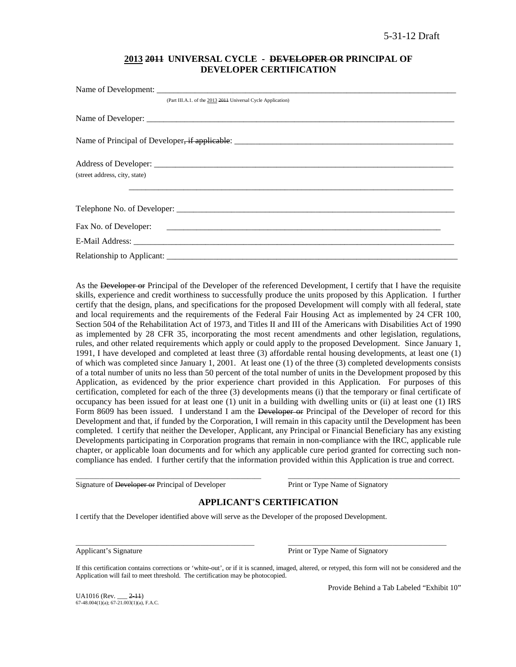# **2013 2011 UNIVERSAL CYCLE - DEVELOPER OR PRINCIPAL OF DEVELOPER CERTIFICATION**

| (Part III.A.1. of the 2013 2014 Universal Cycle Application) |
|--------------------------------------------------------------|
|                                                              |
|                                                              |
|                                                              |
| (street address, city, state)                                |
|                                                              |
|                                                              |
|                                                              |
|                                                              |
|                                                              |

As the Developer or Principal of the Developer of the referenced Development, I certify that I have the requisite skills, experience and credit worthiness to successfully produce the units proposed by this Application. I further certify that the design, plans, and specifications for the proposed Development will comply with all federal, state and local requirements and the requirements of the Federal Fair Housing Act as implemented by 24 CFR 100, Section 504 of the Rehabilitation Act of 1973, and Titles II and III of the Americans with Disabilities Act of 1990 as implemented by 28 CFR 35, incorporating the most recent amendments and other legislation, regulations, rules, and other related requirements which apply or could apply to the proposed Development. Since January 1, 1991, I have developed and completed at least three (3) affordable rental housing developments, at least one (1) of which was completed since January 1, 2001. At least one (1) of the three (3) completed developments consists of a total number of units no less than 50 percent of the total number of units in the Development proposed by this Application, as evidenced by the prior experience chart provided in this Application. For purposes of this certification, completed for each of the three (3) developments means (i) that the temporary or final certificate of occupancy has been issued for at least one (1) unit in a building with dwelling units or (ii) at least one (1) IRS Form 8609 has been issued. I understand I am the Developer or Principal of the Developer of record for this Development and that, if funded by the Corporation, I will remain in this capacity until the Development has been completed. I certify that neither the Developer, Applicant, any Principal or Financial Beneficiary has any existing Developments participating in Corporation programs that remain in non-compliance with the IRC, applicable rule chapter, or applicable loan documents and for which any applicable cure period granted for correcting such noncompliance has ended. I further certify that the information provided within this Application is true and correct.

Signature of Developer or Principal of Developer Print or Type Name of Signatory

# **APPLICANT'S CERTIFICATION**

\_\_\_\_\_\_\_\_\_\_\_\_\_\_\_\_\_\_\_\_\_\_\_\_\_\_\_\_\_\_\_\_\_\_\_\_\_\_\_\_\_\_\_\_\_\_\_\_\_\_\_\_\_\_\_ \_\_\_\_\_\_\_\_\_\_\_\_\_\_\_\_\_\_\_\_\_\_\_\_\_\_\_\_\_\_\_\_\_\_\_\_\_\_\_\_\_\_\_\_\_\_\_\_\_\_\_

I certify that the Developer identified above will serve as the Developer of the proposed Development.

\_\_\_\_\_\_\_\_\_\_\_\_\_\_\_\_\_\_\_\_\_\_\_\_\_\_\_\_\_\_\_\_\_\_\_\_\_\_\_\_\_\_\_\_\_\_\_\_\_\_\_\_\_ \_\_\_\_\_\_\_\_\_\_\_\_\_\_\_\_\_\_\_\_\_\_\_\_\_\_\_\_\_\_\_\_\_\_\_\_\_\_\_\_\_\_\_\_\_\_\_ Applicant's Signature **Print or Type Name of Signatory** Print or Type Name of Signatory

If this certification contains corrections or 'white-out', or if it is scanned, imaged, altered, or retyped, this form will not be considered and the Application will fail to meet threshold. The certification may be photocopied.

 $UA1016$  (Rev.  $2-11$ )  $67-48.004(1)(a)$ ;  $67-21.003(1)(a)$ , F.A.C. Provide Behind a Tab Labeled "Exhibit 10"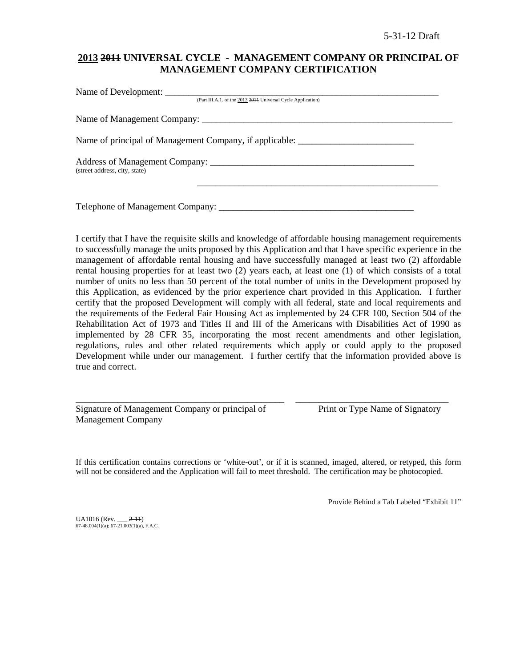# **2013 2011 UNIVERSAL CYCLE - MANAGEMENT COMPANY OR PRINCIPAL OF MANAGEMENT COMPANY CERTIFICATION**

| (Part III.A.1. of the 2013 2014 Universal Cycle Application) |  |
|--------------------------------------------------------------|--|
|                                                              |  |
| Name of principal of Management Company, if applicable:      |  |
| (street address, city, state)                                |  |
| Telephone of Management Company: ___________                 |  |

I certify that I have the requisite skills and knowledge of affordable housing management requirements to successfully manage the units proposed by this Application and that I have specific experience in the management of affordable rental housing and have successfully managed at least two (2) affordable rental housing properties for at least two (2) years each, at least one (1) of which consists of a total number of units no less than 50 percent of the total number of units in the Development proposed by this Application, as evidenced by the prior experience chart provided in this Application. I further certify that the proposed Development will comply with all federal, state and local requirements and the requirements of the Federal Fair Housing Act as implemented by 24 CFR 100, Section 504 of the Rehabilitation Act of 1973 and Titles II and III of the Americans with Disabilities Act of 1990 as implemented by 28 CFR 35, incorporating the most recent amendments and other legislation, regulations, rules and other related requirements which apply or could apply to the proposed Development while under our management. I further certify that the information provided above is true and correct.

| Signature of Management Company or principal of |  |  |
|-------------------------------------------------|--|--|
| <b>Management Company</b>                       |  |  |

Print or Type Name of Signatory

If this certification contains corrections or 'white-out', or if it is scanned, imaged, altered, or retyped, this form will not be considered and the Application will fail to meet threshold. The certification may be photocopied.

\_\_\_\_\_\_\_\_\_\_\_\_\_\_\_\_\_\_\_\_\_\_\_\_\_\_\_\_\_\_\_\_\_\_\_\_\_\_\_\_\_\_\_\_\_ \_\_\_\_\_\_\_\_\_\_\_\_\_\_\_\_\_\_\_\_\_\_\_\_\_\_\_\_\_\_\_\_\_

Provide Behind a Tab Labeled "Exhibit 11"

 $UA1016$  (Rev.  $2-11$ )  $67-48.004(1)(a)$ ;  $67-21.003(1)(a)$ , F.A.C.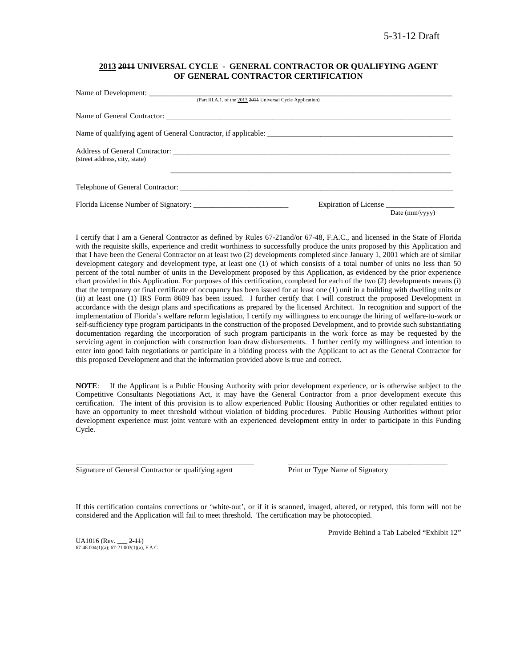### **2013 2011 UNIVERSAL CYCLE - GENERAL CONTRACTOR OR QUALIFYING AGENT OF GENERAL CONTRACTOR CERTIFICATION**

| (Part III.A.1. of the 2013 2014 Universal Cycle Application)   |                |
|----------------------------------------------------------------|----------------|
|                                                                |                |
| Name of qualifying agent of General Contractor, if applicable: |                |
|                                                                |                |
|                                                                |                |
| Expiration of License                                          | Date (mm/yyyy) |
|                                                                |                |

I certify that I am a General Contractor as defined by Rules 67-21and/or 67-48, F.A.C., and licensed in the State of Florida with the requisite skills, experience and credit worthiness to successfully produce the units proposed by this Application and that I have been the General Contractor on at least two (2) developments completed since January 1, 2001 which are of similar development category and development type, at least one (1) of which consists of a total number of units no less than 50 percent of the total number of units in the Development proposed by this Application, as evidenced by the prior experience chart provided in this Application. For purposes of this certification, completed for each of the two (2) developments means (i) that the temporary or final certificate of occupancy has been issued for at least one (1) unit in a building with dwelling units or (ii) at least one (1) IRS Form 8609 has been issued. I further certify that I will construct the proposed Development in accordance with the design plans and specifications as prepared by the licensed Architect. In recognition and support of the implementation of Florida's welfare reform legislation, I certify my willingness to encourage the hiring of welfare-to-work or self-sufficiency type program participants in the construction of the proposed Development, and to provide such substantiating documentation regarding the incorporation of such program participants in the work force as may be requested by the servicing agent in conjunction with construction loan draw disbursements. I further certify my willingness and intention to enter into good faith negotiations or participate in a bidding process with the Applicant to act as the General Contractor for this proposed Development and that the information provided above is true and correct.

**NOTE**: If the Applicant is a Public Housing Authority with prior development experience, or is otherwise subject to the Competitive Consultants Negotiations Act, it may have the General Contractor from a prior development execute this certification. The intent of this provision is to allow experienced Public Housing Authorities or other regulated entities to have an opportunity to meet threshold without violation of bidding procedures. Public Housing Authorities without prior development experience must joint venture with an experienced development entity in order to participate in this Funding Cycle.

Signature of General Contractor or qualifying agent Print or Type Name of Signatory

If this certification contains corrections or 'white-out', or if it is scanned, imaged, altered, or retyped, this form will not be considered and the Application will fail to meet threshold. The certification may be photocopied.

\_\_\_\_\_\_\_\_\_\_\_\_\_\_\_\_\_\_\_\_\_\_\_\_\_\_\_\_\_\_\_\_\_\_\_\_\_\_\_\_\_\_\_\_\_\_\_ \_\_\_\_\_\_\_\_\_\_\_\_\_\_\_\_\_\_\_\_\_\_\_\_\_\_\_\_\_\_\_\_\_\_\_\_\_\_\_\_\_\_

 $UA1016$  (Rev.  $2-11$ )  $67-48.004(1)(a)$ ;  $67-21.003(1)(a)$ , F.A.C. Provide Behind a Tab Labeled "Exhibit 12"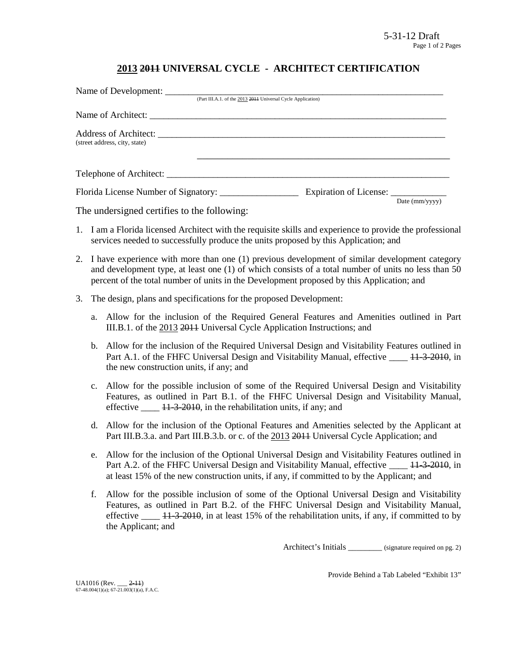# **2013 2011 UNIVERSAL CYCLE - ARCHITECT CERTIFICATION**

| Name of Development:          |                                                              |                        |
|-------------------------------|--------------------------------------------------------------|------------------------|
|                               | (Part III.A.1. of the 2013 2014 Universal Cycle Application) |                        |
|                               |                                                              |                        |
| (street address, city, state) |                                                              |                        |
|                               | Telephone of Architect:                                      |                        |
|                               |                                                              | Date $\text{(mm/vyy)}$ |

The undersigned certifies to the following:

- 1. I am a Florida licensed Architect with the requisite skills and experience to provide the professional services needed to successfully produce the units proposed by this Application; and
- 2. I have experience with more than one (1) previous development of similar development category and development type, at least one (1) of which consists of a total number of units no less than 50 percent of the total number of units in the Development proposed by this Application; and
- 3. The design, plans and specifications for the proposed Development:
	- a. Allow for the inclusion of the Required General Features and Amenities outlined in Part III.B.1. of the 2013 2011 Universal Cycle Application Instructions; and
	- b. Allow for the inclusion of the Required Universal Design and Visitability Features outlined in Part A.1. of the FHFC Universal Design and Visitability Manual, effective \_\_\_\_ 11-3-2010, in the new construction units, if any; and
	- c. Allow for the possible inclusion of some of the Required Universal Design and Visitability Features, as outlined in Part B.1. of the FHFC Universal Design and Visitability Manual, effective  $\frac{11-3-2010}{11-2010}$ , in the rehabilitation units, if any; and
	- d. Allow for the inclusion of the Optional Features and Amenities selected by the Applicant at Part III.B.3.a. and Part III.B.3.b. or c. of the 2013 2014 Universal Cycle Application; and
	- e. Allow for the inclusion of the Optional Universal Design and Visitability Features outlined in Part A.2. of the FHFC Universal Design and Visitability Manual, effective  $\frac{11-3-2010}{11-2010}$ , in at least 15% of the new construction units, if any, if committed to by the Applicant; and
	- f. Allow for the possible inclusion of some of the Optional Universal Design and Visitability Features, as outlined in Part B.2. of the FHFC Universal Design and Visitability Manual, effective  $\frac{11-3-2010}{11}$ , in at least 15% of the rehabilitation units, if any, if committed to by the Applicant; and

Architect's Initials \_\_\_\_\_\_\_\_ (signature required on pg. 2)

Provide Behind a Tab Labeled "Exhibit 13"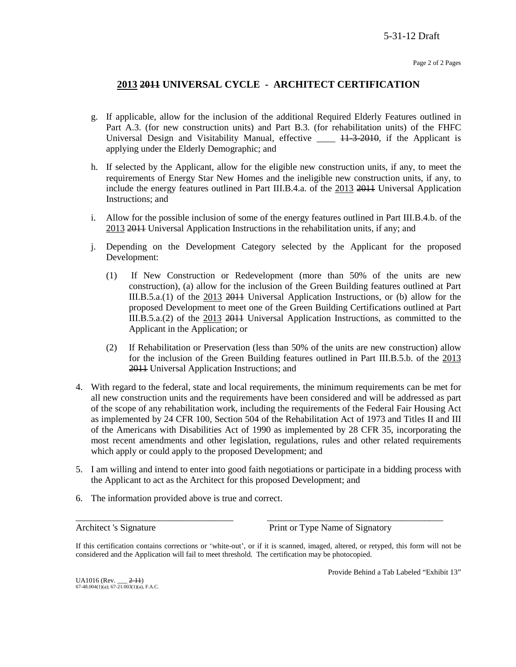# **2013 2011 UNIVERSAL CYCLE - ARCHITECT CERTIFICATION**

- g. If applicable, allow for the inclusion of the additional Required Elderly Features outlined in Part A.3. (for new construction units) and Part B.3. (for rehabilitation units) of the FHFC Universal Design and Visitability Manual, effective  $\_\_\_\_\$  +  $\frac{1}{3}$  +  $\frac{2010}{3}$ , if the Applicant is applying under the Elderly Demographic; and
- h. If selected by the Applicant, allow for the eligible new construction units, if any, to meet the requirements of Energy Star New Homes and the ineligible new construction units, if any, to include the energy features outlined in Part III.B.4.a. of the 2013 2011 Universal Application Instructions; and
- i. Allow for the possible inclusion of some of the energy features outlined in Part III.B.4.b. of the 2013 2011 Universal Application Instructions in the rehabilitation units, if any; and
- j. Depending on the Development Category selected by the Applicant for the proposed Development:
	- (1) If New Construction or Redevelopment (more than 50% of the units are new construction), (a) allow for the inclusion of the Green Building features outlined at Part III.B.5.a.(1) of the 2013 2011 Universal Application Instructions, or (b) allow for the proposed Development to meet one of the Green Building Certifications outlined at Part III.B.5.a.(2) of the 2013 2011 Universal Application Instructions, as committed to the Applicant in the Application; or
	- (2) If Rehabilitation or Preservation (less than 50% of the units are new construction) allow for the inclusion of the Green Building features outlined in Part III.B.5.b. of the 2013 2011 Universal Application Instructions; and
- 4. With regard to the federal, state and local requirements, the minimum requirements can be met for all new construction units and the requirements have been considered and will be addressed as part of the scope of any rehabilitation work, including the requirements of the Federal Fair Housing Act as implemented by 24 CFR 100, Section 504 of the Rehabilitation Act of 1973 and Titles II and III of the Americans with Disabilities Act of 1990 as implemented by 28 CFR 35, incorporating the most recent amendments and other legislation, regulations, rules and other related requirements which apply or could apply to the proposed Development; and
- 5. I am willing and intend to enter into good faith negotiations or participate in a bidding process with the Applicant to act as the Architect for this proposed Development; and
- 6. The information provided above is true and correct.

Architect 's Signature Print or Type Name of Signatory

If this certification contains corrections or 'white-out', or if it is scanned, imaged, altered, or retyped, this form will not be considered and the Application will fail to meet threshold. The certification may be photocopied.

\_\_\_\_\_\_\_\_\_\_\_\_\_\_\_\_\_\_\_\_\_\_\_\_\_\_\_\_\_\_\_\_\_\_ \_\_\_\_\_\_\_\_\_\_\_\_\_\_\_\_\_\_\_\_\_\_\_\_\_\_\_\_\_\_\_\_\_\_\_\_\_\_

Provide Behind a Tab Labeled "Exhibit 13"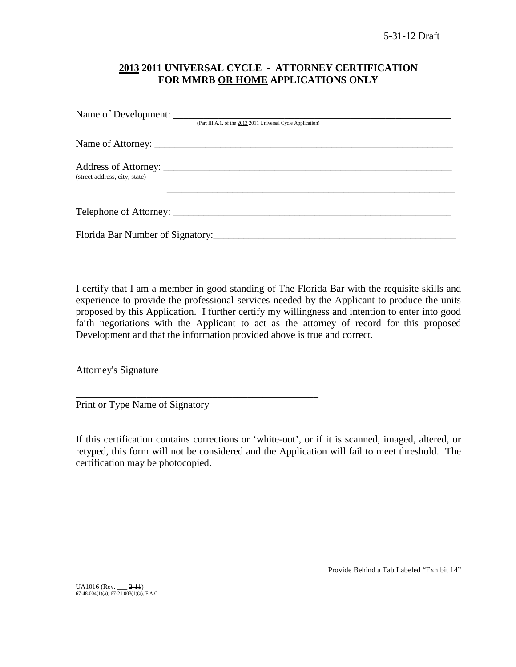# **2013 2011 UNIVERSAL CYCLE - ATTORNEY CERTIFICATION FOR MMRB OR HOME APPLICATIONS ONLY**

|                               | (Part III.A.1. of the 2013 2011 Universal Cycle Application) |
|-------------------------------|--------------------------------------------------------------|
|                               |                                                              |
| (street address, city, state) |                                                              |
|                               |                                                              |
|                               |                                                              |

I certify that I am a member in good standing of The Florida Bar with the requisite skills and experience to provide the professional services needed by the Applicant to produce the units proposed by this Application. I further certify my willingness and intention to enter into good faith negotiations with the Applicant to act as the attorney of record for this proposed Development and that the information provided above is true and correct.

Attorney's Signature

Print or Type Name of Signatory

\_\_\_\_\_\_\_\_\_\_\_\_\_\_\_\_\_\_\_\_\_\_\_\_\_\_\_\_\_\_\_\_\_\_\_\_\_\_\_\_\_\_\_\_\_\_\_\_

\_\_\_\_\_\_\_\_\_\_\_\_\_\_\_\_\_\_\_\_\_\_\_\_\_\_\_\_\_\_\_\_\_\_\_\_\_\_\_\_\_\_\_\_\_\_\_\_

If this certification contains corrections or 'white-out', or if it is scanned, imaged, altered, or retyped, this form will not be considered and the Application will fail to meet threshold. The certification may be photocopied.

Provide Behind a Tab Labeled "Exhibit 14"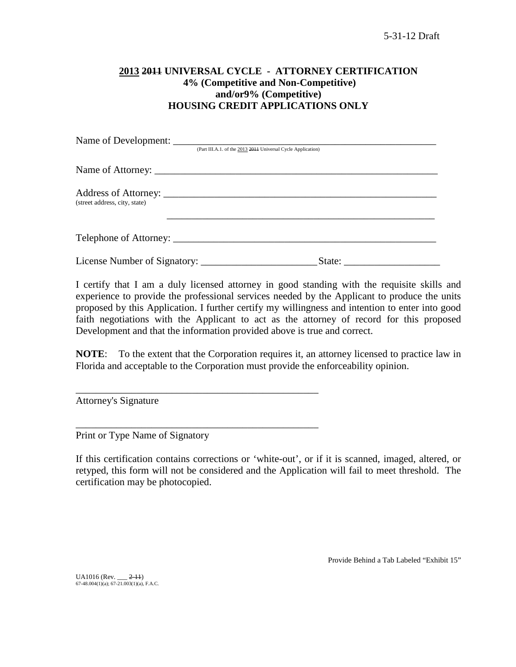# **2013 2011 UNIVERSAL CYCLE - ATTORNEY CERTIFICATION 4% (Competitive and Non-Competitive) and/or9% (Competitive) HOUSING CREDIT APPLICATIONS ONLY**

|                               | (Part III.A.1. of the 2013 2014 Universal Cycle Application) |
|-------------------------------|--------------------------------------------------------------|
|                               |                                                              |
| (street address, city, state) |                                                              |
|                               |                                                              |
| License Number of Signatory:  | State:                                                       |

I certify that I am a duly licensed attorney in good standing with the requisite skills and experience to provide the professional services needed by the Applicant to produce the units proposed by this Application. I further certify my willingness and intention to enter into good faith negotiations with the Applicant to act as the attorney of record for this proposed Development and that the information provided above is true and correct.

**NOTE**: To the extent that the Corporation requires it, an attorney licensed to practice law in Florida and acceptable to the Corporation must provide the enforceability opinion.

Attorney's Signature

Print or Type Name of Signatory

\_\_\_\_\_\_\_\_\_\_\_\_\_\_\_\_\_\_\_\_\_\_\_\_\_\_\_\_\_\_\_\_\_\_\_\_\_\_\_\_\_\_\_\_\_\_\_\_

\_\_\_\_\_\_\_\_\_\_\_\_\_\_\_\_\_\_\_\_\_\_\_\_\_\_\_\_\_\_\_\_\_\_\_\_\_\_\_\_\_\_\_\_\_\_\_\_

If this certification contains corrections or 'white-out', or if it is scanned, imaged, altered, or retyped, this form will not be considered and the Application will fail to meet threshold. The certification may be photocopied.

Provide Behind a Tab Labeled "Exhibit 15"

UA1016 (Rev. \_\_\_ <del>2-11</del>)<br>67-48.004(1)(a); 67-21.003(1)(a), F.A.C.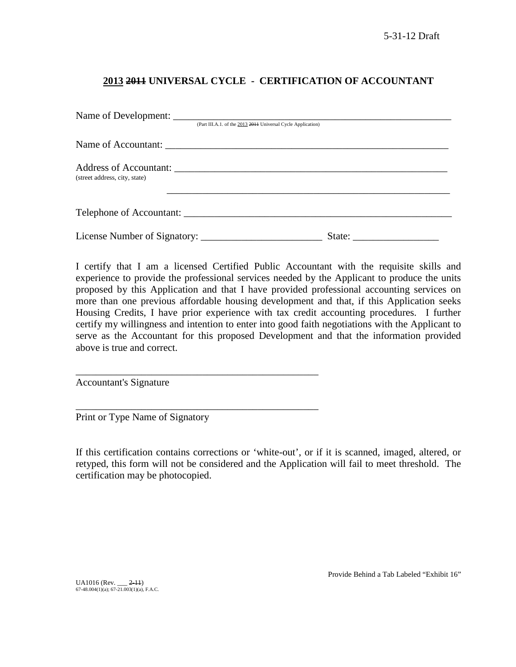# **2013 2011 UNIVERSAL CYCLE - CERTIFICATION OF ACCOUNTANT**

|                               | (Part III.A.1. of the 2013 2011 Universal Cycle Application) |        |
|-------------------------------|--------------------------------------------------------------|--------|
|                               |                                                              |        |
| (street address, city, state) |                                                              |        |
|                               | Telephone of Accountant:                                     |        |
|                               |                                                              | State: |

I certify that I am a licensed Certified Public Accountant with the requisite skills and experience to provide the professional services needed by the Applicant to produce the units proposed by this Application and that I have provided professional accounting services on more than one previous affordable housing development and that, if this Application seeks Housing Credits, I have prior experience with tax credit accounting procedures. I further certify my willingness and intention to enter into good faith negotiations with the Applicant to serve as the Accountant for this proposed Development and that the information provided above is true and correct.

Accountant's Signature

Print or Type Name of Signatory

\_\_\_\_\_\_\_\_\_\_\_\_\_\_\_\_\_\_\_\_\_\_\_\_\_\_\_\_\_\_\_\_\_\_\_\_\_\_\_\_\_\_\_\_\_\_\_\_

\_\_\_\_\_\_\_\_\_\_\_\_\_\_\_\_\_\_\_\_\_\_\_\_\_\_\_\_\_\_\_\_\_\_\_\_\_\_\_\_\_\_\_\_\_\_\_\_

If this certification contains corrections or 'white-out', or if it is scanned, imaged, altered, or retyped, this form will not be considered and the Application will fail to meet threshold. The certification may be photocopied.

UA1016 (Rev. \_\_\_ <del>2-11</del>)<br>67-48.004(1)(a); 67-21.003(1)(a), F.A.C.

Provide Behind a Tab Labeled "Exhibit 16"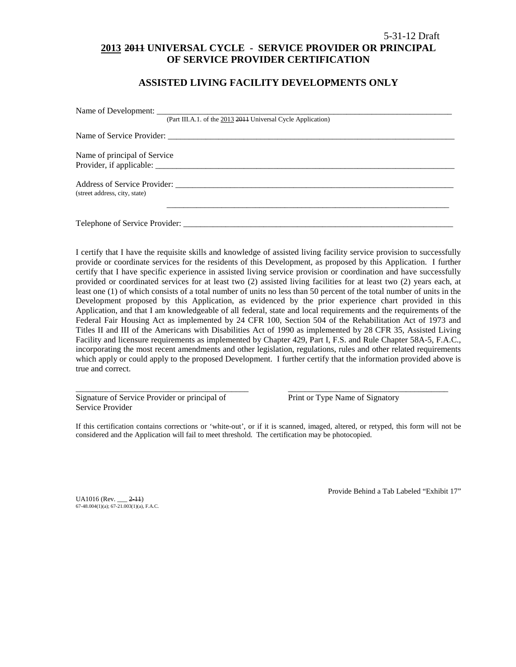# 5-31-12 Draft **2013 2011 UNIVERSAL CYCLE - SERVICE PROVIDER OR PRINCIPAL OF SERVICE PROVIDER CERTIFICATION**

### **ASSISTED LIVING FACILITY DEVELOPMENTS ONLY**

| (Part III.A.1. of the 2013 2014 Universal Cycle Application) |  |
|--------------------------------------------------------------|--|
|                                                              |  |
| Name of principal of Service                                 |  |
|                                                              |  |
|                                                              |  |
| (street address, city, state)                                |  |
|                                                              |  |
| Telephone of Service Provider:                               |  |

I certify that I have the requisite skills and knowledge of assisted living facility service provision to successfully provide or coordinate services for the residents of this Development, as proposed by this Application. I further certify that I have specific experience in assisted living service provision or coordination and have successfully provided or coordinated services for at least two (2) assisted living facilities for at least two (2) years each, at least one (1) of which consists of a total number of units no less than 50 percent of the total number of units in the Development proposed by this Application, as evidenced by the prior experience chart provided in this Application, and that I am knowledgeable of all federal, state and local requirements and the requirements of the Federal Fair Housing Act as implemented by 24 CFR 100, Section 504 of the Rehabilitation Act of 1973 and Titles II and III of the Americans with Disabilities Act of 1990 as implemented by 28 CFR 35, Assisted Living Facility and licensure requirements as implemented by Chapter 429, Part I, F.S. and Rule Chapter 58A-5, F.A.C., incorporating the most recent amendments and other legislation, regulations, rules and other related requirements which apply or could apply to the proposed Development. I further certify that the information provided above is true and correct.

Signature of Service Provider or principal of Print or Type Name of Signatory Service Provider

If this certification contains corrections or 'white-out', or if it is scanned, imaged, altered, or retyped, this form will not be considered and the Application will fail to meet threshold. The certification may be photocopied.

\_\_\_\_\_\_\_\_\_\_\_\_\_\_\_\_\_\_\_\_\_\_\_\_\_\_\_\_\_\_\_\_\_\_\_\_\_\_\_\_\_ \_\_\_\_\_\_\_\_\_\_\_\_\_\_\_\_\_\_\_\_\_\_\_\_\_\_\_\_\_\_\_\_\_\_\_\_\_\_

UA1016 (Rev. \_\_\_ 2-11) 67-48.004(1)(a); 67-21.003(1)(a), F.A.C. Provide Behind a Tab Labeled "Exhibit 17"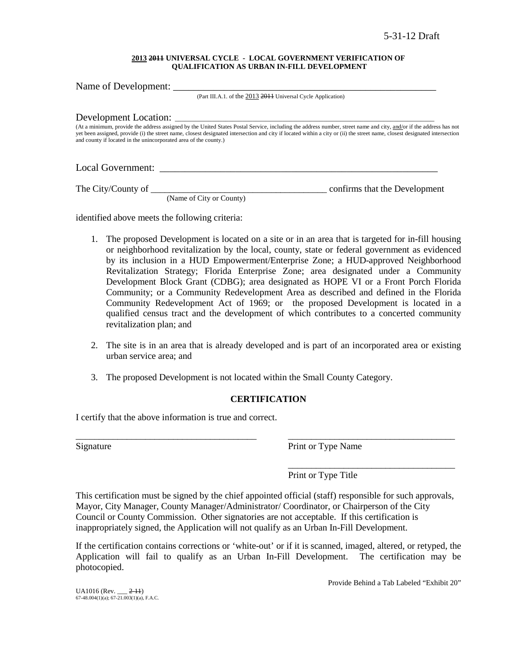#### **2013 2011 UNIVERSAL CYCLE - LOCAL GOVERNMENT VERIFICATION OF QUALIFICATION AS URBAN IN-FILL DEVELOPMENT**

Name of Development: (Part III.A.1. of the 2013 2011 Universal Cycle Application) Development Location: (At a minimum, provide the address assigned by the United States Postal Service, including the address number, street name and city, and/or if the address has not yet been assigned, provide (i) the street name, closest designated intersection and city if located within a city or (ii) the street name, closest designated intersection and county if located in the unincorporated area of the county.) Local Government: \_\_\_\_\_\_\_\_\_\_\_\_\_\_\_\_\_\_\_\_\_\_\_\_\_\_\_\_\_\_\_\_\_\_\_\_\_\_\_\_\_\_\_\_\_\_\_\_\_\_\_\_\_\_\_

The City/County of \_\_\_\_\_\_\_\_\_\_\_\_\_\_\_\_\_\_\_\_\_\_\_\_\_\_\_\_\_\_\_\_\_\_\_\_\_\_ confirms that the Development

(Name of City or County)

identified above meets the following criteria:

- 1. The proposed Development is located on a site or in an area that is targeted for in-fill housing or neighborhood revitalization by the local, county, state or federal government as evidenced by its inclusion in a HUD Empowerment/Enterprise Zone; a HUD-approved Neighborhood Revitalization Strategy; Florida Enterprise Zone; area designated under a Community Development Block Grant (CDBG); area designated as HOPE VI or a Front Porch Florida Community; or a Community Redevelopment Area as described and defined in the Florida Community Redevelopment Act of 1969; or the proposed Development is located in a qualified census tract and the development of which contributes to a concerted community revitalization plan; and
- 2. The site is in an area that is already developed and is part of an incorporated area or existing urban service area; and
- 3. The proposed Development is not located within the Small County Category.

### **CERTIFICATION**

\_\_\_\_\_\_\_\_\_\_\_\_\_\_\_\_\_\_\_\_\_\_\_\_\_\_\_\_\_\_\_\_\_\_\_\_\_\_\_ \_\_\_\_\_\_\_\_\_\_\_\_\_\_\_\_\_\_\_\_\_\_\_\_\_\_\_\_\_\_\_\_\_\_\_\_

I certify that the above information is true and correct.

Signature Print or Type Name

\_\_\_\_\_\_\_\_\_\_\_\_\_\_\_\_\_\_\_\_\_\_\_\_\_\_\_\_\_\_\_\_\_\_\_\_ Print or Type Title

This certification must be signed by the chief appointed official (staff) responsible for such approvals, Mayor, City Manager, County Manager/Administrator/ Coordinator, or Chairperson of the City Council or County Commission. Other signatories are not acceptable. If this certification is inappropriately signed, the Application will not qualify as an Urban In-Fill Development.

If the certification contains corrections or 'white-out' or if it is scanned, imaged, altered, or retyped, the Application will fail to qualify as an Urban In-Fill Development. The certification may be photocopied.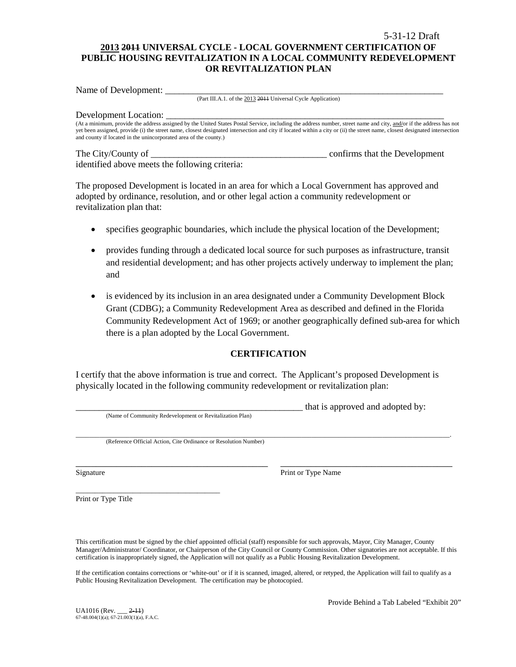# 5-31-12 Draft **2013 2011 UNIVERSAL CYCLE - LOCAL GOVERNMENT CERTIFICATION OF PUBLIC HOUSING REVITALIZATION IN A LOCAL COMMUNITY REDEVELOPMENT OR REVITALIZATION PLAN**

Name of Development:

(Part III.A.1. of the 2013 2011 Universal Cycle Application)

#### Development Location:

(At a minimum, provide the address assigned by the United States Postal Service, including the address number, street name and city, and/or if the address has not yet been assigned, provide (i) the street name, closest designated intersection and city if located within a city or (ii) the street name, closest designated intersection and county if located in the unincorporated area of the county.)

The City/County of \_\_\_\_\_\_\_\_\_\_\_\_\_\_\_\_\_\_\_\_\_\_\_\_\_\_\_\_\_\_\_\_\_\_\_\_\_\_ confirms that the Development identified above meets the following criteria:

The proposed Development is located in an area for which a Local Government has approved and adopted by ordinance, resolution, and or other legal action a community redevelopment or revitalization plan that:

- specifies geographic boundaries, which include the physical location of the Development;
- provides funding through a dedicated local source for such purposes as infrastructure, transit and residential development; and has other projects actively underway to implement the plan; and
- is evidenced by its inclusion in an area designated under a Community Development Block Grant (CDBG); a Community Redevelopment Area as described and defined in the Florida Community Redevelopment Act of 1969; or another geographically defined sub-area for which there is a plan adopted by the Local Government.

### **CERTIFICATION**

I certify that the above information is true and correct. The Applicant's proposed Development is physically located in the following community redevelopment or revitalization plan:

|                                                                  | that is approved and adopted by: |
|------------------------------------------------------------------|----------------------------------|
| (Name of Community Redevelopment or Revitalization Plan)         |                                  |
|                                                                  |                                  |
|                                                                  |                                  |
| (Reference Official Action, Cite Ordinance or Resolution Number) |                                  |
|                                                                  |                                  |
|                                                                  |                                  |
|                                                                  |                                  |

Signature Print or Type Name

\_\_\_\_\_\_\_\_\_\_\_\_\_\_\_\_\_\_\_\_\_\_\_\_\_\_\_\_\_\_\_\_\_\_\_\_\_\_ Print or Type Title

This certification must be signed by the chief appointed official (staff) responsible for such approvals, Mayor, City Manager, County Manager/Administrator/ Coordinator, or Chairperson of the City Council or County Commission. Other signatories are not acceptable. If this certification is inappropriately signed, the Application will not qualify as a Public Housing Revitalization Development.

If the certification contains corrections or 'white-out' or if it is scanned, imaged, altered, or retyped, the Application will fail to qualify as a Public Housing Revitalization Development. The certification may be photocopied.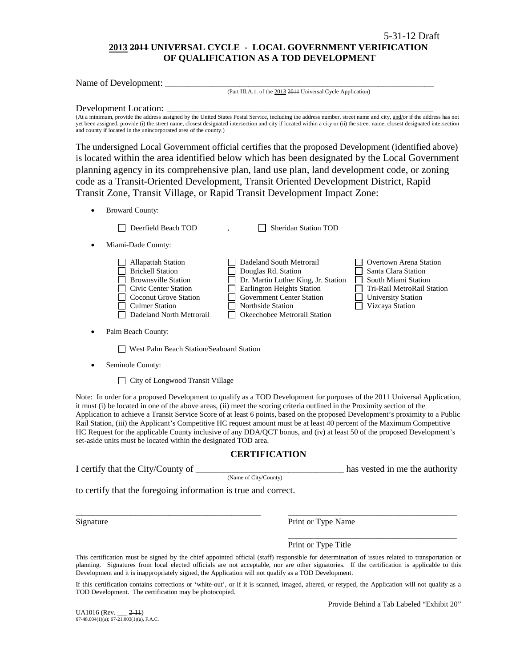# **2013 2011 UNIVERSAL CYCLE - LOCAL GOVERNMENT VERIFICATION OF QUALIFICATION AS A TOD DEVELOPMENT**

Name of Development:

(Part III.A.1. of the 2013 2011 Universal Cycle Application)

#### Development Location:

(At a minimum, provide the address assigned by the United States Postal Service, including the address number, street name and city, and/or if the address has not yet been assigned, provide (i) the street name, closest designated intersection and city if located within a city or (ii) the street name, closest designated intersection and county if located in the unincorporated area of the county.)

The undersigned Local Government official certifies that the proposed Development (identified above) is located within the area identified below which has been designated by the Local Government planning agency in its comprehensive plan, land use plan, land development code, or zoning code as a Transit-Oriented Development, Transit Oriented Development District, Rapid Transit Zone, Transit Village, or Rapid Transit Development Impact Zone:

• Broward County:

Deerfield Beach TOD , Sheridan Station TOD

• Miami-Dade County:

| Dadeland North Metrorail<br><b>Okeechobee Metrorail Station</b> | Government Center Station<br><b>University Station</b><br>Vizcaya Station<br><b>Culmer Station</b><br><b>Northside Station</b> |
|-----------------------------------------------------------------|--------------------------------------------------------------------------------------------------------------------------------|
|-----------------------------------------------------------------|--------------------------------------------------------------------------------------------------------------------------------|

Palm Beach County:

West Palm Beach Station/Seaboard Station

Seminole County:

□ City of Longwood Transit Village

Note: In order for a proposed Development to qualify as a TOD Development for purposes of the 2011 Universal Application, it must (i) be located in one of the above areas, (ii) meet the scoring criteria outlined in the Proximity section of the Application to achieve a Transit Service Score of at least 6 points, based on the proposed Development's proximity to a Public Rail Station, (iii) the Applicant's Competitive HC request amount must be at least 40 percent of the Maximum Competitive HC Request for the applicable County inclusive of any DDA/QCT bonus, and (iv) at least 50 of the proposed Development's set-aside units must be located within the designated TOD area.

### **CERTIFICATION**

I certify that the City/County of the comparison of the authority has vested in me the authority

(Name of City/County)

to certify that the foregoing information is true and correct.

Signature Print or Type Name

Print or Type Title

This certification must be signed by the chief appointed official (staff) responsible for determination of issues related to transportation or planning. Signatures from local elected officials are not acceptable, nor are other signatories. If the certification is applicable to this Development and it is inappropriately signed, the Application will not qualify as a TOD Development.

\_\_\_\_\_\_\_\_\_\_\_\_\_\_\_\_\_\_\_\_\_\_\_\_\_\_\_\_\_\_\_\_\_\_\_\_\_\_\_\_\_\_\_\_ \_\_\_\_\_\_\_\_\_\_\_\_\_\_\_\_\_\_\_\_\_\_\_\_\_\_\_\_\_\_\_\_\_\_\_\_\_\_\_\_

If this certification contains corrections or 'white-out', or if it is scanned, imaged, altered, or retyped, the Application will not qualify as a TOD Development. The certification may be photocopied.

 $U_A$ 1016 (Rev.  $2-11$ )  $67-48.004(1)(a)$ ;  $67-21.003(1)(a)$ , F.A.C. Provide Behind a Tab Labeled "Exhibit 20"

\_\_\_\_\_\_\_\_\_\_\_\_\_\_\_\_\_\_\_\_\_\_\_\_\_\_\_\_\_\_\_\_\_\_\_\_\_\_\_\_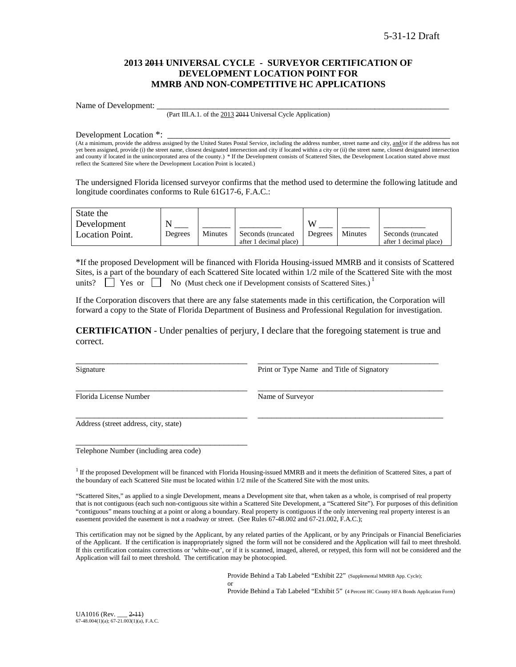### **2013 2011 UNIVERSAL CYCLE - SURVEYOR CERTIFICATION OF DEVELOPMENT LOCATION POINT FOR MMRB AND NON-COMPETITIVE HC APPLICATIONS**

Name of Development:

(Part III.A.1. of the 2013 2011 Universal Cycle Application)

Development Location \*:

(At a minimum, provide the address assigned by the United States Postal Service, including the address number, street name and city, and/or if the address has not yet been assigned, provide (i) the street name, closest designated intersection and city if located within a city or (ii) the street name, closest designated intersection and county if located in the unincorporated area of the county.) \* If the Development consists of Scattered Sites, the Development Location stated above must reflect the Scattered Site where the Development Location Point is located.)

The undersigned Florida licensed surveyor confirms that the method used to determine the following latitude and longitude coordinates conforms to Rule 61G17-6, F.A.C.:

| State the       |         |         |                        |         |         |                        |
|-----------------|---------|---------|------------------------|---------|---------|------------------------|
| Development     |         |         |                        |         |         |                        |
| Location Point. | Degrees | Minutes | Seconds (truncated)    | Degrees | Minutes | Seconds (truncated)    |
|                 |         |         | after 1 decimal place) |         |         | after 1 decimal place) |

\*If the proposed Development will be financed with Florida Housing-issued MMRB and it consists of Scattered Sites, is a part of the boundary of each Scattered Site located within 1/2 mile of the Scattered Site with the most units?  $\Box$  Yes or  $\Box$  No (Must check one if Development consists of Scattered Sites.)<sup>1</sup>

If the Corporation discovers that there are any false statements made in this certification, the Corporation will forward a copy to the State of Florida Department of Business and Professional Regulation for investigation.

**CERTIFICATION** - Under penalties of perjury, I declare that the foregoing statement is true and correct.

\_\_\_\_\_\_\_\_\_\_\_\_\_\_\_\_\_\_\_\_\_\_\_\_\_\_\_\_\_\_\_\_\_\_\_\_\_ \_\_\_\_\_\_\_\_\_\_\_\_\_\_\_\_\_\_\_\_\_\_\_\_\_\_\_\_\_\_\_\_\_\_\_\_\_\_\_\_

\_\_\_\_\_\_\_\_\_\_\_\_\_\_\_\_\_\_\_\_\_\_\_\_\_\_\_\_\_\_\_\_\_\_\_\_\_ \_\_\_\_\_\_\_\_\_\_\_\_\_\_\_\_\_\_\_\_\_\_\_\_\_\_\_\_\_\_\_\_\_\_\_\_\_\_\_\_

\_\_\_\_\_\_\_\_\_\_\_\_\_\_\_\_\_\_\_\_\_\_\_\_\_\_\_\_\_\_\_\_\_\_\_\_\_ \_\_\_\_\_\_\_\_\_\_\_\_\_\_\_\_\_\_\_\_\_\_\_\_\_\_\_\_\_\_\_\_\_\_\_\_\_\_\_ Signature **Print or Type Name and Title of Signatory** Print or Type Name and Title of Signatory

Florida License Number Name of Surveyor

Address (street address, city, state)

Telephone Number (including area code)

\_\_\_\_\_\_\_\_\_\_\_\_\_\_\_\_\_\_\_\_\_\_\_\_\_\_\_\_\_\_\_\_\_\_\_\_\_

 $1$  If the proposed Development will be financed with Florida Housing-issued MMRB and it meets the definition of Scattered Sites, a part of the boundary of each Scattered Site must be located within 1/2 mile of the Scattered Site with the most units.

"Scattered Sites," as applied to a single Development, means a Development site that, when taken as a whole, is comprised of real property that is not contiguous (each such non-contiguous site within a Scattered Site Development, a "Scattered Site"). For purposes of this definition "contiguous" means touching at a point or along a boundary. Real property is contiguous if the only intervening real property interest is an easement provided the easement is not a roadway or street. (See Rules 67-48.002 and 67-21.002, F.A.C.);

This certification may not be signed by the Applicant, by any related parties of the Applicant, or by any Principals or Financial Beneficiaries of the Applicant. If the certification is inappropriately signed the form will not be considered and the Application will fail to meet threshold. If this certification contains corrections or 'white-out', or if it is scanned, imaged, altered, or retyped, this form will not be considered and the Application will fail to meet threshold. The certification may be photocopied.

> Provide Behind a Tab Labeled "Exhibit 22" (Supplemental MMRB App. Cycle); or

Provide Behind a Tab Labeled "Exhibit 5" (4 Percent HC County HFA Bonds Application Form)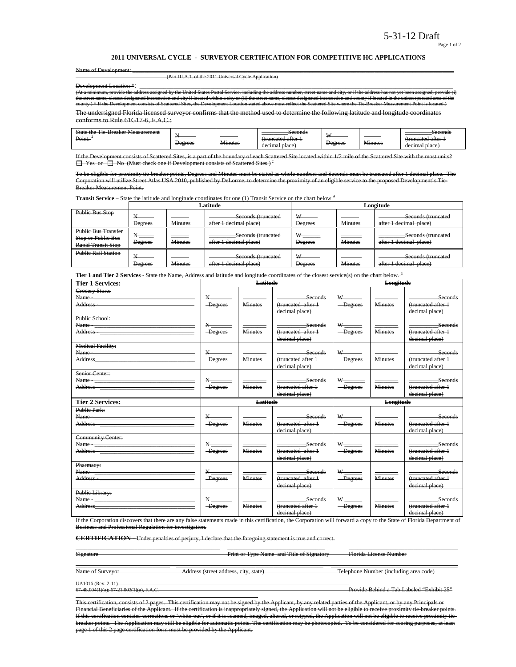#### Page 1 of 2

#### **2011 UNIVERSAL CYCLE - SURVEYOR CERTIFICATION FOR COMPETITIVE HC APPLICATIONS**

|  |  | Name of Developmer |
|--|--|--------------------|
|  |  |                    |

Name of Development: \_\_\_\_\_\_\_\_\_\_\_\_\_\_\_\_\_\_\_\_\_\_\_\_\_\_\_\_\_\_\_\_\_\_\_\_\_\_\_\_\_\_\_\_\_\_\_\_\_\_\_\_\_\_\_\_\_\_\_\_\_\_\_\_\_\_\_\_\_\_\_\_\_\_\_\_\_\_\_\_\_\_\_\_\_\_\_\_\_\_\_\_\_\_\_\_\_\_\_\_\_\_\_\_\_\_\_\_\_ (Part III.A.1. of the 2011 Universal Cycle Application)

Development Location \*\* provide the address assigned by the United States Postal Service, including the address number, street<br>closest designated intersection and city if located within a city or (ii) the street name, closest designate the street name, provide the address assigned by the United States Postal Service, including the address number, street name and city, or if the address has not yet been assignated intersection and county if located within county.<br>2d Sites, the Development L

The undersigned Florida licensed surveyor confirms that the method used to determine the following latitude and longitude coordinates conforms to Rule 61G17-6, F.A.C.:

| ---<br>State<br><del>sreaker Measurement</del><br>10<br>᠇᠇᠇᠇<br>$\overline{\phantom{a}}$<br>Point. | _______<br>Degrees | ______<br>$\mathbf{v}$<br>41nutes | Seconds<br>runcotad oftar<br><del>uuncatou anoi</del><br>decimal place) | <b>TY</b><br>Degrees | $ -$<br>. <del>Minute:</del> | <del>seconds</del><br>fruncated atter:<br><del>uuncatou artor 1</del><br>$n \cdot \alpha$<br>ыасс<br>uceman |
|----------------------------------------------------------------------------------------------------|--------------------|-----------------------------------|-------------------------------------------------------------------------|----------------------|------------------------------|-------------------------------------------------------------------------------------------------------------|
|----------------------------------------------------------------------------------------------------|--------------------|-----------------------------------|-------------------------------------------------------------------------|----------------------|------------------------------|-------------------------------------------------------------------------------------------------------------|

ists of Scattered Sites, is a part of the boundary of each Scattered Site located within 1/2 mile of the Scattered Site with the  $\Box$  Yes or  $\Box$  No (Must check one if Development consists of Scattered Sites.)<sup>2</sup>

To be eligible for proximity tie-breaker points, Degrees and Minutes must be stated as whole numbers and Seconds must be truncated after 1 decimal place. The Corporation will utilize Street Atlas USA 2010, published by DeLorme, to determine the proximity of an eligible service to the proposed Development's Tie-Breaker Measurement Point.

**Transit Service** – State the latitude and longitude coordinates for one (1) Transit Service on the chart below.<sup>3</sup>

|                                                                        |                |                | Latitude                                     | Longitude                       |                |                                              |  |
|------------------------------------------------------------------------|----------------|----------------|----------------------------------------------|---------------------------------|----------------|----------------------------------------------|--|
| <b>Public Bus Stop</b>                                                 | Degrees        | <b>Minutes</b> | Seconds (truncated<br>after 1 decimal place) | $\frac{w}{1}$<br><b>Degrees</b> | <b>Minutes</b> | Seconds (truncated<br>after 1 decimal place) |  |
| <b>Public Bus Transfer</b><br>Stop or Public Bus<br>Rapid Transit Stop | Degrees        | Minutes        | Seconds (truncated<br>after 1 decimal place) | W-<br>______<br>Degrees         | <b>Minutes</b> | Seconds (truncated<br>after 1 decimal place) |  |
| <b>Public Rail Station</b>                                             | <b>Degrees</b> | <b>Minutes</b> | Seconds (truncated<br>after 1 decimal place) | W<br><b>Degrees</b>             | <b>Minutes</b> | Seconds (truncated<br>after 1 decimal place) |  |

**Tier 1 and Tier 2 Services** - State the Name, Address and latitude and longitude coordinates of the closest service(s) on the chart below. <sup>3</sup>

| <b>Tier 1 Services:</b>                                                                                                                                                                                                                                                                                                                                           |                                       | Latitude                |                                                        |                                       | Longitude               |                                                                |
|-------------------------------------------------------------------------------------------------------------------------------------------------------------------------------------------------------------------------------------------------------------------------------------------------------------------------------------------------------------------|---------------------------------------|-------------------------|--------------------------------------------------------|---------------------------------------|-------------------------|----------------------------------------------------------------|
| Grocery Store:<br>Name - Name - Name - Name - Name - Name - Name - Name - Name - Name - Name - Name - Name - Name - Name - Name - Name - Name - Name - Name - Name - Name - Name - Name - Name - Name - Name - Name - Name - Name - Name - Name<br>Address - The Committee of the Committee of the Committee of the Committee of the Committee of the Committee o | $\rm N_{\rm \, max}$<br>-Degrees      | <b>Minutes</b>          | Seconds<br>(truncated after 1<br>decimal place)        | - Degrees                             | <b>Minutes</b>          | Seconds<br>(truncated after 1<br>decimal place)                |
| Public School:                                                                                                                                                                                                                                                                                                                                                    | $N_{\overline{}}$<br>-Degrees         | Minutes                 | <b>Seconds</b><br>(truncated after 1<br>decimal place) | $W$ <sub>-----</sub><br>-Degrees      | <b>Minutes</b>          | <b>Seconds</b><br>(truncated after 1<br>decimal place)         |
| <b>Medical Facility:</b>                                                                                                                                                                                                                                                                                                                                          | $N_{-}$<br>-Degrees                   | <b>Minutes</b>          | Seconds<br>(truncated after +<br>decimal place)        | $\mathbf{w}_{\text{max}}$<br>-Degrees | <b>Minutes</b>          | Seconds<br>(truncated after 1<br>decimal place)                |
| Senior Center:                                                                                                                                                                                                                                                                                                                                                    | $\mathbf{N}_{\text{max}}$<br>-Degrees | <b>Minutes</b>          | Seconds<br>(truncated after 1<br>decimal place)        | W <sub>1</sub><br>-Degrees            | <b>Minutes</b>          | Seconds<br>(truncated after 1<br>decimal place)                |
|                                                                                                                                                                                                                                                                                                                                                                   |                                       |                         |                                                        |                                       |                         |                                                                |
| <b>Tier 2 Services:</b>                                                                                                                                                                                                                                                                                                                                           |                                       | <b>Latitude</b>         |                                                        |                                       | Longitude               |                                                                |
| <b>Public Park:</b><br>Address - The Commission of the Commission of the Commission of the Commission of the Commission of the Commission of the Commission of the Commission of the Commission of the Commission of the Commission of the Commission                                                                                                             | $\mathbf{N}_{\text{max}}$<br>-Degrees | _____<br><b>Minutes</b> | Seconds<br>(truncated after 1<br>decimal place)        | -Degrees                              | _____<br><b>Minutes</b> | seconds<br>(truncated after 1<br>decimal place)                |
| <b>Community Center:</b>                                                                                                                                                                                                                                                                                                                                          | $N_{\perp}$<br>-Degrees               | <b>Minutes</b>          | <b>Seconds</b><br>(truncated after 1<br>decimal place) | $W$ <sub>_______</sub><br>-Degrees    | <b>Minutes</b>          | _______________Seconds<br>(truncated after 1<br>decimal place) |
| Pharmacy:<br>Name - The Commission of the Commission of the Commission of the Commission of the Commission of the Commission of the Commission of the Commission of the Commission of the Commission of the Commission of the Commission of<br>Public Library:                                                                                                    | N<br>-Degrees                         | <b>Minutes</b>          | Seconds<br>(truncated after 1<br>decimal place)        | -Degrees                              | <b>Minutes</b>          | Seconds<br>(truncated after 1<br>decimal place)                |

If the Corporation discovers that there are any false statements made in this certification, the Corporation will forward a copy to the State of Florida Department of<br>Business and Professional Pequlation for investigation .<br>and Professional Regulation for investigation.

**CERTIFICATION** - Under penalties of perjury, I declare that the foregoing statement is true and correct.

\_\_\_\_\_\_\_\_\_\_\_\_\_\_\_\_\_\_\_\_\_\_\_\_\_\_\_\_\_\_\_\_\_\_\_\_\_\_\_\_\_\_\_\_\_\_\_\_\_ \_\_\_\_\_\_\_\_\_\_\_\_\_\_\_\_\_\_\_\_\_\_\_\_\_\_\_\_\_\_\_\_\_ \_\_\_\_\_\_\_\_\_\_\_\_\_\_\_\_\_\_\_\_\_\_\_\_\_\_\_\_\_\_\_\_\_\_\_\_\_

Signature **Print or Type Name and Title of Signatory** Florida License Number

\_\_\_\_\_\_\_\_\_\_\_\_\_\_\_\_\_\_\_\_\_\_\_\_\_\_\_\_\_\_\_\_ \_\_\_\_\_\_\_\_\_\_\_\_\_\_\_\_\_\_\_\_\_\_\_\_\_\_\_\_\_\_\_\_\_\_\_\_\_\_\_\_\_\_\_\_\_\_\_\_\_\_ \_\_\_\_\_\_\_\_\_\_\_\_\_\_\_\_\_\_\_\_\_\_\_\_\_\_\_\_\_\_\_\_\_\_\_\_\_\_\_\_\_\_\_ Name of Surveyor Address (street address, city, state) Telephone Number (including area code)

UA1016 (Rev. 2-11)<br>67-48.004(1)(a); 67-21.003(1)(a), F.A.C.

Provide Behind a Tab Labeled "Exhibit 25"

This certification, consists of 2 pages. This certification may not be signed by the Applicant, by any related parties of the Applicant, or by any Principals or Financial Beneficiaries of the Applicant. If the certification is inappropriately signed, the Application will not be eligible to receive proximity tie-breaker points.<br>If this certification contains corrections or 'white o ed, imaged, altered, or retyped, the Application will not be eligible to receive proximity tiebreaker points. The Application may still be eligible for automatic points. The certification may be photocopied. To be considered for scoring purposes, at least page 1 of this 2 page certification form must be provided by the Applicant.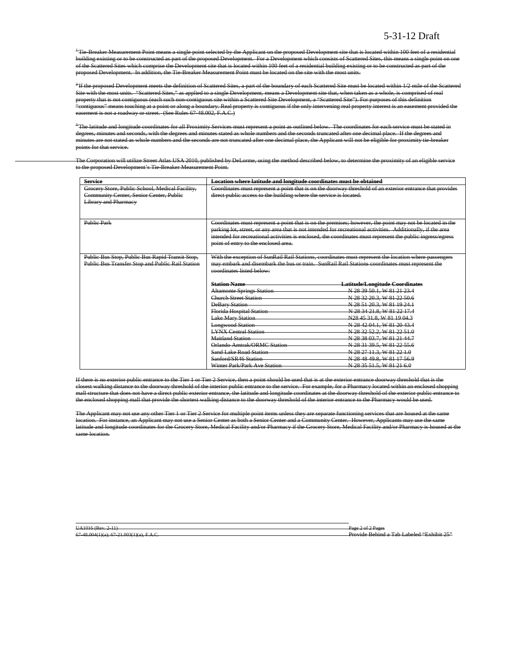<sup>+</sup>Tie-Breaker Measurement Point means a single point selected by the Applicant on the proposed Development site that is located within 100 feet of a residential building existing or to be constructed as part of the proposed Development. For a Development which consists of Scattered Sites, this means a single point on one of the Scattered Sites which comprise the Development site that is located within 100 feet of a residential building existing or to be constructed as part of the proposed Development. In addition, the Tie-Breaker Measurement Point must be located on the site with the most units.

<sup>2</sup>If the proposed Development meets the definition of Scattered Sites, a part of the boundary of each Scattered Site must be located within 1/2 mile of the Scattered Site with the most units. "Scattered Sites," as applied to a single Development, means a Development site that, when taken as a whole, is comprised of real property that is not contiguous (each such non-contiguous site within a Scattered Site Development, a "Scattered Site"). For purposes of this definition "contiguous" means touching at a point or along a boundary. Real property is contiguous if the only intervening real property interest is an easement provided the easement is not a roadway or street. (See Rules 67-48.002, F.A.C.)

 $^3$ The latitude and longitude coordinates for all Proximity Services must represent a point as outlined below. The coordinates for each service must be stated in degrees, minutes and seconds, with the degrees and minutes stated as whole numbers and the seconds truncated after one decimal place. If the degrees and minutes are not stated as whole numbers and the seconds are not truncated after one decimal place, the Applicant will not be eligible for proximity tie-breaker points for that service.

The Corporation will utilize Street Atlas USA 2010, published by DeLorme, using the method described below, to determine the proximity of an eligible service to the proposed Development's Tie-Breaker Measurement Point.

| <b>Service</b>                                                                             | Location where latitude and longitude coordinates must be obtained |                                                                                                              |  |  |  |  |
|--------------------------------------------------------------------------------------------|--------------------------------------------------------------------|--------------------------------------------------------------------------------------------------------------|--|--|--|--|
| Grocery Store, Public School, Medical Facility,<br>Community Center, Senior Center, Public | direct public access to the building where the service is located. | Coordinates must represent a point that is on the doorway threshold of an exterior entrance that provides    |  |  |  |  |
| <b>Library and Pharmacy</b>                                                                |                                                                    |                                                                                                              |  |  |  |  |
|                                                                                            |                                                                    |                                                                                                              |  |  |  |  |
| Public Park                                                                                |                                                                    | Coordinates must represent a point that is on the premises; however, the point may not be located in the     |  |  |  |  |
|                                                                                            |                                                                    | parking lot, street, or any area that is not intended for recreational activities. Additionally, if the area |  |  |  |  |
|                                                                                            |                                                                    | intended for recreational activities is enclosed, the coordinates must represent the public ingress/egress   |  |  |  |  |
|                                                                                            | point of entry to the enclosed area.                               |                                                                                                              |  |  |  |  |
|                                                                                            |                                                                    |                                                                                                              |  |  |  |  |
| Public Bus Stop, Public Bus Rapid Transit Stop,                                            |                                                                    | With the exception of SunRail Rail Stations, coordinates must represent the location where passengers        |  |  |  |  |
| Public Bus Transfer Stop and Public Rail Station                                           | coordinates listed below:                                          | may embark and disembark the bus or train. SunRail Rail Stations coordinates must represent the              |  |  |  |  |
|                                                                                            |                                                                    |                                                                                                              |  |  |  |  |
|                                                                                            | <b>Station Name</b>                                                | Latitude/Longitude Coordinates                                                                               |  |  |  |  |
|                                                                                            | <b>Altamonte Springs Station</b>                                   | N 28 39 50.1, W 81 21 23.4                                                                                   |  |  |  |  |
|                                                                                            | Church Street Station                                              | N 28 32 20 3, W 81 22 50.6                                                                                   |  |  |  |  |
|                                                                                            | <b>DeBary Station</b>                                              | N 28 51 20.3, W 81 19 24.1                                                                                   |  |  |  |  |
|                                                                                            | Florida Hospital Station                                           | N 28 34 21.8, W 81 22 17.4                                                                                   |  |  |  |  |
|                                                                                            | <b>Lake Mary Station</b>                                           | N28 45 31.8, W 81 19 04.3                                                                                    |  |  |  |  |
|                                                                                            | <b>Longwood Station</b>                                            | N 28 42 04.1, W 81 20 43.4                                                                                   |  |  |  |  |
|                                                                                            | <b>LYNX Central Station</b>                                        | N 28 32 52.2, W 81 22 51.0                                                                                   |  |  |  |  |
|                                                                                            | Maitland Station                                                   | N 28 38 03.7, W 81 21 44.7                                                                                   |  |  |  |  |
|                                                                                            | Orlando Amtrak/ORMC Station                                        | N 28 31 39.5, W 81 22 55.6                                                                                   |  |  |  |  |
|                                                                                            | <b>Sand Lake Road Station</b>                                      | N 28 27 11.3, W 81 22 1.0                                                                                    |  |  |  |  |
|                                                                                            | Sanford/SR46 Station                                               | N 28 48 49 8, W 81 17 56 9                                                                                   |  |  |  |  |
|                                                                                            | Winter Park/Park Ave Station                                       | N 28 35 51.5, W 81 21 6.0                                                                                    |  |  |  |  |

If there is no exterior public entrance to the Tier 1 or Tier 2 Service, then a point should be used that is at the exterior entrance doorway threshold that is the closest walking distance to the doorway threshold of the interior public entrance to the service. For example, for a Pharmacy located within an enclosed shopping mall structure that does not have a direct public exterior entrance, the latitude and longitude coordinates at the doorway threshold of the exterior public entranc the enclosed shopping mall that provide the shortest walking distance to the doorway threshold of the interior entrance to the Pharmacy would be used.

The Applicant may not use any other Tier 1 or Tier 2 Service for multiple point items unless they are separate functioning services that are housed at the same location. For instance, an Applicant may not use a Senior Center as both a Senior Center and a Community Center. However, Applicants may use the same latitude and longitude coordinates for the Grocery Store, Medical Facility and/or Pharmacy if the Grocery Store, Medical Facility and/or Pharmacy is housed at the same location.

UA1016 (Rev. 2-11)<br>67-48.004(1)(a); 67-21.003(1)(a), F.A.C. Provide Behind a Tab Labeled "Exhibit 25"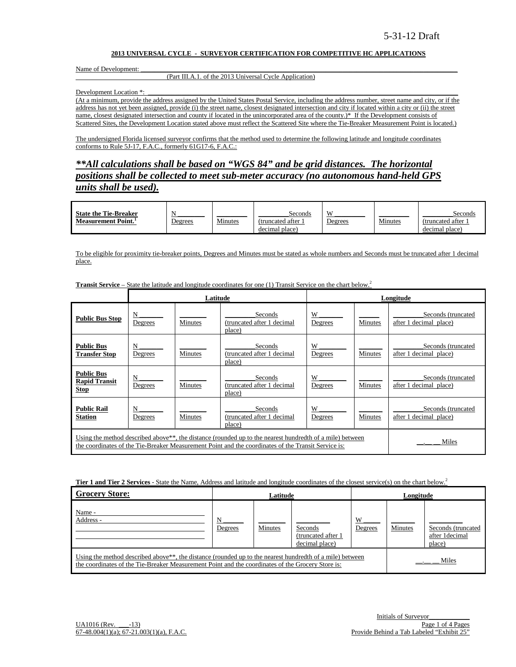#### **2013 UNIVERSAL CYCLE - SURVEYOR CERTIFICATION FOR COMPETITIVE HC APPLICATIONS**

#### Name of Development:

### (Part III.A.1. of the 2013 Universal Cycle Application)

Development Location \*:

(At a minimum, provide the address assigned by the United States Postal Service, including the address number, street name and city, or if the address has not yet been assigned, provide (i) the street name, closest designated intersection and city if located within a city or (ii) the street name, closest designated intersection and county if located in the unincorporated area of the county.)\* If the Development consists of Scattered Sites, the Development Location stated above must reflect the Scattered Site where the Tie-Breaker Measurement Point is located.)

The undersigned Florida licensed surveyor confirms that the method used to determine the following latitude and longitude coordinates conforms to Rule 5J-17, F.A.C., formerly 61G17-6, F.A.C.:

*\*\*All calculations shall be based on "WGS 84" and be grid distances. The horizontal positions shall be collected to meet sub-meter accuracy (no autonomous hand-held GPS units shall be used).*

| <b>State the Tie-Breaker</b>    |         |         | Seconds          | <b>VY</b>      |         | Seconds          |
|---------------------------------|---------|---------|------------------|----------------|---------|------------------|
| Measurement Point. <sup>1</sup> | Degrees | Minutes | (truncated after | <b>Degrees</b> | Minutes | (truncated after |
|                                 |         |         | decimal place)   |                |         | decimal place)   |

To be eligible for proximity tie-breaker points, Degrees and Minutes must be stated as whole numbers and Seconds must be truncated after 1 decimal place.

|                                                          |              | Latitude       |                                                                                                                                                                                                                              |              |                | Longitude                                    |
|----------------------------------------------------------|--------------|----------------|------------------------------------------------------------------------------------------------------------------------------------------------------------------------------------------------------------------------------|--------------|----------------|----------------------------------------------|
| <b>Public Bus Stop</b>                                   | N<br>Degrees | Minutes        | Seconds<br>(truncated after 1 decimal<br>place)                                                                                                                                                                              | W<br>Degrees | Minutes        | Seconds (truncated<br>after 1 decimal place) |
| <b>Public Bus</b><br><b>Transfer Stop</b>                | N<br>Degrees | Minutes        | Seconds<br>(truncated after 1 decimal<br>place)                                                                                                                                                                              | W<br>Degrees | <b>Minutes</b> | Seconds (truncated<br>after 1 decimal place) |
| <b>Public Bus</b><br><b>Rapid Transit</b><br><b>Stop</b> | N<br>Degrees | Minutes        | Seconds<br>(truncated after 1 decimal<br>place)                                                                                                                                                                              | W<br>Degrees | Minutes        | Seconds (truncated<br>after 1 decimal place) |
| <b>Public Rail</b><br><b>Station</b>                     | N<br>Degrees | <b>Minutes</b> | Seconds<br>(truncated after 1 decimal<br>place)                                                                                                                                                                              | W<br>Degrees | Minutes        | Seconds (truncated<br>after 1 decimal place) |
|                                                          |              |                | Using the method described above <sup>**</sup> , the distance (rounded up to the nearest hundredth of a mile) between<br>the coordinates of the Tie-Breaker Measurement Point and the coordinates of the Transit Service is: |              |                | Miles                                        |

**Transit Service –** State the latitude and longitude coordinates for one (1) Transit Service on the chart below.<sup>2</sup>

**Tier 1 and Tier 2 Services** - State the Name, Address and latitude and longitude coordinates of the closest service(s) on the chart below.<sup>2</sup>

| <b>Grocery Store:</b>                                                                                                                                                                                                      | Latitude     |         |                                                 | Longitude    |         |                                                |
|----------------------------------------------------------------------------------------------------------------------------------------------------------------------------------------------------------------------------|--------------|---------|-------------------------------------------------|--------------|---------|------------------------------------------------|
| Name -<br>Address -                                                                                                                                                                                                        | N<br>Degrees | Minutes | Seconds<br>(truncated after 1<br>decimal place) | W<br>Degrees | Minutes | Seconds (truncated<br>after 1decimal<br>place) |
| Using the method described above <sup>**</sup> , the distance (rounded up to the nearest hundredth of a mile) between<br>the coordinates of the Tie-Breaker Measurement Point and the coordinates of the Grocery Store is: |              |         |                                                 |              |         | Miles                                          |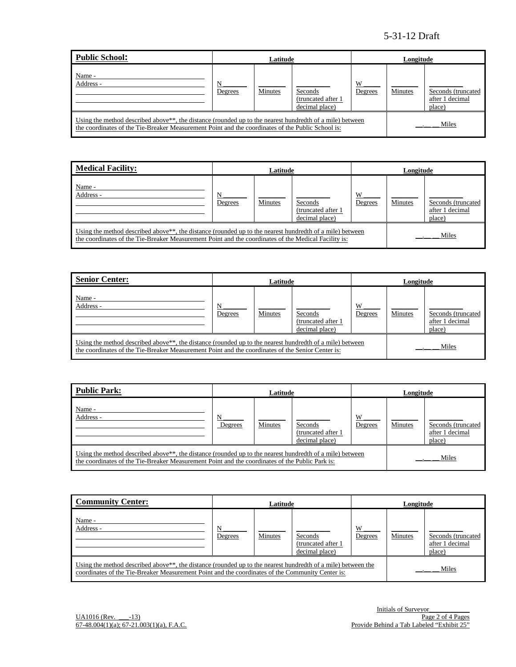| Public School:                                                                                                                                                                                                             | Latitude     |         |                                                 | Longitude    |         |                                                 |
|----------------------------------------------------------------------------------------------------------------------------------------------------------------------------------------------------------------------------|--------------|---------|-------------------------------------------------|--------------|---------|-------------------------------------------------|
| Name -<br>Address -                                                                                                                                                                                                        | N<br>Degrees | Minutes | Seconds<br>(truncated after 1<br>decimal place) | W<br>Degrees | Minutes | Seconds (truncated<br>after 1 decimal<br>place) |
| Using the method described above <sup>**</sup> , the distance (rounded up to the nearest hundredth of a mile) between<br>the coordinates of the Tie-Breaker Measurement Point and the coordinates of the Public School is: |              |         |                                                 |              |         | Miles                                           |

| <b>Medical Facility:</b>                                                                                                                                                                                                      | Latitude     |         |                                                  | Longitude    |         |                                                 |
|-------------------------------------------------------------------------------------------------------------------------------------------------------------------------------------------------------------------------------|--------------|---------|--------------------------------------------------|--------------|---------|-------------------------------------------------|
| Name -<br>Address -                                                                                                                                                                                                           | N<br>Degrees | Minutes | Seconds<br>(truncated after 1)<br>decimal place) | W<br>Degrees | Minutes | Seconds (truncated<br>after 1 decimal<br>place) |
| Using the method described above <sup>**</sup> , the distance (rounded up to the nearest hundredth of a mile) between<br>the coordinates of the Tie-Breaker Measurement Point and the coordinates of the Medical Facility is: |              |         |                                                  |              |         | Miles                                           |

| <b>Senior Center:</b>                                                                                                                                                                                                      | Latitude     |         |                                                 | Longitude    |         |                                                 |
|----------------------------------------------------------------------------------------------------------------------------------------------------------------------------------------------------------------------------|--------------|---------|-------------------------------------------------|--------------|---------|-------------------------------------------------|
| Name -<br>Address -                                                                                                                                                                                                        | N<br>Degrees | Minutes | Seconds<br>(truncated after 1<br>decimal place) | W<br>Degrees | Minutes | Seconds (truncated<br>after 1 decimal<br>place) |
| Using the method described above <sup>**</sup> , the distance (rounded up to the nearest hundredth of a mile) between<br>the coordinates of the Tie-Breaker Measurement Point and the coordinates of the Senior Center is: |              |         |                                                 |              |         | Miles                                           |

| <b>Public Park:</b>                                                                                                                                                                                                      | Latitude     |         |                                                 | Longitude    |         |                                                 |
|--------------------------------------------------------------------------------------------------------------------------------------------------------------------------------------------------------------------------|--------------|---------|-------------------------------------------------|--------------|---------|-------------------------------------------------|
| Name -<br>Address -                                                                                                                                                                                                      | N<br>Degrees | Minutes | Seconds<br>(truncated after 1<br>decimal place) | W<br>Degrees | Minutes | Seconds (truncated<br>after 1 decimal<br>place) |
| Using the method described above <sup>**</sup> , the distance (rounded up to the nearest hundredth of a mile) between<br>the coordinates of the Tie-Breaker Measurement Point and the coordinates of the Public Park is: |              |         |                                                 |              |         | Miles                                           |

| <b>Community Center:</b>                                                                                                                                                                                                               | Latitude     |         |                                                  | Longitude    |         |                                                 |
|----------------------------------------------------------------------------------------------------------------------------------------------------------------------------------------------------------------------------------------|--------------|---------|--------------------------------------------------|--------------|---------|-------------------------------------------------|
| Name -<br>Address -                                                                                                                                                                                                                    | N<br>Degrees | Minutes | Seconds<br>(truncated after 1)<br>decimal place) | W<br>Degrees | Minutes | Seconds (truncated<br>after 1 decimal<br>place) |
| Using the method described above <sup>**</sup> , the distance (rounded up to the nearest hundredth of a mile) between the<br>Miles<br>coordinates of the Tie-Breaker Measurement Point and the coordinates of the Community Center is: |              |         |                                                  |              |         |                                                 |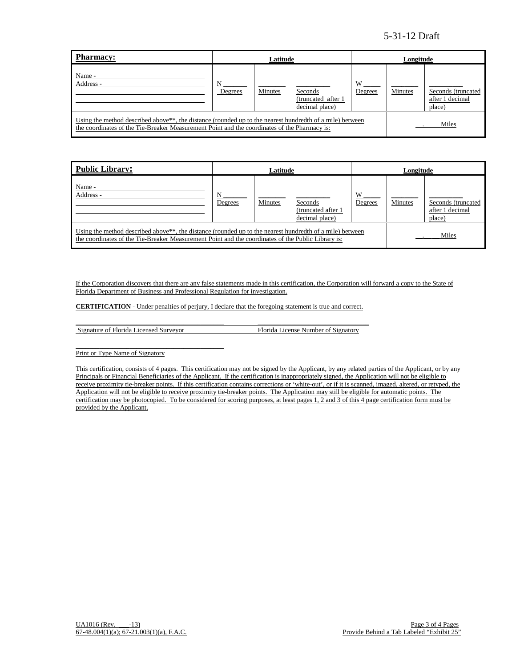| <b>Pharmacy:</b>                                                                                                                                                                                                      | Latitude     |         |                                                  | Longitude    |         |                                                  |
|-----------------------------------------------------------------------------------------------------------------------------------------------------------------------------------------------------------------------|--------------|---------|--------------------------------------------------|--------------|---------|--------------------------------------------------|
| Name -<br>Address -                                                                                                                                                                                                   | N<br>Degrees | Minutes | Seconds<br>(truncated after 1)<br>decimal place) | W<br>Degrees | Minutes | Seconds (truncated)<br>after 1 decimal<br>place) |
| Using the method described above <sup>**</sup> , the distance (rounded up to the nearest hundredth of a mile) between<br>the coordinates of the Tie-Breaker Measurement Point and the coordinates of the Pharmacy is: |              |         |                                                  |              | Miles   |                                                  |

| Public Library:                                                                                                                                                                                                             | Latitude     |                |                                                  |              | Longitude |                                                 |  |
|-----------------------------------------------------------------------------------------------------------------------------------------------------------------------------------------------------------------------------|--------------|----------------|--------------------------------------------------|--------------|-----------|-------------------------------------------------|--|
| Name -<br>Address -                                                                                                                                                                                                         | N<br>Degrees | <b>Minutes</b> | Seconds<br>(truncated after 1)<br>decimal place) | W<br>Degrees | Minutes   | Seconds (truncated<br>after 1 decimal<br>place) |  |
| Using the method described above <sup>**</sup> , the distance (rounded up to the nearest hundredth of a mile) between<br>the coordinates of the Tie-Breaker Measurement Point and the coordinates of the Public Library is: |              |                |                                                  |              | Miles     |                                                 |  |

If the Corporation discovers that there are any false statements made in this certification, the Corporation will forward a copy to the State of Florida Department of Business and Professional Regulation for investigation.

**CERTIFICATION** - Under penalties of perjury, I declare that the foregoing statement is true and correct.

 $\_$  . The contribution of the contribution of  $\mathcal{L}_1$  ,  $\mathcal{L}_2$  ,  $\mathcal{L}_3$  ,  $\mathcal{L}_4$  ,  $\mathcal{L}_5$  ,  $\mathcal{L}_6$  ,  $\mathcal{L}_7$  ,  $\mathcal{L}_8$  ,  $\mathcal{L}_9$  ,  $\mathcal{L}_8$  ,  $\mathcal{L}_9$  ,  $\mathcal{L}_9$  ,  $\mathcal{L}_8$  ,  $\mathcal{L}_9$  ,  $\mathcal{L}_$ Signature of Florida Licensed Surveyor Florida License Number of Signatory

\_\_\_\_\_\_\_\_\_\_\_\_\_\_\_\_\_\_\_\_\_\_\_\_\_\_\_\_\_\_\_\_\_\_\_\_\_\_\_\_\_\_\_\_ Print or Type Name of Signatory

This certification, consists of 4 pages. This certification may not be signed by the Applicant, by any related parties of the Applicant, or by any Principals or Financial Beneficiaries of the Applicant. If the certification is inappropriately signed, the Application will not be eligible to receive proximity tie-breaker points. If this certification contains corrections or 'white-out', or if it is scanned, imaged, altered, or retyped, the Application will not be eligible to receive proximity tie-breaker points. The Application may still be eligible for automatic points. The certification may be photocopied. To be considered for scoring purposes, at least pages 1, 2 and 3 of this 4 page certification form must be provided by the Applicant.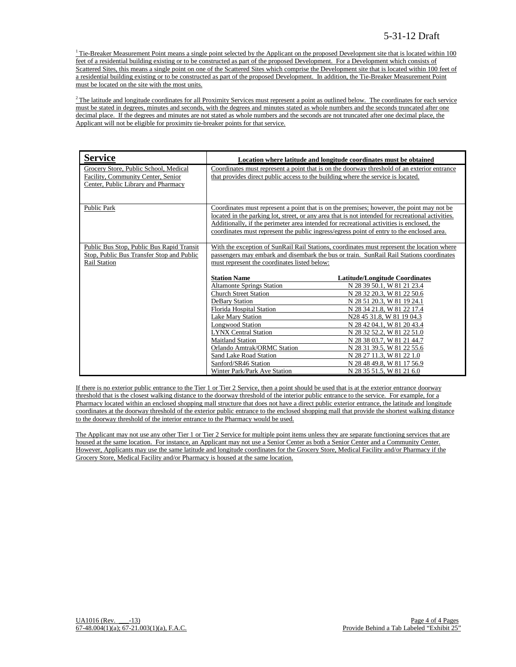$1$ <sup>1</sup> Tie-Breaker Measurement Point means a single point selected by the Applicant on the proposed Development site that is located within 100 feet of a residential building existing or to be constructed as part of the proposed Development. For a Development which consists of Scattered Sites, this means a single point on one of the Scattered Sites which comprise the Development site that is located within 100 feet of a residential building existing or to be constructed as part of the proposed Development. In addition, the Tie-Breaker Measurement Point must be located on the site with the most units.

 $2$ The latitude and longitude coordinates for all Proximity Services must represent a point as outlined below. The coordinates for each service must be stated in degrees, minutes and seconds, with the degrees and minutes stated as whole numbers and the seconds truncated after one decimal place. If the degrees and minutes are not stated as whole numbers and the seconds are not truncated after one decimal place, the Applicant will not be eligible for proximity tie-breaker points for that service.

| <b>Service</b>                                                                                                     |                                                                                                                                                                                                                                       | Location where latitude and longitude coordinates must be obtained                                                                                                                                                                                                                                                                                                                       |  |  |
|--------------------------------------------------------------------------------------------------------------------|---------------------------------------------------------------------------------------------------------------------------------------------------------------------------------------------------------------------------------------|------------------------------------------------------------------------------------------------------------------------------------------------------------------------------------------------------------------------------------------------------------------------------------------------------------------------------------------------------------------------------------------|--|--|
| Grocery Store, Public School, Medical<br>Facility, Community Center, Senior<br>Center, Public Library and Pharmacy | that provides direct public access to the building where the service is located.                                                                                                                                                      | Coordinates must represent a point that is on the doorway threshold of an exterior entrance                                                                                                                                                                                                                                                                                              |  |  |
| <b>Public Park</b>                                                                                                 |                                                                                                                                                                                                                                       | Coordinates must represent a point that is on the premises; however, the point may not be<br>located in the parking lot, street, or any area that is not intended for recreational activities.<br>Additionally, if the perimeter area intended for recreational activities is enclosed, the<br>coordinates must represent the public ingress/egress point of entry to the enclosed area. |  |  |
| Public Bus Stop, Public Bus Rapid Transit<br>Stop, Public Bus Transfer Stop and Public<br>Rail Station             | With the exception of SunRail Rail Stations, coordinates must represent the location where<br>passengers may embark and disembark the bus or train. SunRail Rail Stations coordinates<br>must represent the coordinates listed below: |                                                                                                                                                                                                                                                                                                                                                                                          |  |  |
|                                                                                                                    | <b>Station Name</b>                                                                                                                                                                                                                   | <b>Latitude/Longitude Coordinates</b>                                                                                                                                                                                                                                                                                                                                                    |  |  |
|                                                                                                                    | <b>Altamonte Springs Station</b>                                                                                                                                                                                                      | N 28 39 50.1, W 81 21 23.4                                                                                                                                                                                                                                                                                                                                                               |  |  |
|                                                                                                                    | <b>Church Street Station</b>                                                                                                                                                                                                          | N 28 32 20.3, W 81 22 50.6                                                                                                                                                                                                                                                                                                                                                               |  |  |
|                                                                                                                    | <b>DeBary Station</b>                                                                                                                                                                                                                 | N 28 51 20.3, W 81 19 24.1                                                                                                                                                                                                                                                                                                                                                               |  |  |
|                                                                                                                    | Florida Hospital Station                                                                                                                                                                                                              | N 28 34 21.8, W 81 22 17.4                                                                                                                                                                                                                                                                                                                                                               |  |  |
|                                                                                                                    | <b>Lake Mary Station</b>                                                                                                                                                                                                              | N28 45 31.8, W 81 19 04.3                                                                                                                                                                                                                                                                                                                                                                |  |  |
|                                                                                                                    | <b>Longwood Station</b>                                                                                                                                                                                                               | N 28 42 04.1, W 81 20 43.4                                                                                                                                                                                                                                                                                                                                                               |  |  |
|                                                                                                                    | <b>LYNX Central Station</b>                                                                                                                                                                                                           | N 28 32 52.2, W 81 22 51.0                                                                                                                                                                                                                                                                                                                                                               |  |  |
|                                                                                                                    | <b>Maitland Station</b>                                                                                                                                                                                                               | N 28 38 03.7, W 81 21 44.7                                                                                                                                                                                                                                                                                                                                                               |  |  |
|                                                                                                                    | Orlando Amtrak/ORMC Station                                                                                                                                                                                                           | N 28 31 39.5, W 81 22 55.6                                                                                                                                                                                                                                                                                                                                                               |  |  |
|                                                                                                                    | Sand Lake Road Station                                                                                                                                                                                                                | N 28 27 11.3, W 81 22 1.0                                                                                                                                                                                                                                                                                                                                                                |  |  |
|                                                                                                                    | Sanford/SR46 Station                                                                                                                                                                                                                  | N 28 48 49.8, W 81 17 56.9                                                                                                                                                                                                                                                                                                                                                               |  |  |
|                                                                                                                    | Winter Park/Park Ave Station                                                                                                                                                                                                          | N 28 35 51.5, W 81 21 6.0                                                                                                                                                                                                                                                                                                                                                                |  |  |

If there is no exterior public entrance to the Tier 1 or Tier 2 Service, then a point should be used that is at the exterior entrance doorway threshold that is the closest walking distance to the doorway threshold of the interior public entrance to the service. For example, for a Pharmacy located within an enclosed shopping mall structure that does not have a direct public exterior entrance, the latitude and longitude coordinates at the doorway threshold of the exterior public entrance to the enclosed shopping mall that provide the shortest walking distance to the doorway threshold of the interior entrance to the Pharmacy would be used.

The Applicant may not use any other Tier 1 or Tier 2 Service for multiple point items unless they are separate functioning services that are housed at the same location. For instance, an Applicant may not use a Senior Center as both a Senior Center and a Community Center. However, Applicants may use the same latitude and longitude coordinates for the Grocery Store, Medical Facility and/or Pharmacy if the Grocery Store, Medical Facility and/or Pharmacy is housed at the same location.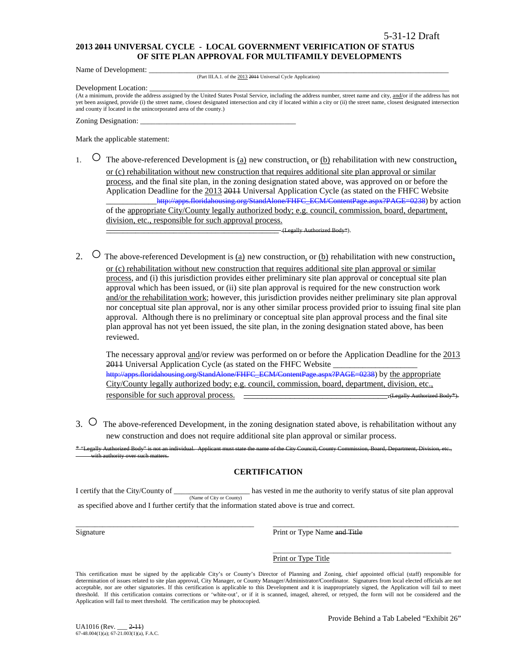### **2013 2011 UNIVERSAL CYCLE - LOCAL GOVERNMENT VERIFICATION OF STATUS OF SITE PLAN APPROVAL FOR MULTIFAMILY DEVELOPMENTS**

Name of Development:

(Part III.A.1. of the 2013 2011 Universal Cycle Application)

Development Location:

(At a minimum, provide the address assigned by the United States Postal Service, including the address number, street name and city, and/or if the address has not yet been assigned, provide (i) the street name, closest designated intersection and city if located within a city or (ii) the street name, closest designated intersection and county if located in the unincorporated area of the county.)

Zoning Designation:

Mark the applicable statement:

1.  $\circ$  The above-referenced Development is <u>(a)</u> new construction, or <u>(b)</u> rehabilitation with new construction, or (c) rehabilitation without new construction that requires additional site plan approval or similar process, and the final site plan, in the zoning designation stated above, was approved on or before the Application Deadline for the 2013 2011 Universal Application Cycle (as stated on the FHFC Website \_\_\_\_\_\_\_\_\_\_\_[\\_http://apps.floridahousing.org/StandAlone/FHFC\\_ECM/ContentPage.aspx?PAGE=0238\)](http://apps.floridahousing.org/StandAlone/FHFC_ECM/ContentPage.aspx?PAGE=0238) by action of the appropriate City/County legally authorized body; e.g. council, commission, board, department, division, etc., responsible for such approval process.

\_\_\_\_\_\_\_\_\_\_\_\_\_\_\_\_\_\_\_\_\_\_\_\_\_\_\_\_\_\_\_\_\_\_\_\_\_\_\_\_\_ (Legally Authorized Body\*).

2.  $\circ$  The above-referenced Development is (a) new construction, or (b) rehabilitation with new construction, or (c) rehabilitation without new construction that requires additional site plan approval or similar process, and (i) this jurisdiction provides either preliminary site plan approval or conceptual site plan approval which has been issued, or (ii) site plan approval is required for the new construction work and/or the rehabilitation work; however, this jurisdiction provides neither preliminary site plan approval nor conceptual site plan approval, nor is any other similar process provided prior to issuing final site plan approval. Although there is no preliminary or conceptual site plan approval process and the final site plan approval has not yet been issued, the site plan, in the zoning designation stated above, has been reviewed.

The necessary approval and/or review was performed on or before the Application Deadline for the 2013 2011 Universal Application Cycle (as stated on the FHFC Website [http://apps.floridahousing.org/StandAlone/FHFC\\_ECM/ContentPage.aspx?PAGE=0238\)](http://apps.floridahousing.org/StandAlone/FHFC_ECM/ContentPage.aspx?PAGE=0238) by the appropriate City/County legally authorized body; e.g. council, commission, board, department, division, etc., responsible for such approval process. \_\_\_\_\_\_\_\_\_\_\_\_\_\_\_\_\_\_\_\_\_\_\_\_\_\_\_\_\_\_\_.(Legally Authorized Body\*).

3. ○ The above-referenced Development, in the zoning designation stated above, is rehabilitation without any new construction and does not require additional site plan approval or similar process.

"Legally Authorized Body" is not an individual. Applicant must state the name of the City Council, County Council, and the Division, Board, Department, Department, Division, Board, Department, Division, etc.,, and the Unit ith authority over

### **CERTIFICATION**

I certify that the City/County of \_\_\_\_\_\_\_\_\_\_\_\_\_\_\_\_\_\_\_\_ has vested in me the authority to verify status of site plan approval (Name of City or County) as specified above and I further certify that the information stated above is true and correct.

\_\_\_\_\_\_\_\_\_\_\_\_\_\_\_\_\_\_\_\_\_\_\_\_\_\_\_\_\_\_\_\_\_\_\_\_\_\_\_\_\_\_\_\_\_\_\_ \_\_\_\_\_\_\_\_\_\_\_\_\_\_\_\_\_\_\_\_\_\_\_\_\_\_\_\_\_\_\_\_\_\_\_\_\_\_\_\_\_\_\_\_\_\_\_\_\_ Signature **Print or Type Name and Title** 

> \_\_\_\_\_\_\_\_\_\_\_\_\_\_\_\_\_\_\_\_\_\_\_\_\_\_\_\_\_\_\_\_\_\_\_\_\_\_\_\_\_\_\_\_\_\_\_ Print or Type Title

This certification must be signed by the applicable City's or County's Director of Planning and Zoning, chief appointed official (staff) responsible for determination of issues related to site plan approval, City Manager, or County Manager/Administrator/Coordinator. Signatures from local elected officials are not acceptable, nor are other signatories. If this certification is applicable to this Development and it is inappropriately signed, the Application will fail to meet threshold. If this certification contains corrections or 'white-out', or if it is scanned, imaged, altered, or retyped, the form will not be considered and the Application will fail to meet threshold. The certification may be photocopied.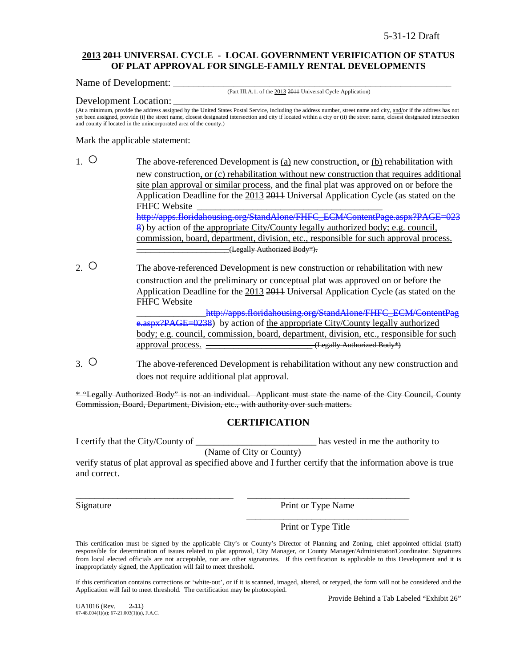### **2013 2011 UNIVERSAL CYCLE - LOCAL GOVERNMENT VERIFICATION OF STATUS OF PLAT APPROVAL FOR SINGLE-FAMILY RENTAL DEVELOPMENTS**

Name of Development:

(Part III.A.1. of the 2013 2011 Universal Cycle Application)

### Development Location:

(At a minimum, provide the address assigned by the United States Postal Service, including the address number, street name and city, and/or if the address has not yet been assigned, provide (i) the street name, closest designated intersection and city if located within a city or (ii) the street name, closest designated intersection and county if located in the unincorporated area of the county.)

Mark the applicable statement:

- 1. The above-referenced Development is (a) new construction, or (b) rehabilitation with new construction, or (c) rehabilitation without new construction that requires additional site plan approval or similar process, and the final plat was approved on or before the Application Deadline for the 2013 2011 Universal Application Cycle (as stated on the FHFC Website [http://apps.floridahousing.org/StandAlone/FHFC\\_ECM/ContentPage.aspx?PAGE=023](http://apps.floridahousing.org/StandAlone/FHFC_ECM/ContentPage.aspx?PAGE=0238) [8\)](http://apps.floridahousing.org/StandAlone/FHFC_ECM/ContentPage.aspx?PAGE=0238) by action of the appropriate City/County legally authorized body; e.g. council, commission, board, department, division, etc., responsible for such approval process. \_\_\_\_\_\_\_\_\_\_\_\_\_\_\_\_\_\_\_\_(Legally Authorized Body\*).
- 2. O The above-referenced Development is new construction or rehabilitation with new construction and the preliminary or conceptual plat was approved on or before the Application Deadline for the 2013 2011 Universal Application Cycle (as stated on the FHFC Website http://apps.floridahousing.org/StandAlone/FHFC\_ECM/ContentPag

[e.aspx?PAGE=0238\)](http://apps.floridahousing.org/StandAlone/FHFC_ECM/ContentPage.aspx?PAGE=0238) by action of the appropriate City/County legally authorized body; e.g. council, commission, board, department, division, etc., responsible for such approval process.  $\overline{\qquad \qquad }$  (Legally Authorized Body\*)

3. ○ The above-referenced Development is rehabilitation without any new construction and does not require additional plat approval.

\* "Legally Authorized Body" is not an individual. Applicant must state the name of the City Council, County Commission, Board, Department, Division, etc., with authority over such matters.

# **CERTIFICATION**

I certify that the City/County of \_\_\_\_\_\_\_\_\_\_\_\_\_\_\_\_\_\_\_\_\_\_\_\_\_\_ has vested in me the authority to

(Name of City or County)

\_\_\_\_\_\_\_\_\_\_\_\_\_\_\_\_\_\_\_\_\_\_\_\_\_\_\_\_\_\_\_\_\_\_ \_\_\_\_\_\_\_\_\_\_\_\_\_\_\_\_\_\_\_\_\_\_\_\_\_\_\_\_\_\_\_\_\_\_\_

verify status of plat approval as specified above and I further certify that the information above is true and correct.

Signature Print or Type Name

\_\_\_\_\_\_\_\_\_\_\_\_\_\_\_\_\_\_\_\_\_\_\_\_\_\_\_\_\_\_\_\_\_\_\_

Print or Type Title

This certification must be signed by the applicable City's or County's Director of Planning and Zoning, chief appointed official (staff) responsible for determination of issues related to plat approval, City Manager, or County Manager/Administrator/Coordinator. Signatures from local elected officials are not acceptable, nor are other signatories. If this certification is applicable to this Development and it is inappropriately signed, the Application will fail to meet threshold.

If this certification contains corrections or 'white-out', or if it is scanned, imaged, altered, or retyped, the form will not be considered and the Application will fail to meet threshold. The certification may be photocopied.

Provide Behind a Tab Labeled "Exhibit 26"

UA1016 (Rev. \_\_\_ 2-11) 67-48.004(1)(a); 67-21.003(1)(a), F.A.C.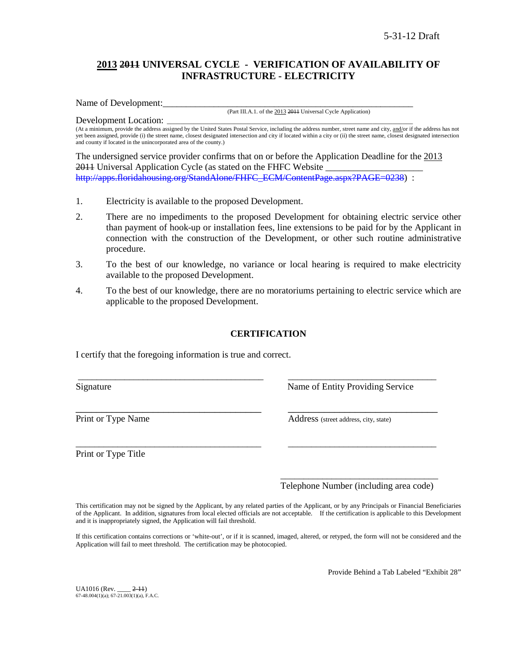# **2013 2011 UNIVERSAL CYCLE - VERIFICATION OF AVAILABILITY OF INFRASTRUCTURE - ELECTRICITY**

Name of Development:

(Part III.A.1. of the 2013 2011 Universal Cycle Application)

Development Location: (At a minimum, provide the address assigned by the United States Postal Service, including the address number, street name and city, and/or if the address has not yet been assigned, provide (i) the street name, closest designated intersection and city if located within a city or (ii) the street name, closest designated intersection and county if located in the unincorporated area of the county.)

The undersigned service provider confirms that on or before the Application Deadline for the 2013 2011 Universal Application Cycle (as stated on the FHFC Website [http://apps.floridahousing.org/StandAlone/FHFC\\_ECM/ContentPage.aspx?PAGE=0238\)](http://apps.floridahousing.org/StandAlone/FHFC_ECM/ContentPage.aspx?PAGE=0238) :

- 1. Electricity is available to the proposed Development.
- 2. There are no impediments to the proposed Development for obtaining electric service other than payment of hook-up or installation fees, line extensions to be paid for by the Applicant in connection with the construction of the Development, or other such routine administrative procedure.
- 3. To the best of our knowledge, no variance or local hearing is required to make electricity available to the proposed Development.
- 4. To the best of our knowledge, there are no moratoriums pertaining to electric service which are applicable to the proposed Development.

# **CERTIFICATION**

\_\_\_\_\_\_\_\_\_\_\_\_\_\_\_\_\_\_\_\_\_\_\_\_\_\_\_\_\_\_\_\_\_\_\_\_\_\_\_\_ \_\_\_\_\_\_\_\_\_\_\_\_\_\_\_\_\_\_\_\_\_\_\_\_\_\_\_\_\_\_\_\_

\_\_\_\_\_\_\_\_\_\_\_\_\_\_\_\_\_\_\_\_\_\_\_\_\_\_\_\_\_\_\_\_\_\_\_\_\_\_\_\_ \_\_\_\_\_\_\_\_\_\_\_\_\_\_\_\_\_\_\_\_\_\_\_\_\_\_\_\_\_\_\_\_

I certify that the foregoing information is true and correct.

Signature Name of Entity Providing Service

Print or Type Name Address (street address, city, state)

Print or Type Title

\_\_\_\_\_\_\_\_\_\_\_\_\_\_\_\_\_\_\_\_\_\_\_\_\_\_\_\_\_\_\_\_\_\_ Telephone Number (including area code)

This certification may not be signed by the Applicant, by any related parties of the Applicant, or by any Principals or Financial Beneficiaries of the Applicant. In addition, signatures from local elected officials are not acceptable. If the certification is applicable to this Development and it is inappropriately signed, the Application will fail threshold.

If this certification contains corrections or 'white-out', or if it is scanned, imaged, altered, or retyped, the form will not be considered and the Application will fail to meet threshold. The certification may be photocopied.

Provide Behind a Tab Labeled "Exhibit 28"

UA1016 (Rev. \_\_\_\_ 2-11)  $67-48.004(1)(a)$ ;  $67-21.003(1)(a)$ , F.A.C.

\_\_\_\_\_\_\_\_\_\_\_\_\_\_\_\_\_\_\_\_\_\_\_\_\_\_\_\_\_\_\_\_\_\_\_\_ \_\_\_\_\_\_\_\_\_\_\_\_\_\_\_\_\_\_\_\_\_\_\_\_\_\_\_\_\_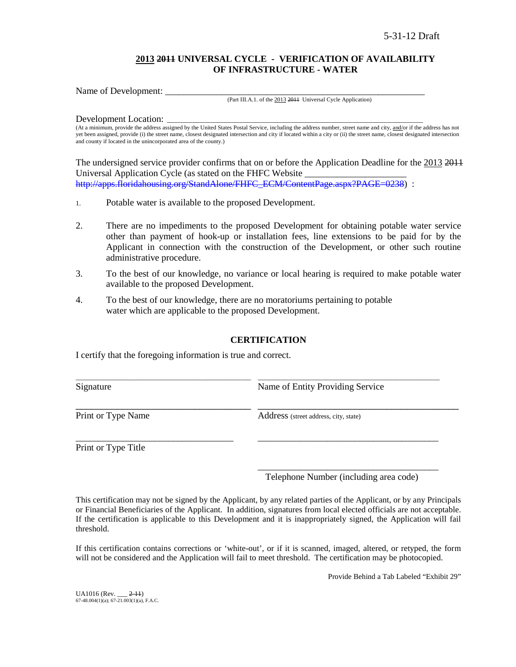### **2013 2011 UNIVERSAL CYCLE - VERIFICATION OF AVAILABILITY OF INFRASTRUCTURE - WATER**

Name of Development:

#### (Part III.A.1. of the 2013 2011 Universal Cycle Application)

Development Location:

(At a minimum, provide the address assigned by the United States Postal Service, including the address number, street name and city, and/or if the address has not yet been assigned, provide (i) the street name, closest designated intersection and city if located within a city or (ii) the street name, closest designated intersection and county if located in the unincorporated area of the county.)

The undersigned service provider confirms that on or before the Application Deadline for the 2013 2011 Universal Application Cycle (as stated on the FHFC Website \_\_\_\_\_\_\_\_\_\_\_\_\_\_\_\_\_\_\_\_\_\_ [http://apps.floridahousing.org/StandAlone/FHFC\\_ECM/ContentPage.aspx?PAGE=0238\)](http://apps.floridahousing.org/StandAlone/FHFC_ECM/ContentPage.aspx?PAGE=0238) :

- 1. Potable water is available to the proposed Development.
- 2. There are no impediments to the proposed Development for obtaining potable water service other than payment of hook-up or installation fees, line extensions to be paid for by the Applicant in connection with the construction of the Development, or other such routine administrative procedure.
- 3. To the best of our knowledge, no variance or local hearing is required to make potable water available to the proposed Development.
- 4. To the best of our knowledge, there are no moratoriums pertaining to potable water which are applicable to the proposed Development.

### **CERTIFICATION**

I certify that the foregoing information is true and correct.

| Signature          | Name of Entity Providing Service      |  |  |
|--------------------|---------------------------------------|--|--|
| Print or Type Name | Address (street address, city, state) |  |  |
|                    |                                       |  |  |

Print or Type Title

\_\_\_\_\_\_\_\_\_\_\_\_\_\_\_\_\_\_\_\_\_\_\_\_\_\_\_\_\_\_\_\_\_\_\_\_\_\_\_ Telephone Number (including area code)

This certification may not be signed by the Applicant, by any related parties of the Applicant, or by any Principals or Financial Beneficiaries of the Applicant. In addition, signatures from local elected officials are not acceptable. If the certification is applicable to this Development and it is inappropriately signed, the Application will fail threshold.

If this certification contains corrections or 'white-out', or if it is scanned, imaged, altered, or retyped, the form will not be considered and the Application will fail to meet threshold. The certification may be photocopied.

Provide Behind a Tab Labeled "Exhibit 29"

UA1016 (Rev. \_\_\_ 2-11) 67-48.004(1)(a); 67-21.003(1)(a), F.A.C.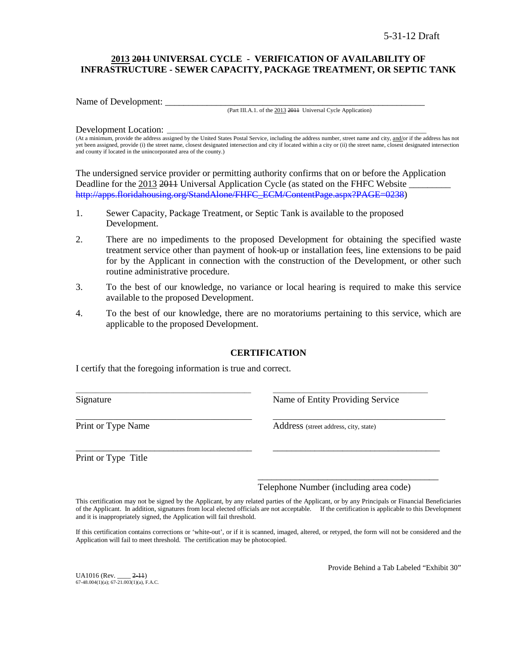# **2013 2011 UNIVERSAL CYCLE - VERIFICATION OF AVAILABILITY OF INFRASTRUCTURE - SEWER CAPACITY, PACKAGE TREATMENT, OR SEPTIC TANK**

Name of Development:

(Part III.A.1. of the 2013 2011 Universal Cycle Application)

### Development Location:

(At a minimum, provide the address assigned by the United States Postal Service, including the address number, street name and city, and/or if the address has not yet been assigned, provide (i) the street name, closest designated intersection and city if located within a city or (ii) the street name, closest designated intersection and county if located in the unincorporated area of the county.)

The undersigned service provider or permitting authority confirms that on or before the Application Deadline for the 2013 2014 Universal Application Cycle (as stated on the FHFC Website [http://apps.floridahousing.org/StandAlone/FHFC\\_ECM/ContentPage.aspx?PAGE=0238\)](http://apps.floridahousing.org/StandAlone/FHFC_ECM/ContentPage.aspx?PAGE=0238)

- 1. Sewer Capacity, Package Treatment, or Septic Tank is available to the proposed Development.
- 2. There are no impediments to the proposed Development for obtaining the specified waste treatment service other than payment of hook-up or installation fees, line extensions to be paid for by the Applicant in connection with the construction of the Development, or other such routine administrative procedure.
- 3. To the best of our knowledge, no variance or local hearing is required to make this service available to the proposed Development.
- 4. To the best of our knowledge, there are no moratoriums pertaining to this service, which are applicable to the proposed Development.

### **CERTIFICATION**

\_\_\_\_\_\_\_\_\_\_\_\_\_\_\_\_\_\_\_\_\_\_\_\_\_\_\_\_\_\_\_\_\_\_\_\_\_\_\_\_\_\_\_\_\_\_\_\_\_\_\_\_ \_\_\_\_\_\_\_\_\_\_\_\_\_\_\_\_\_\_\_\_\_\_\_\_\_\_\_\_\_\_\_\_\_\_\_\_\_\_\_\_\_\_\_\_\_\_

\_\_\_\_\_\_\_\_\_\_\_\_\_\_\_\_\_\_\_\_\_\_\_\_\_\_\_\_\_\_\_\_\_\_\_\_\_\_\_\_\_\_\_\_\_\_\_ \_\_\_\_\_\_\_\_\_\_\_\_\_\_\_\_\_\_\_\_\_\_\_\_\_\_\_\_\_\_\_\_\_\_\_\_\_\_\_\_\_\_\_\_\_\_

\_\_\_\_\_\_\_\_\_\_\_\_\_\_\_\_\_\_\_\_\_\_\_\_\_\_\_\_\_\_\_\_\_\_\_\_\_\_ \_\_\_\_\_\_\_\_\_\_\_\_\_\_\_\_\_\_\_\_\_\_\_\_\_\_\_\_\_\_\_\_\_\_\_\_

I certify that the foregoing information is true and correct.

Signature **Name of Entity Providing Service** Research Name of Entity Providing Service

Print or Type Name Address (street address, city, state)

Print or Type Title

Telephone Number (including area code)

\_\_\_\_\_\_\_\_\_\_\_\_\_\_\_\_\_\_\_\_\_\_\_\_\_\_\_\_\_\_\_\_\_\_\_\_\_\_\_

This certification may not be signed by the Applicant, by any related parties of the Applicant, or by any Principals or Financial Beneficiaries of the Applicant. In addition, signatures from local elected officials are not acceptable. If the certification is applicable to this Development and it is inappropriately signed, the Application will fail threshold.

If this certification contains corrections or 'white-out', or if it is scanned, imaged, altered, or retyped, the form will not be considered and the Application will fail to meet threshold. The certification may be photocopied.

 $UA1016$  (Rev.  $2-11$ )  $67-48.004(1)(a)$ ;  $67-21.003(1)(a)$ , F.A.C. Provide Behind a Tab Labeled "Exhibit 30"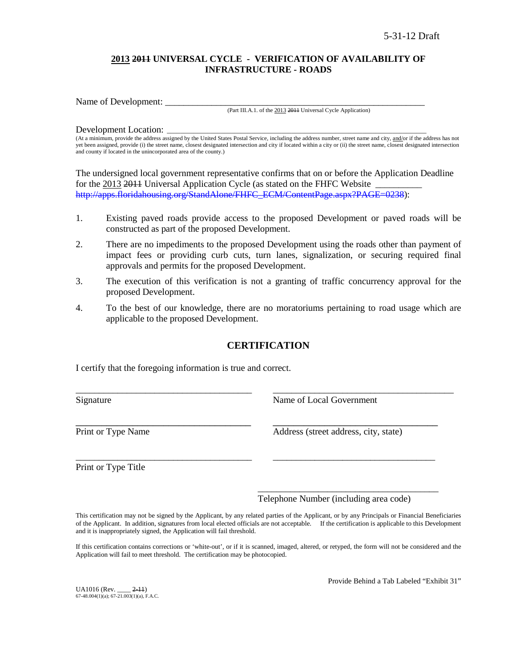# **2013 2011 UNIVERSAL CYCLE - VERIFICATION OF AVAILABILITY OF INFRASTRUCTURE - ROADS**

Name of Development:

(Part III.A.1. of the 2013 2011 Universal Cycle Application)

### Development Location:

(At a minimum, provide the address assigned by the United States Postal Service, including the address number, street name and city, and/or if the address has not yet been assigned, provide (i) the street name, closest designated intersection and city if located within a city or (ii) the street name, closest designated intersection and county if located in the unincorporated area of the county.)

The undersigned local government representative confirms that on or before the Application Deadline for the 2013 2014 Universal Application Cycle (as stated on the FHFC Website [http://apps.floridahousing.org/StandAlone/FHFC\\_ECM/ContentPage.aspx?PAGE=0238\)](http://apps.floridahousing.org/StandAlone/FHFC_ECM/ContentPage.aspx?PAGE=0238):

- 1. Existing paved roads provide access to the proposed Development or paved roads will be constructed as part of the proposed Development.
- 2. There are no impediments to the proposed Development using the roads other than payment of impact fees or providing curb cuts, turn lanes, signalization, or securing required final approvals and permits for the proposed Development.
- 3. The execution of this verification is not a granting of traffic concurrency approval for the proposed Development.
- 4. To the best of our knowledge, there are no moratoriums pertaining to road usage which are applicable to the proposed Development.

# **CERTIFICATION**

\_\_\_\_\_\_\_\_\_\_\_\_\_\_\_\_\_\_\_\_\_\_\_\_\_\_\_\_\_\_\_\_\_\_\_\_\_\_ \_\_\_\_\_\_\_\_\_\_\_\_\_\_\_\_\_\_\_\_\_\_\_\_\_\_\_\_\_\_\_\_\_\_\_\_\_\_\_

\_\_\_\_\_\_\_\_\_\_\_\_\_\_\_\_\_\_\_\_\_\_\_\_\_\_\_\_\_\_\_\_\_\_\_\_\_\_ \_\_\_\_\_\_\_\_\_\_\_\_\_\_\_\_\_\_\_\_\_\_\_\_\_\_\_\_\_\_\_\_\_\_\_

I certify that the foregoing information is true and correct.

Signature Name of Local Government

\_\_\_\_\_\_\_\_\_\_\_\_\_\_\_\_\_\_\_\_\_\_\_\_\_\_\_\_\_\_\_\_\_\_ \_\_\_\_\_\_\_\_\_\_\_\_\_\_\_\_\_\_\_\_\_\_\_\_\_\_\_\_\_\_\_\_ Print or Type Name Address (street address, city, state)

Print or Type Title

\_\_\_\_\_\_\_\_\_\_\_\_\_\_\_\_\_\_\_\_\_\_\_\_\_\_\_\_\_\_\_\_\_\_\_\_\_\_\_ Telephone Number (including area code)

This certification may not be signed by the Applicant, by any related parties of the Applicant, or by any Principals or Financial Beneficiaries of the Applicant. In addition, signatures from local elected officials are not acceptable. If the certification is applicable to this Development and it is inappropriately signed, the Application will fail threshold.

If this certification contains corrections or 'white-out', or if it is scanned, imaged, altered, or retyped, the form will not be considered and the Application will fail to meet threshold. The certification may be photocopied.

UA1016 (Rev. \_\_\_\_ 2-11)  $67-48.004(1)(a)$ ;  $67-21.003(1)(a)$ , F.A.C. Provide Behind a Tab Labeled "Exhibit 31"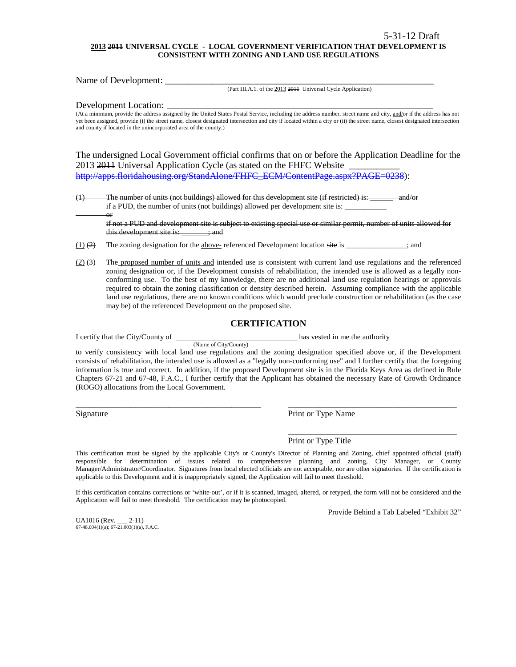#### **2013 2011 UNIVERSAL CYCLE - LOCAL GOVERNMENT VERIFICATION THAT DEVELOPMENT IS CONSISTENT WITH ZONING AND LAND USE REGULATIONS**

Name of Development: \_\_\_\_\_\_\_\_\_\_\_\_\_\_\_\_\_\_\_\_\_\_\_\_\_\_\_\_\_\_\_\_\_\_\_\_\_\_\_\_\_\_\_\_\_\_\_\_\_\_\_\_\_\_\_\_\_\_

(Part III.A.1. of the 2013 2011 Universal Cycle Application)

Development Location:

or

(At a minimum, provide the address assigned by the United States Postal Service, including the address number, street name and city, and/or if the address has not yet been assigned, provide (i) the street name, closest designated intersection and city if located within a city or (ii) the street name, closest designated intersection and county if located in the unincorporated area of the county.)

The undersigned Local Government official confirms that on or before the Application Deadline for the 2013 2014 Universal Application Cycle (as stated on the FHFC Website [http://apps.floridahousing.org/StandAlone/FHFC\\_ECM/ContentPage.aspx?PAGE=0238\)](http://apps.floridahousing.org/StandAlone/FHFC_ECM/ContentPage.aspx?PAGE=0238):

 $(1)$  The number of units (not buildings) allowed for this development site (if restricted) is: if a PUD, the number of units (not buildings) allowed per development site is:

if not a PUD and development site is subject to existing special use or similar permit, number of units allowed for this development site is: \_\_\_\_\_\_; and

 $(1)$  (2) The zoning designation for the above- referenced Development location site is \_\_\_\_\_\_\_\_\_\_\_; and

(Name of City/County)

 $(2)$   $(3)$  The proposed number of units and intended use is consistent with current land use regulations and the referenced zoning designation or, if the Development consists of rehabilitation, the intended use is allowed as a legally nonconforming use. To the best of my knowledge, there are no additional land use regulation hearings or approvals required to obtain the zoning classification or density described herein. Assuming compliance with the applicable land use regulations, there are no known conditions which would preclude construction or rehabilitation (as the case may be) of the referenced Development on the proposed site.

### **CERTIFICATION**

I certify that the City/County of \_\_\_\_\_\_\_\_\_\_\_\_\_\_\_\_\_\_\_\_\_\_\_\_\_\_\_\_\_\_\_\_ has vested in me the authority

to verify consistency with local land use regulations and the zoning designation specified above or, if the Development consists of rehabilitation, the intended use is allowed as a "legally non-conforming use" and I further certify that the foregoing information is true and correct. In addition, if the proposed Development site is in the Florida Keys Area as defined in Rule Chapters 67-21 and 67-48, F.A.C., I further certify that the Applicant has obtained the necessary Rate of Growth Ordinance (ROGO) allocations from the Local Government.

\_\_\_\_\_\_\_\_\_\_\_\_\_\_\_\_\_\_\_\_\_\_\_\_\_\_\_\_\_\_\_\_\_\_\_\_\_\_\_\_\_\_\_\_ \_\_\_\_\_\_\_\_\_\_\_\_\_\_\_\_\_\_\_\_\_\_\_\_\_\_\_\_\_\_\_\_\_\_\_\_\_\_\_\_

Signature Print or Type Name

Print or Type Title

This certification must be signed by the applicable City's or County's Director of Planning and Zoning, chief appointed official (staff) responsible for determination of issues related to comprehensive planning and zoning, City Manager, or County Manager/Administrator/Coordinator. Signatures from local elected officials are not acceptable, nor are other signatories. If the certification is applicable to this Development and it is inappropriately signed, the Application will fail to meet threshold.

If this certification contains corrections or 'white-out', or if it is scanned, imaged, altered, or retyped, the form will not be considered and the Application will fail to meet threshold. The certification may be photocopied.

Provide Behind a Tab Labeled "Exhibit 32"

\_\_\_\_\_\_\_\_\_\_\_\_\_\_\_\_\_\_\_\_\_\_\_\_\_\_\_\_\_\_\_\_\_\_\_\_\_\_\_\_

UA1016 (Rev. \_\_\_ 2-11) 67-48.004(1)(a); 67-21.003(1)(a), F.A.C.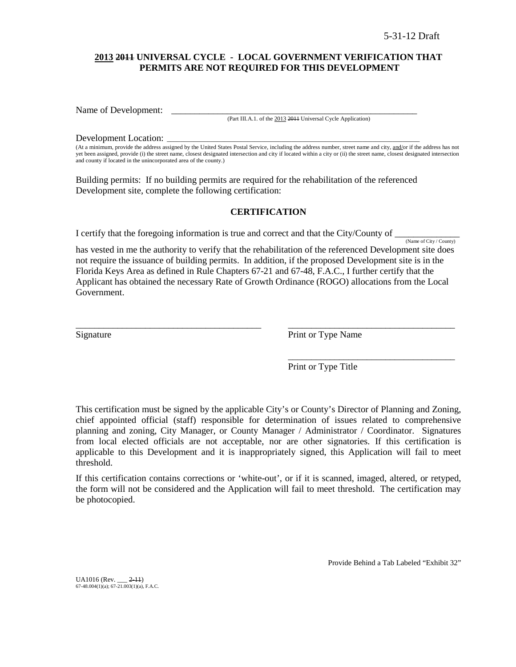### **2013 2011 UNIVERSAL CYCLE - LOCAL GOVERNMENT VERIFICATION THAT PERMITS ARE NOT REQUIRED FOR THIS DEVELOPMENT**

Name of Development:

(Part III.A.1. of the 2013 2011 Universal Cycle Application)

#### Development Location:

(At a minimum, provide the address assigned by the United States Postal Service, including the address number, street name and city, and/or if the address has not yet been assigned, provide (i) the street name, closest designated intersection and city if located within a city or (ii) the street name, closest designated intersection and county if located in the unincorporated area of the county.)

Building permits: If no building permits are required for the rehabilitation of the referenced Development site, complete the following certification:

### **CERTIFICATION**

I certify that the foregoing information is true and correct and that the City/County of  $\frac{N_{\text{ame of City}/\text{Country}}}{N_{\text{amp of City}/\text{Country}}}$ 

has vested in me the authority to verify that the rehabilitation of the referenced Development site does not require the issuance of building permits. In addition, if the proposed Development site is in the Florida Keys Area as defined in Rule Chapters 67-21 and 67-48, F.A.C., I further certify that the Applicant has obtained the necessary Rate of Growth Ordinance (ROGO) allocations from the Local Government.

\_\_\_\_\_\_\_\_\_\_\_\_\_\_\_\_\_\_\_\_\_\_\_\_\_\_\_\_\_\_\_\_\_\_\_\_\_\_\_\_ \_\_\_\_\_\_\_\_\_\_\_\_\_\_\_\_\_\_\_\_\_\_\_\_\_\_\_\_\_\_\_\_\_\_\_\_

Signature Print or Type Name

Print or Type Title

\_\_\_\_\_\_\_\_\_\_\_\_\_\_\_\_\_\_\_\_\_\_\_\_\_\_\_\_\_\_\_\_\_\_\_\_

This certification must be signed by the applicable City's or County's Director of Planning and Zoning, chief appointed official (staff) responsible for determination of issues related to comprehensive planning and zoning, City Manager, or County Manager / Administrator / Coordinator. Signatures from local elected officials are not acceptable, nor are other signatories. If this certification is applicable to this Development and it is inappropriately signed, this Application will fail to meet threshold.

If this certification contains corrections or 'white-out', or if it is scanned, imaged, altered, or retyped, the form will not be considered and the Application will fail to meet threshold. The certification may be photocopied.

Provide Behind a Tab Labeled "Exhibit 32"

UA1016 (Rev. \_\_\_ 2-11) 67-48.004(1)(a); 67-21.003(1)(a), F.A.C.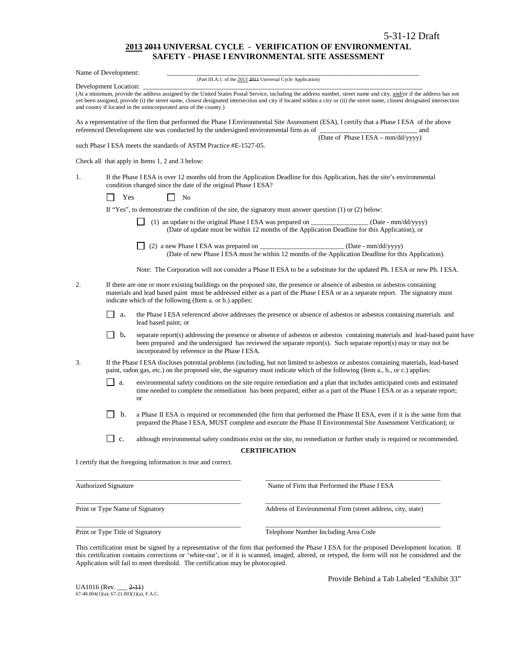#### **2013 2011 UNIVERSAL CYCLE - VERIFICATION OF ENVIRONMENTAL SAFETY - PHASE I ENVIRONMENTAL SITE ASSESSMENT**

|    | Name of Development:        |                                                                                                                                                                                                                                                                                                                                                                                                                      |
|----|-----------------------------|----------------------------------------------------------------------------------------------------------------------------------------------------------------------------------------------------------------------------------------------------------------------------------------------------------------------------------------------------------------------------------------------------------------------|
|    | Development Location:       | (Part III.A.1. of the 2013 2014 Universal Cycle Application)                                                                                                                                                                                                                                                                                                                                                         |
|    |                             | (At a minimum, provide the address assigned by the United States Postal Service, including the address number, street name and city, and/or if the address has not<br>yet been assigned, provide (i) the street name, closest designated intersection and city if located within a city or (ii) the street name, closest designated intersection<br>and county if located in the unincorporated area of the county.) |
|    |                             | As a representative of the firm that performed the Phase I Environmental Site Assessment (ESA), I certify that a Phase I ESA of the above<br>referenced Development site was conducted by the undersigned environmental firm as of<br>and                                                                                                                                                                            |
|    |                             | (Date of Phase I ESA - mm/dd/yyyy)<br>such Phase I ESA meets the standards of ASTM Practice #E-1527-05.                                                                                                                                                                                                                                                                                                              |
|    |                             | Check all that apply in Items 1, 2 and 3 below:                                                                                                                                                                                                                                                                                                                                                                      |
| 1. |                             | If the Phase I ESA is over 12 months old from the Application Deadline for this Application, has the site's environmental<br>condition changed since the date of the original Phase I ESA?                                                                                                                                                                                                                           |
|    | Yes                         | No                                                                                                                                                                                                                                                                                                                                                                                                                   |
|    |                             | If "Yes", to demonstrate the condition of the site, the signatory must answer question $(1)$ or $(2)$ below:                                                                                                                                                                                                                                                                                                         |
|    |                             | (1) an update to the original Phase I ESA was prepared on (Date - mm/dd/yyyy)<br>(Date of update must be within 12 months of the Application Deadline for this Application), or                                                                                                                                                                                                                                      |
|    |                             | (Date of new Phase I ESA must be within 12 months of the Application Deadline for this Application).                                                                                                                                                                                                                                                                                                                 |
|    |                             | Note: The Corporation will not consider a Phase II ESA to be a substitute for the updated Ph. I ESA or new Ph. I ESA.                                                                                                                                                                                                                                                                                                |
| 2. |                             | If there are one or more existing buildings on the proposed site, the presence or absence of asbestos or asbestos containing<br>materials and lead based paint must be addressed either as a part of the Phase IESA or as a separate report. The signatory must<br>indicate which of the following (Item a. or b.) applies:                                                                                          |
|    | $\Box$<br>a.                | the Phase I ESA referenced above addresses the presence or absence of asbestos or asbestos containing materials and<br>lead based paint; or                                                                                                                                                                                                                                                                          |
|    | $\mathsf{L}$<br>b.          | separate report(s) addressing the presence or absence of asbestos or asbestos containing materials and lead-based paint have<br>been prepared and the undersigned has reviewed the separate report(s). Such separate report(s) may or may not be<br>incorporated by reference in the Phase I ESA.                                                                                                                    |
| 3. |                             | If the Phase I ESA discloses potential problems (including, but not limited to asbestos or asbestos containing materials, lead-based<br>paint, radon gas, etc.) on the proposed site, the signatory must indicate which of the following (Item a., b., or c.) applies:                                                                                                                                               |
|    | ΙI<br>a.                    | environmental safety conditions on the site require remediation and a plan that includes anticipated costs and estimated<br>time needed to complete the remediation has been prepared, either as a part of the Phase I ESA or as a separate report;<br>or                                                                                                                                                            |
|    | b.                          | a Phase II ESA is required or recommended (the firm that performed the Phase II ESA, even if it is the same firm that<br>prepared the Phase I ESA, MUST complete and execute the Phase II Environmental Site Assessment Verification); or                                                                                                                                                                            |
|    | c.                          | although environmental safety conditions exist on the site, no remediation or further study is required or recommended.                                                                                                                                                                                                                                                                                              |
|    |                             | <b>CERTIFICATION</b>                                                                                                                                                                                                                                                                                                                                                                                                 |
|    |                             | I certify that the foregoing information is true and correct.                                                                                                                                                                                                                                                                                                                                                        |
|    | <b>Authorized Signature</b> | Name of Firm that Performed the Phase I ESA                                                                                                                                                                                                                                                                                                                                                                          |
|    |                             | Print or Type Name of Signatory<br>Address of Environmental Firm (street address, city, state)                                                                                                                                                                                                                                                                                                                       |

Print or Type Title of Signatory Telephone Number Including Area Code

This certification must be signed by a representative of the firm that performed the Phase I ESA for the proposed Development location.If this certification contains corrections or 'white-out', or if it is scanned, imaged, altered, or retyped, the form will not be considered and the Application will fail to meet threshold. The certification may be photocopied.

\_\_\_\_\_\_\_\_\_\_\_\_\_\_\_\_\_\_\_\_\_\_\_\_\_\_\_\_\_\_\_\_\_\_\_\_\_\_\_\_\_\_\_\_\_\_\_\_\_ \_\_\_\_\_\_\_\_\_\_\_\_\_\_\_\_\_\_\_\_\_\_\_\_\_\_\_\_\_\_\_\_\_\_\_\_\_\_\_\_\_\_\_\_\_\_\_\_\_\_\_\_

UA1016 (Rev. \_\_\_ <del>2-11</del>)<br>67-48.004(1)(a); 67-21.003(1)(a), F.A.C.

Provide Behind a Tab Labeled "Exhibit 33"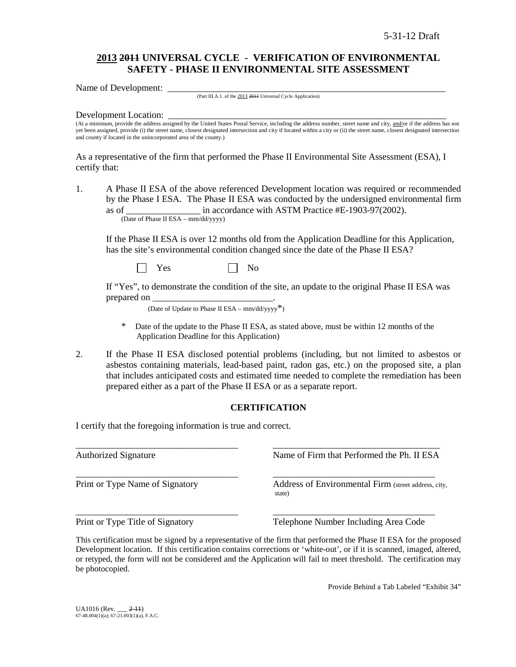# **2013 2011 UNIVERSAL CYCLE - VERIFICATION OF ENVIRONMENTAL SAFETY - PHASE II ENVIRONMENTAL SITE ASSESSMENT**

Name of Development:

(Part III.A.1. of the 2013 2011 Universal Cycle Application)

### Development Location:

(At a minimum, provide the address assigned by the United States Postal Service, including the address number, street name and city, and/or if the address has not yet been assigned, provide (i) the street name, closest designated intersection and city if located within a city or (ii) the street name, closest designated intersection and county if located in the unincorporated area of the county.)

As a representative of the firm that performed the Phase II Environmental Site Assessment (ESA), I certify that:

1. A Phase II ESA of the above referenced Development location was required or recommended by the Phase I ESA. The Phase II ESA was conducted by the undersigned environmental firm as of <br>in accordance with ASTM Practice #E-1903-97(2002). (Date of Phase II ESA – mm/dd/yyyy)

If the Phase II ESA is over 12 months old from the Application Deadline for this Application, has the site's environmental condition changed since the date of the Phase II ESA?

 $Yes \t\t \Box No$ 

If "Yes", to demonstrate the condition of the site, an update to the original Phase II ESA was prepared on

(Date of Update to Phase II ESA –  $mm/dd/yyyy^*$ )

- Date of the update to the Phase II ESA, as stated above, must be within 12 months of the Application Deadline for this Application)
- 2. If the Phase II ESA disclosed potential problems (including, but not limited to asbestos or asbestos containing materials, lead-based paint, radon gas, etc.) on the proposed site, a plan that includes anticipated costs and estimated time needed to complete the remediation has been prepared either as a part of the Phase II ESA or as a separate report.

### **CERTIFICATION**

I certify that the foregoing information is true and correct.

\_\_\_\_\_\_\_\_\_\_\_\_\_\_\_\_\_\_\_\_\_\_\_\_\_\_\_\_\_\_\_\_\_\_\_ \_\_\_\_\_\_\_\_\_\_\_\_\_\_\_\_\_\_\_\_\_\_\_\_\_\_\_\_\_\_\_\_\_\_\_\_ Authorized Signature Name of Firm that Performed the Ph. II ESA \_\_\_\_\_\_\_\_\_\_\_\_\_\_\_\_\_\_\_\_\_\_\_\_\_\_\_\_\_\_\_\_\_\_\_ \_\_\_\_\_\_\_\_\_\_\_\_\_\_\_\_\_\_\_\_\_\_\_\_\_\_\_\_\_\_\_\_\_\_\_ Print or Type Name of Signatory **Address of Environmental Firm** (street address, city, state) \_\_\_\_\_\_\_\_\_\_\_\_\_\_\_\_\_\_\_\_\_\_\_\_\_\_\_\_\_\_\_\_\_\_\_ \_\_\_\_\_\_\_\_\_\_\_\_\_\_\_\_\_\_\_\_\_\_\_\_\_\_\_\_\_\_\_\_\_\_\_ Print or Type Title of Signatory Telephone Number Including Area Code

This certification must be signed by a representative of the firm that performed the Phase II ESA for the proposed Development location.If this certification contains corrections or 'white-out', or if it is scanned, imaged, altered, or retyped, the form will not be considered and the Application will fail to meet threshold. The certification may be photocopied.

Provide Behind a Tab Labeled "Exhibit 34"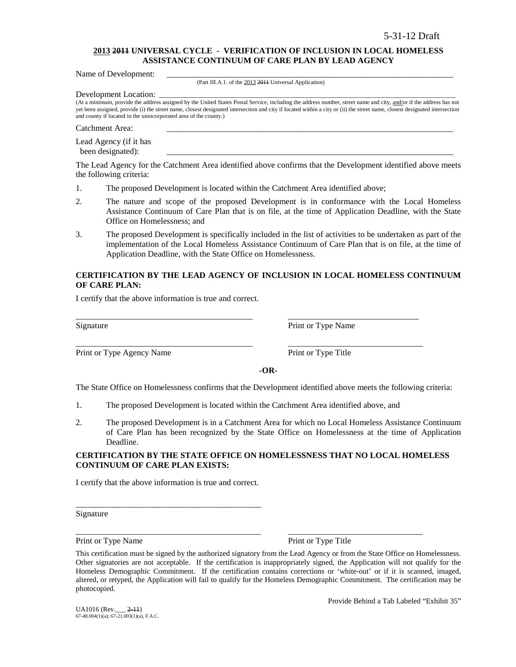### **2013 2011 UNIVERSAL CYCLE - VERIFICATION OF INCLUSION IN LOCAL HOMELESS ASSISTANCE CONTINUUM OF CARE PLAN BY LEAD AGENCY**

Name of Development:

(Part III.A.1. of the 2013 2011 Universal Application)

Development Location:

(At a minimum, provide the address assigned by the United States Postal Service, including the address number, street name and city, and/or if the address has not yet been assigned, provide (i) the street name, closest designated intersection and city if located within a city or (ii) the street name, closest designated intersection and county if located in the unincorporated area of the county.)

Catchment Area:

Lead Agency (if it has been designated):

The Lead Agency for the Catchment Area identified above confirms that the Development identified above meets the following criteria:

- 1. The proposed Development is located within the Catchment Area identified above;
- 2. The nature and scope of the proposed Development is in conformance with the Local Homeless Assistance Continuum of Care Plan that is on file, at the time of Application Deadline, with the State Office on Homelessness; and
- 3. The proposed Development is specifically included in the list of activities to be undertaken as part of the implementation of the Local Homeless Assistance Continuum of Care Plan that is on file, at the time of Application Deadline, with the State Office on Homelessness.

### **CERTIFICATION BY THE LEAD AGENCY OF INCLUSION IN LOCAL HOMELESS CONTINUUM OF CARE PLAN:**

I certify that the above information is true and correct.

Print or Type Agency Name Print or Type Title

Signature Print or Type Name

**-OR-**

The State Office on Homelessness confirms that the Development identified above meets the following criteria:

1. The proposed Development is located within the Catchment Area identified above, and

\_\_\_\_\_\_\_\_\_\_\_\_\_\_\_\_\_\_\_\_\_\_\_\_\_\_\_\_\_\_\_\_\_\_\_\_\_\_\_\_\_\_ \_\_\_\_\_\_\_\_\_\_\_\_\_\_\_\_\_\_\_\_\_\_\_\_\_\_\_\_\_\_\_

\_\_\_\_\_\_\_\_\_\_\_\_\_\_\_\_\_\_\_\_\_\_\_\_\_\_\_\_\_\_\_\_\_\_\_\_\_\_\_\_\_\_ \_\_\_\_\_\_\_\_\_\_\_\_\_\_\_\_\_\_\_\_\_\_\_\_\_\_\_\_\_\_\_\_

2. The proposed Development is in a Catchment Area for which no Local Homeless Assistance Continuum of Care Plan has been recognized by the State Office on Homelessness at the time of Application Deadline.

### **CERTIFICATION BY THE STATE OFFICE ON HOMELESSNESS THAT NO LOCAL HOMELESS CONTINUUM OF CARE PLAN EXISTS:**

I certify that the above information is true and correct.

\_\_\_\_\_\_\_\_\_\_\_\_\_\_\_\_\_\_\_\_\_\_\_\_\_\_\_\_\_\_\_\_\_\_\_\_\_\_\_\_\_\_\_\_

Signature

Print or Type Name Print or Type Title

\_\_\_\_\_\_\_\_\_\_\_\_\_\_\_\_\_\_\_\_\_\_\_\_\_\_\_\_\_\_\_\_\_\_\_\_\_\_\_\_\_\_\_\_ \_\_\_\_\_\_\_\_\_\_\_\_\_\_\_\_\_\_\_\_\_\_\_\_\_\_\_\_\_\_\_\_

Provide Behind a Tab Labeled "Exhibit 35"

This certification must be signed by the authorized signatory from the Lead Agency or from the State Office on Homelessness. Other signatories are not acceptable. If the certification is inappropriately signed, the Application will not qualify for the Homeless Demographic Commitment. If the certification contains corrections or 'white-out' or if it is scanned, imaged, altered, or retyped, the Application will fail to qualify for the Homeless Demographic Commitment. The certification may be photocopied.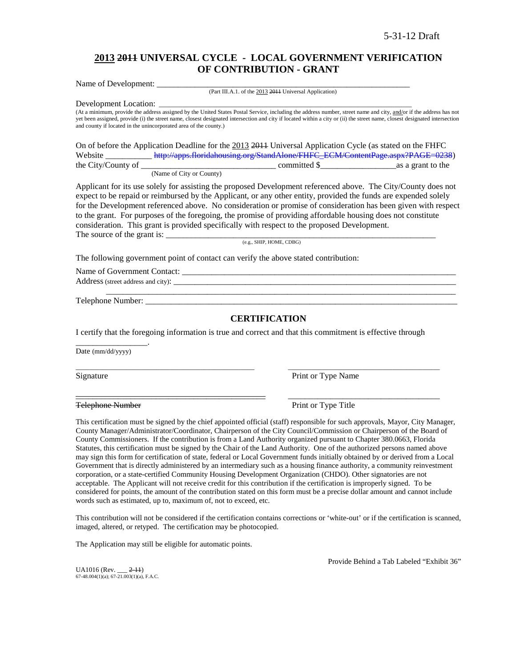# **2013 2011 UNIVERSAL CYCLE - LOCAL GOVERNMENT VERIFICATION OF CONTRIBUTION - GRANT**

Name of Development: (Part III.A.1. of the 2013 2011 Universal Application)

Development Location:

(At a minimum, provide the address assigned by the United States Postal Service, including the address number, street name and city, and/or if the address has not yet been assigned, provide (i) the street name, closest designated intersection and city if located within a city or (ii) the street name, closest designated intersection and county if located in the unincorporated area of the county.)

On of before the Application Deadline for the 2013 2011 Universal Application Cycle (as stated on the FHFC Website [http://apps.floridahousing.org/StandAlone/FHFC\\_ECM/ContentPage.aspx?PAGE=0238\)](http://apps.floridahousing.org/StandAlone/FHFC_ECM/ContentPage.aspx?PAGE=0238)<br>the City/County of as a grant to the  $\frac{1}{\sqrt{1-\frac{1}{\sqrt{1-\frac{1}{\sqrt{1-\frac{1}{\sqrt{1-\frac{1}{\sqrt{1-\frac{1}{\sqrt{1-\frac{1}{\sqrt{1-\frac{1}{\sqrt{1-\frac{1}{\sqrt{1-\frac{1}{\sqrt{1-\frac{1}{\sqrt{1-\frac{1}{\sqrt{1-\frac{1}{\sqrt{1-\frac{1}{\sqrt{1-\frac{1}{\sqrt{1-\frac{1}{\sqrt{1-\frac{1}{\sqrt{1-\frac{1}{\sqrt{1-\frac{1}{\sqrt{1-\frac{1}{\sqrt{1-\frac{1}{\sqrt{1-\frac{1}{\sqrt{1-\frac{1}{\sqrt{1-\frac{1}{\sqrt{1-\frac{1$ 

(Name of City or County)

Applicant for its use solely for assisting the proposed Development referenced above. The City/County does not expect to be repaid or reimbursed by the Applicant, or any other entity, provided the funds are expended solely for the Development referenced above. No consideration or promise of consideration has been given with respect to the grant. For purposes of the foregoing, the promise of providing affordable housing does not constitute consideration. This grant is provided specifically with respect to the proposed Development. The source of the grant is: \_\_\_\_\_\_\_\_\_\_\_\_\_\_\_\_\_\_\_\_\_\_\_\_\_\_\_\_\_\_\_\_\_\_\_\_\_\_\_\_\_\_\_\_\_\_\_\_\_\_\_\_\_\_\_\_\_\_\_\_\_\_\_\_

(e.g., SHIP, HOME, CDBG)

The following government point of contact can verify the above stated contribution:

Name of Government Contact: Address (street address and city): \_\_\_\_\_\_\_\_\_\_\_\_\_\_\_\_\_\_\_\_\_\_\_\_\_\_\_\_\_\_\_\_\_\_\_\_\_\_\_\_\_\_\_\_\_\_\_\_\_\_\_\_\_\_\_\_\_\_\_\_\_\_\_\_\_\_\_

Telephone Number:

### **CERTIFICATION**

\_\_\_\_\_\_\_\_\_\_\_\_\_\_\_\_\_\_\_\_\_\_\_\_\_\_\_\_\_\_\_\_\_\_\_\_\_\_\_\_\_\_\_\_\_\_\_\_\_\_\_\_\_\_\_\_\_\_\_\_\_\_\_\_\_\_\_\_\_\_\_\_\_\_\_\_\_\_\_\_\_\_\_

I certify that the foregoing information is true and correct and that this commitment is effective through

\_\_\_\_\_\_\_\_\_\_\_\_\_\_\_\_\_\_\_\_\_\_\_\_\_\_\_\_\_\_\_\_\_\_\_\_\_\_\_\_\_\_\_\_\_\_\_\_\_\_\_\_\_ \_\_\_\_\_\_\_\_\_\_\_\_\_\_\_\_\_\_\_\_\_\_\_\_\_\_\_\_\_\_\_\_\_\_\_\_\_\_\_\_\_\_\_\_\_

\_\_\_\_\_\_\_\_\_\_\_\_\_\_\_\_\_\_\_\_\_\_\_\_\_\_\_\_\_\_\_\_\_\_\_\_\_\_\_\_\_\_\_\_\_ \_\_\_\_\_\_\_\_\_\_\_\_\_\_\_\_\_\_\_\_\_\_\_\_\_\_\_\_\_\_\_\_\_\_\_\_

Date (mm/dd/yyyy)

\_\_\_\_\_\_\_\_\_\_\_\_\_\_\_\_\_.

Signature Print or Type Name

Telephone Number Print or Type Title

This certification must be signed by the chief appointed official (staff) responsible for such approvals, Mayor, City Manager, County Manager/Administrator/Coordinator, Chairperson of the City Council/Commission or Chairperson of the Board of County Commissioners. If the contribution is from a Land Authority organized pursuant to Chapter 380.0663, Florida Statutes, this certification must be signed by the Chair of the Land Authority. One of the authorized persons named above may sign this form for certification of state, federal or Local Government funds initially obtained by or derived from a Local Government that is directly administered by an intermediary such as a housing finance authority, a community reinvestment corporation, or a state-certified Community Housing Development Organization (CHDO). Other signatories are not acceptable. The Applicant will not receive credit for this contribution if the certification is improperly signed. To be considered for points, the amount of the contribution stated on this form must be a precise dollar amount and cannot include words such as estimated, up to, maximum of, not to exceed, etc.

This contribution will not be considered if the certification contains corrections or 'white-out' or if the certification is scanned, imaged, altered, or retyped. The certification may be photocopied.

The Application may still be eligible for automatic points.

Provide Behind a Tab Labeled "Exhibit 36"

 $UA1016$  (Rev.  $2-11$ )  $67-48.004(1)(a)$ ;  $67-21.003(1)(a)$ , F.A.C.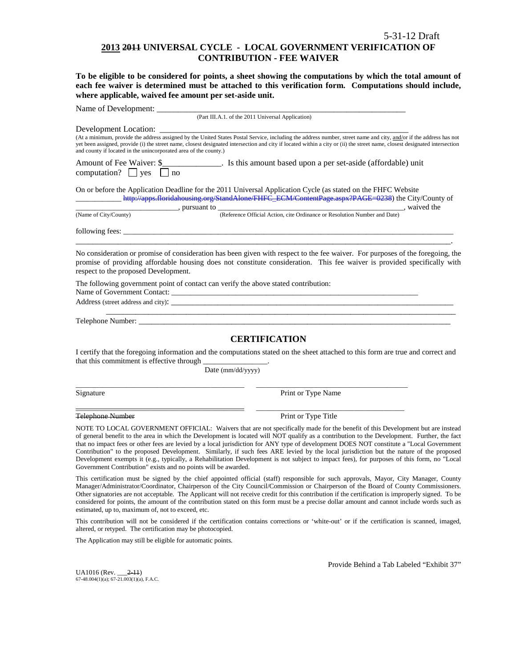### **2013 2011 UNIVERSAL CYCLE - LOCAL GOVERNMENT VERIFICATION OF CONTRIBUTION - FEE WAIVER**

**To be eligible to be considered for points, a sheet showing the computations by which the total amount of each fee waiver is determined must be attached to this verification form. Computations should include, where applicable, waived fee amount per set-aside unit.**

| Name of Development: ________                                                                                                                                                                                                                                                                                                                                                                                                               |                                                                                                                                                                                                                                                                                                                                                                                                                                                                                                                                                                                                                                                                                                                   |
|---------------------------------------------------------------------------------------------------------------------------------------------------------------------------------------------------------------------------------------------------------------------------------------------------------------------------------------------------------------------------------------------------------------------------------------------|-------------------------------------------------------------------------------------------------------------------------------------------------------------------------------------------------------------------------------------------------------------------------------------------------------------------------------------------------------------------------------------------------------------------------------------------------------------------------------------------------------------------------------------------------------------------------------------------------------------------------------------------------------------------------------------------------------------------|
|                                                                                                                                                                                                                                                                                                                                                                                                                                             | (Part III.A.1. of the 2011 Universal Application)                                                                                                                                                                                                                                                                                                                                                                                                                                                                                                                                                                                                                                                                 |
| Development Location:                                                                                                                                                                                                                                                                                                                                                                                                                       |                                                                                                                                                                                                                                                                                                                                                                                                                                                                                                                                                                                                                                                                                                                   |
| and county if located in the unincorporated area of the county.)                                                                                                                                                                                                                                                                                                                                                                            | (At a minimum, provide the address assigned by the United States Postal Service, including the address number, street name and city, and/or if the address has not<br>yet been assigned, provide (i) the street name, closest designated intersection and city if located within a city or (ii) the street name, closest designated intersection                                                                                                                                                                                                                                                                                                                                                                  |
| Amount of Fee Waiver: \$<br>computation? $\Box$ yes<br>no                                                                                                                                                                                                                                                                                                                                                                                   | <u>_________</u> __________. Is this amount based upon a per set-aside (affordable) unit                                                                                                                                                                                                                                                                                                                                                                                                                                                                                                                                                                                                                          |
| On or before the Application Deadline for the 2011 Universal Application Cycle (as stated on the FHFC Website                                                                                                                                                                                                                                                                                                                               | http://apps.floridahousing.org/StandAlone/FHFC_ECM/ContentPage.aspx?PAGE=0238) the City/County of                                                                                                                                                                                                                                                                                                                                                                                                                                                                                                                                                                                                                 |
| $\frac{1}{\sqrt{1-\frac{1}{2}}}\frac{1}{\sqrt{1-\frac{1}{2}}}\$ , pursuant to $\frac{1}{\sqrt{1-\frac{1}{2}}}\frac{1}{\sqrt{1-\frac{1}{2}}}\frac{1}{\sqrt{1-\frac{1}{2}}}\frac{1}{\sqrt{1-\frac{1}{2}}}\frac{1}{\sqrt{1-\frac{1}{2}}}\frac{1}{\sqrt{1-\frac{1}{2}}}\frac{1}{\sqrt{1-\frac{1}{2}}}\frac{1}{\sqrt{1-\frac{1}{2}}}\frac{1}{\sqrt{1-\frac{1}{2}}}\frac{1}{\sqrt{1-\frac{1}{2}}}\frac{1}{\sqrt{1-\frac$<br>(Name of City/County) | (Reference Official Action, cite Ordinance or Resolution Number and Date), waived the                                                                                                                                                                                                                                                                                                                                                                                                                                                                                                                                                                                                                             |
|                                                                                                                                                                                                                                                                                                                                                                                                                                             |                                                                                                                                                                                                                                                                                                                                                                                                                                                                                                                                                                                                                                                                                                                   |
| respect to the proposed Development.                                                                                                                                                                                                                                                                                                                                                                                                        | No consideration or promise of consideration has been given with respect to the fee waiver. For purposes of the foregoing, the<br>promise of providing affordable housing does not constitute consideration. This fee waiver is provided specifically with                                                                                                                                                                                                                                                                                                                                                                                                                                                        |
| The following government point of contact can verify the above stated contribution:                                                                                                                                                                                                                                                                                                                                                         |                                                                                                                                                                                                                                                                                                                                                                                                                                                                                                                                                                                                                                                                                                                   |
|                                                                                                                                                                                                                                                                                                                                                                                                                                             |                                                                                                                                                                                                                                                                                                                                                                                                                                                                                                                                                                                                                                                                                                                   |
|                                                                                                                                                                                                                                                                                                                                                                                                                                             | <b>CERTIFICATION</b>                                                                                                                                                                                                                                                                                                                                                                                                                                                                                                                                                                                                                                                                                              |
| that this commitment is effective through                                                                                                                                                                                                                                                                                                                                                                                                   | I certify that the foregoing information and the computations stated on the sheet attached to this form are true and correct and                                                                                                                                                                                                                                                                                                                                                                                                                                                                                                                                                                                  |
| Date (mm/dd/yyyy)                                                                                                                                                                                                                                                                                                                                                                                                                           |                                                                                                                                                                                                                                                                                                                                                                                                                                                                                                                                                                                                                                                                                                                   |
| Signature                                                                                                                                                                                                                                                                                                                                                                                                                                   | Print or Type Name                                                                                                                                                                                                                                                                                                                                                                                                                                                                                                                                                                                                                                                                                                |
| Telephone Number                                                                                                                                                                                                                                                                                                                                                                                                                            | Print or Type Title                                                                                                                                                                                                                                                                                                                                                                                                                                                                                                                                                                                                                                                                                               |
| Government Contribution" exists and no points will be awarded.                                                                                                                                                                                                                                                                                                                                                                              | NOTE TO LOCAL GOVERNMENT OFFICIAL: Waivers that are not specifically made for the benefit of this Development but are instead<br>of general benefit to the area in which the Development is located will NOT qualify as a contribution to the Development. Further, the fact<br>that no impact fees or other fees are levied by a local jurisdiction for ANY type of development DOES NOT constitute a "Local Government"<br>Contribution" to the proposed Development. Similarly, if such fees ARE levied by the local jurisdiction but the nature of the proposed<br>Development exempts it (e.g., typically, a Rehabilitation Development is not subject to impact fees), for purposes of this form, no "Local |
| estimated, up to, maximum of, not to exceed, etc.                                                                                                                                                                                                                                                                                                                                                                                           | This certification must be signed by the chief appointed official (staff) responsible for such approvals, Mayor, City Manager, County<br>Manager/Administrator/Coordinator, Chairperson of the City Council/Commission or Chairperson of the Board of County Commissioners.<br>Other signatories are not acceptable. The Applicant will not receive credit for this contribution if the certification is improperly signed. To be<br>considered for points, the amount of the contribution stated on this form must be a precise dollar amount and cannot include words such as                                                                                                                                   |

This contribution will not be considered if the certification contains corrections or 'white-out' or if the certification is scanned, imaged, altered, or retyped. The certification may be photocopied.

The Application may still be eligible for automatic points.

Provide Behind a Tab Labeled "Exhibit 37"

UA1016 (Rev. \_\_\_2-11) 67-48.004(1)(a); 67-21.003(1)(a), F.A.C.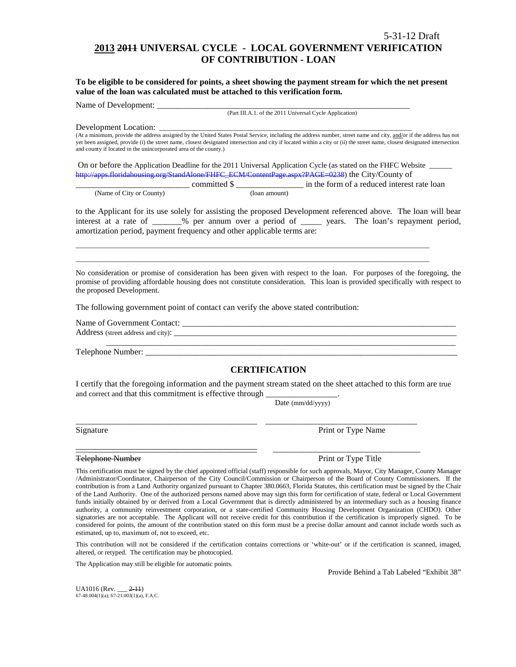# **2013 2011 UNIVERSAL CYCLE - LOCAL GOVERNMENT VERIFICATION OF CONTRIBUTION - LOAN**

**To be eligible to be considered for points, a sheet showing the payment stream for which the net present value of the loan was calculated must be attached to this verification form.** 

Name of Development:

(Part III.A.1. of the 2011 Universal Cycle Application)

Development Location:

(At a minimum, provide the address assigned by the United States Postal Service, including the address number, street name and city, and/or if the address has not yet been assigned, provide (i) the street name, closest designated intersection and city if located within a city or (ii) the street name, closest designated intersection and county if located in the unincorporated area of the county.)

On or before the Application Deadline for the 2011 Universal Application Cycle (as stated on the FHFC Website \_\_\_\_\_\_ [http://apps.floridahousing.org/StandAlone/FHFC\\_ECM/ContentPage.aspx?PAGE=0238\)](http://apps.floridahousing.org/StandAlone/FHFC_ECM/ContentPage.aspx?PAGE=0238) the City/County of

\_\_\_\_\_\_\_\_\_\_\_\_\_\_\_\_\_\_\_\_\_\_\_\_\_\_\_\_\_\_\_\_\_\_\_\_\_\_\_\_\_\_\_\_\_\_\_\_\_\_\_\_\_\_\_\_\_\_\_\_\_\_\_\_\_\_\_\_\_\_\_\_\_\_\_\_\_\_\_\_\_\_\_\_\_\_\_\_\_\_\_\_\_\_\_\_\_\_\_\_\_\_\_\_\_ \_\_\_\_\_\_\_\_\_\_\_\_\_\_\_\_\_\_\_\_\_\_\_\_\_\_\_\_\_\_\_\_\_\_\_\_\_\_\_\_\_\_\_\_\_\_\_\_\_\_\_\_\_\_\_\_\_\_\_\_\_\_\_\_\_\_\_\_\_\_\_\_\_\_\_\_\_\_\_\_\_\_\_\_\_\_\_\_\_\_\_\_\_\_\_\_\_\_\_\_\_\_\_\_\_

|                          |              | in the form of a reduced interest rate loan |
|--------------------------|--------------|---------------------------------------------|
| (Name of City or County) | (Ioan amount |                                             |

to the Applicant for its use solely for assisting the proposed Development referenced above. The loan will bear interest at a rate of \_\_\_\_\_\_\_% per annum over a period of \_\_\_\_\_ years. The loan's repayment period, amortization period, payment frequency and other applicable terms are:

No consideration or promise of consideration has been given with respect to the loan. For purposes of the foregoing, the promise of providing affordable housing does not constitute consideration. This loan is provided specifically with respect to the proposed Development.

The following government point of contact can verify the above stated contribution:

Name of Government Contact: \_\_\_\_\_\_\_\_\_\_\_\_\_\_\_\_\_\_\_\_\_\_\_\_\_\_\_\_\_\_\_\_\_\_\_\_\_\_\_\_\_\_\_\_\_\_\_\_\_\_\_\_\_\_\_\_\_\_\_\_\_\_\_\_\_ Address (street address and city): \_\_\_\_\_\_\_\_\_\_\_\_\_\_\_\_\_\_\_\_\_\_\_\_\_\_\_\_\_\_\_\_\_\_\_\_\_\_\_\_\_\_\_\_\_\_\_\_\_\_\_\_\_\_\_\_\_\_\_\_\_\_\_\_\_\_\_ \_\_\_\_\_\_\_\_\_\_\_\_\_\_\_\_\_\_\_\_\_\_\_\_\_\_\_\_\_\_\_\_\_\_\_\_\_\_\_\_\_\_\_\_\_\_\_\_\_\_\_\_\_\_\_\_\_\_\_\_\_\_\_\_\_\_\_\_\_\_\_\_\_\_\_\_\_\_\_\_\_\_\_

Telephone Number:

### **CERTIFICATION**

I certify that the foregoing information and the payment stream stated on the sheet attached to this form are true and correct and that this commitment is effective through

\_\_\_\_\_\_\_\_\_\_\_\_\_\_\_\_\_\_\_\_\_\_\_\_\_\_\_\_\_\_\_\_\_\_\_\_\_\_\_\_\_\_\_ \_\_\_\_\_\_\_\_\_\_\_\_\_\_\_\_\_\_\_\_\_\_\_\_\_\_\_\_\_\_\_\_\_\_\_\_

\_\_\_\_\_\_\_\_\_\_\_\_\_\_\_\_\_\_\_\_\_\_\_\_\_\_\_\_\_\_\_\_\_\_\_\_\_\_\_\_\_\_\_ \_\_\_\_\_\_\_\_\_\_\_\_\_\_\_\_\_\_\_\_\_\_\_\_\_\_\_\_\_\_\_\_\_\_\_

Date (mm/dd/yyyy)

Signature **Print or Type Name** Print or Type Name

#### Telephone Number **Print of Type Title** Print or Type Title

This certification must be signed by the chief appointed official (staff) responsible for such approvals, Mayor, City Manager, County Manager /Administrator/Coordinator, Chairperson of the City Council/Commission or Chairperson of the Board of County Commissioners. If the contribution is from a Land Authority organized pursuant to Chapter 380.0663, Florida Statutes, this certification must be signed by the Chair of the Land Authority. One of the authorized persons named above may sign this form for certification of state, federal or Local Government funds initially obtained by or derived from a Local Government that is directly administered by an intermediary such as a housing finance authority, a community reinvestment corporation, or a state-certified Community Housing Development Organization (CHDO). Other signatories are not acceptable. The Applicant will not receive credit for this contribution if the certification is improperly signed. To be considered for points, the amount of the contribution stated on this form must be a precise dollar amount and cannot include words such as estimated, up to, maximum of, not to exceed, etc.

This contribution will not be considered if the certification contains corrections or 'white-out' or if the certification is scanned, imaged, altered, or retyped. The certification may be photocopied.

The Application may still be eligible for automatic points.

Provide Behind a Tab Labeled "Exhibit 38"

UA1016 (Rev. \_\_\_ 2-11)  $67-48.004(1)(a)$ ;  $67-21.003(1)(a)$ , F.A.C.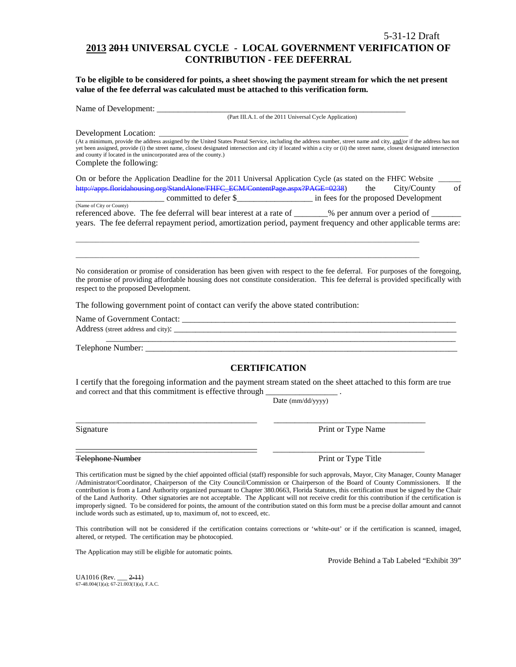# **2013 2011 UNIVERSAL CYCLE - LOCAL GOVERNMENT VERIFICATION OF CONTRIBUTION - FEE DEFERRAL**

**To be eligible to be considered for points, a sheet showing the payment stream for which the net present value of the fee deferral was calculated must be attached to this verification form.**

Name of Development: \_\_\_\_\_\_\_\_\_\_\_\_\_\_\_\_\_\_\_\_\_\_\_\_\_\_\_\_\_\_\_\_\_\_\_\_\_\_\_\_\_\_\_\_\_\_\_\_\_\_\_\_\_\_\_\_\_\_\_

(Part III.A.1. of the 2011 Universal Cycle Application)

Development Location:

(At a minimum, provide the address assigned by the United States Postal Service, including the address number, street name and city, and/or if the address has not yet been assigned, provide (i) the street name, closest designated intersection and city if located within a city or (ii) the street name, closest designated intersection and county if located in the unincorporated area of the county.) Complete the following:

| On or before the Application Deadline for the 2011 Universal Application Cycle (as stated on the FHFC Website |     |                                      |    |
|---------------------------------------------------------------------------------------------------------------|-----|--------------------------------------|----|
| http://apps.floridahousing.org/StandAlone/FHFC_ECM/ContentPage.aspx?PAGE=0238)                                | the | City/County                          | of |
| committed to defer \$                                                                                         |     | in fees for the proposed Development |    |

(Name of City or County) referenced above. The fee deferral will bear interest at a rate of \_\_\_\_\_\_\_% per annum over a period of \_\_ years. The fee deferral repayment period, amortization period, payment frequency and other applicable terms are:

\_\_\_\_\_\_\_\_\_\_\_\_\_\_\_\_\_\_\_\_\_\_\_\_\_\_\_\_\_\_\_\_\_\_\_\_\_\_\_\_\_\_\_\_\_\_\_\_\_\_\_\_\_\_\_\_\_\_\_\_\_\_\_\_\_\_\_\_\_\_\_\_\_\_\_\_\_\_\_\_\_\_\_\_\_\_\_\_\_\_\_\_\_\_\_\_\_\_\_\_\_\_ \_\_\_\_\_\_\_\_\_\_\_\_\_\_\_\_\_\_\_\_\_\_\_\_\_\_\_\_\_\_\_\_\_\_\_\_\_\_\_\_\_\_\_\_\_\_\_\_\_\_\_\_\_\_\_\_\_\_\_\_\_\_\_\_\_\_\_\_\_\_\_\_\_\_\_\_\_\_\_\_\_\_\_\_\_\_\_\_\_\_\_\_\_\_\_\_\_\_\_\_\_\_

No consideration or promise of consideration has been given with respect to the fee deferral. For purposes of the foregoing, the promise of providing affordable housing does not constitute consideration. This fee deferral is provided specifically with respect to the proposed Development.

The following government point of contact can verify the above stated contribution:

Name of Government Contact: \_\_\_\_\_\_\_\_\_\_\_\_\_\_\_\_\_\_\_\_\_\_\_\_\_\_\_\_\_\_\_\_\_\_\_\_\_\_\_\_\_\_\_\_\_\_\_\_\_\_\_\_\_\_\_\_\_\_\_\_\_\_\_\_\_ Address (street address and city): \_\_\_\_\_\_\_\_\_\_\_\_\_\_\_\_\_\_\_\_\_\_\_\_\_\_\_\_\_\_\_\_\_\_\_\_\_\_\_\_\_\_\_\_\_\_\_\_\_\_\_\_\_\_\_\_\_\_\_\_\_\_\_\_\_\_\_ \_\_\_\_\_\_\_\_\_\_\_\_\_\_\_\_\_\_\_\_\_\_\_\_\_\_\_\_\_\_\_\_\_\_\_\_\_\_\_\_\_\_\_\_\_\_\_\_\_\_\_\_\_\_\_\_\_\_\_\_\_\_\_\_\_\_\_\_\_\_\_\_\_\_\_\_\_\_\_\_\_\_\_

Telephone Number: \_\_\_\_\_\_\_\_\_\_\_\_\_\_\_\_\_\_\_\_\_\_\_\_\_\_\_\_\_\_\_\_\_\_\_\_\_\_\_\_\_\_\_\_\_\_\_\_\_\_\_\_\_\_\_\_\_\_\_\_\_\_\_\_\_\_\_\_\_\_\_\_\_\_

# **CERTIFICATION**

I certify that the foregoing information and the payment stream stated on the sheet attached to this form are true and correct and that this commitment is effective through

\_\_\_\_\_\_\_\_\_\_\_\_\_\_\_\_\_\_\_\_\_\_\_\_\_\_\_\_\_\_\_\_\_\_\_\_\_\_\_\_\_\_\_ \_\_\_\_\_\_\_\_\_\_\_\_\_\_\_\_\_\_\_\_\_\_\_\_\_\_\_\_\_\_\_\_\_\_\_\_

Date (mm/dd/yyyy)

Signature Print or Type Name

\_\_\_\_\_\_\_\_\_\_\_\_\_\_\_\_\_\_\_\_\_\_\_\_\_\_\_\_\_\_\_\_\_\_\_\_\_\_\_\_\_\_\_ \_\_\_\_\_\_\_\_\_\_\_\_\_\_\_\_\_\_\_\_\_\_\_\_\_\_\_\_\_\_\_\_\_\_\_\_ Telephone Number **Print or Type Title** 

This certification must be signed by the chief appointed official (staff) responsible for such approvals, Mayor, City Manager, County Manager /Administrator/Coordinator, Chairperson of the City Council/Commission or Chairperson of the Board of County Commissioners. If the contribution is from a Land Authority organized pursuant to Chapter 380.0663, Florida Statutes, this certification must be signed by the Chair of the Land Authority. Other signatories are not acceptable. The Applicant will not receive credit for this contribution if the certification is improperly signed. To be considered for points, the amount of the contribution stated on this form must be a precise dollar amount and cannot include words such as estimated, up to, maximum of, not to exceed, etc.

This contribution will not be considered if the certification contains corrections or 'white-out' or if the certification is scanned, imaged, altered, or retyped. The certification may be photocopied.

The Application may still be eligible for automatic points.

Provide Behind a Tab Labeled "Exhibit 39"

UA1016 (Rev. \_\_\_ 2-11) 67-48.004(1)(a); 67-21.003(1)(a), F.A.C.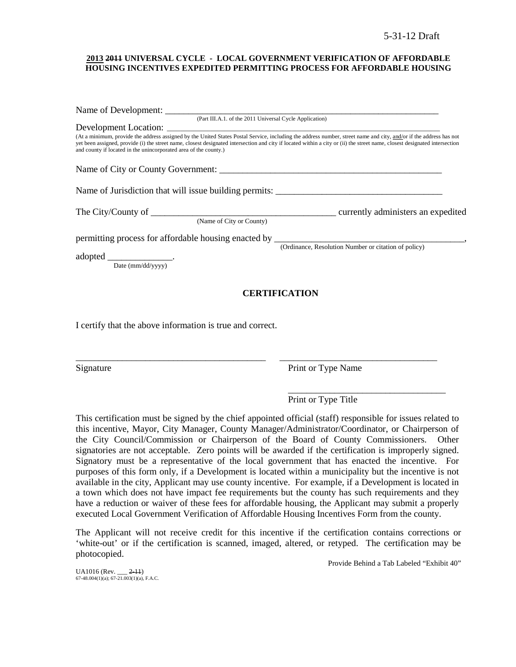### **2013 2011 UNIVERSAL CYCLE - LOCAL GOVERNMENT VERIFICATION OF AFFORDABLE HOUSING INCENTIVES EXPEDITED PERMITTING PROCESS FOR AFFORDABLE HOUSING**

| (Part III.A.1. of the 2011 Universal Cycle Application)                                                                                                                                                                                                                                                                                                                                                              |                                                      |
|----------------------------------------------------------------------------------------------------------------------------------------------------------------------------------------------------------------------------------------------------------------------------------------------------------------------------------------------------------------------------------------------------------------------|------------------------------------------------------|
|                                                                                                                                                                                                                                                                                                                                                                                                                      |                                                      |
| (At a minimum, provide the address assigned by the United States Postal Service, including the address number, street name and city, and/or if the address has not<br>yet been assigned, provide (i) the street name, closest designated intersection and city if located within a city or (ii) the street name, closest designated intersection<br>and county if located in the unincorporated area of the county.) |                                                      |
|                                                                                                                                                                                                                                                                                                                                                                                                                      |                                                      |
|                                                                                                                                                                                                                                                                                                                                                                                                                      |                                                      |
|                                                                                                                                                                                                                                                                                                                                                                                                                      |                                                      |
| (Name of City or County)                                                                                                                                                                                                                                                                                                                                                                                             |                                                      |
|                                                                                                                                                                                                                                                                                                                                                                                                                      |                                                      |
|                                                                                                                                                                                                                                                                                                                                                                                                                      | (Ordinance, Resolution Number or citation of policy) |
|                                                                                                                                                                                                                                                                                                                                                                                                                      |                                                      |
|                                                                                                                                                                                                                                                                                                                                                                                                                      | <b>CERTIFICATION</b>                                 |
|                                                                                                                                                                                                                                                                                                                                                                                                                      |                                                      |

I certify that the above information is true and correct.

Signature Print or Type Name

\_\_\_\_\_\_\_\_\_\_\_\_\_\_\_\_\_\_\_\_\_\_\_\_\_\_\_\_\_\_\_\_\_\_ Print or Type Title

This certification must be signed by the chief appointed official (staff) responsible for issues related to this incentive, Mayor, City Manager, County Manager/Administrator/Coordinator, or Chairperson of the City Council/Commission or Chairperson of the Board of County Commissioners. Other signatories are not acceptable. Zero points will be awarded if the certification is improperly signed. Signatory must be a representative of the local government that has enacted the incentive. For purposes of this form only, if a Development is located within a municipality but the incentive is not available in the city, Applicant may use county incentive. For example, if a Development is located in a town which does not have impact fee requirements but the county has such requirements and they have a reduction or waiver of these fees for affordable housing, the Applicant may submit a properly executed Local Government Verification of Affordable Housing Incentives Form from the county.

\_\_\_\_\_\_\_\_\_\_\_\_\_\_\_\_\_\_\_\_\_\_\_\_\_\_\_\_\_\_\_\_\_\_\_\_\_\_\_\_\_ \_\_\_\_\_\_\_\_\_\_\_\_\_\_\_\_\_\_\_\_\_\_\_\_\_\_\_\_\_\_\_\_\_\_

The Applicant will not receive credit for this incentive if the certification contains corrections or 'white-out' or if the certification is scanned, imaged, altered, or retyped. The certification may be photocopied.

Provide Behind a Tab Labeled "Exhibit 40"

 $UA1016$  (Rev.  $2-11$ )  $67-48.004(1)(a)$ ;  $67-21.003(1)(a)$ , F.A.C.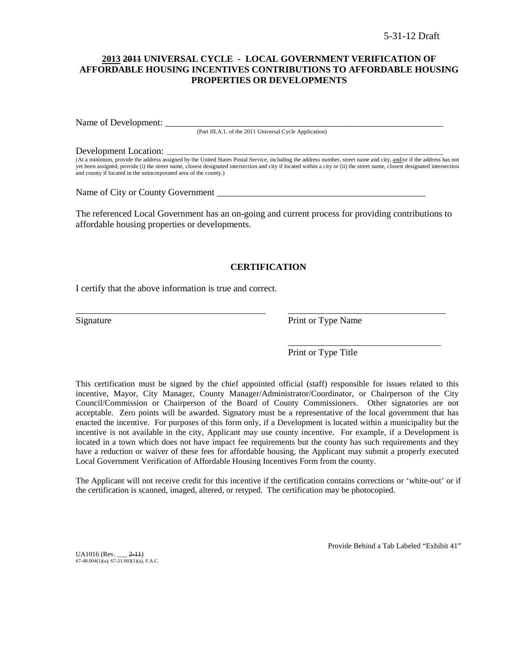### **2013 2011 UNIVERSAL CYCLE - LOCAL GOVERNMENT VERIFICATION OF AFFORDABLE HOUSING INCENTIVES CONTRIBUTIONS TO AFFORDABLE HOUSING PROPERTIES OR DEVELOPMENTS**

Name of Development:

(Part III.A.1. of the 2011 Universal Cycle Application)

#### Development Location:

(At a minimum, provide the address assigned by the United States Postal Service, including the address number, street name and city, and/or if the address has not yet been assigned, provide (i) the street name, closest designated intersection and city if located within a city or (ii) the street name, closest designated intersection and county if located in the unincorporated area of the county.)

Name of City or County Government \_\_\_\_\_\_\_\_\_\_\_\_\_\_\_\_\_\_\_\_\_\_\_\_\_\_\_\_\_\_\_\_\_\_\_\_\_\_\_\_\_\_\_\_\_

The referenced Local Government has an on-going and current process for providing contributions to affordable housing properties or developments.

### **CERTIFICATION**

\_\_\_\_\_\_\_\_\_\_\_\_\_\_\_\_\_\_\_\_\_\_\_\_\_\_\_\_\_\_\_\_\_\_\_\_\_\_\_\_\_ \_\_\_\_\_\_\_\_\_\_\_\_\_\_\_\_\_\_\_\_\_\_\_\_\_\_\_\_\_\_\_\_\_\_

I certify that the above information is true and correct.

Signature Print or Type Name

\_\_\_\_\_\_\_\_\_\_\_\_\_\_\_\_\_\_\_\_\_\_\_\_\_\_\_\_\_\_\_\_\_

Print or Type Title

This certification must be signed by the chief appointed official (staff) responsible for issues related to this incentive, Mayor, City Manager, County Manager/Administrator/Coordinator, or Chairperson of the City Council/Commission or Chairperson of the Board of County Commissioners. Other signatories are not acceptable. Zero points will be awarded. Signatory must be a representative of the local government that has enacted the incentive. For purposes of this form only, if a Development is located within a municipality but the incentive is not available in the city, Applicant may use county incentive. For example, if a Development is located in a town which does not have impact fee requirements but the county has such requirements and they have a reduction or waiver of these fees for affordable housing, the Applicant may submit a properly executed Local Government Verification of Affordable Housing Incentives Form from the county.

The Applicant will not receive credit for this incentive if the certification contains corrections or 'white-out' or if the certification is scanned, imaged, altered, or retyped. The certification may be photocopied.

 $UA1016$  (Rev.  $2-11$ )  $67-48.004(1)(a)$ ;  $67-21.003(1)(a)$ , F.A.C. Provide Behind a Tab Labeled "Exhibit 41"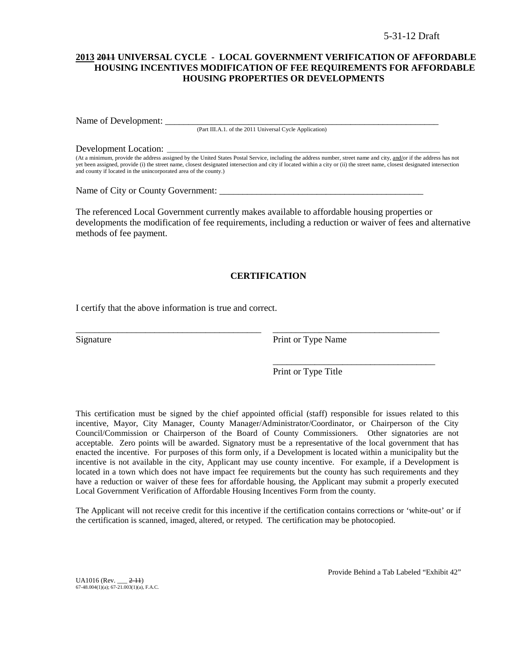### **2013 2011 UNIVERSAL CYCLE - LOCAL GOVERNMENT VERIFICATION OF AFFORDABLE HOUSING INCENTIVES MODIFICATION OF FEE REQUIREMENTS FOR AFFORDABLE HOUSING PROPERTIES OR DEVELOPMENTS**

Name of Development: \_

(Part III.A.1. of the 2011 Universal Cycle Application)

Development Location:

(At a minimum, provide the address assigned by the United States Postal Service, including the address number, street name and city, and/or if the address has not yet been assigned, provide (i) the street name, closest designated intersection and city if located within a city or (ii) the street name, closest designated intersection and county if located in the unincorporated area of the county.)

Name of City or County Government:

The referenced Local Government currently makes available to affordable housing properties or developments the modification of fee requirements, including a reduction or waiver of fees and alternative methods of fee payment.

### **CERTIFICATION**

\_\_\_\_\_\_\_\_\_\_\_\_\_\_\_\_\_\_\_\_\_\_\_\_\_\_\_\_\_\_\_\_\_\_\_\_\_\_\_\_ \_\_\_\_\_\_\_\_\_\_\_\_\_\_\_\_\_\_\_\_\_\_\_\_\_\_\_\_\_\_\_\_\_\_\_\_

I certify that the above information is true and correct.

Signature Print or Type Name

Print or Type Title

\_\_\_\_\_\_\_\_\_\_\_\_\_\_\_\_\_\_\_\_\_\_\_\_\_\_\_\_\_\_\_\_\_\_\_

This certification must be signed by the chief appointed official (staff) responsible for issues related to this incentive, Mayor, City Manager, County Manager/Administrator/Coordinator, or Chairperson of the City Council/Commission or Chairperson of the Board of County Commissioners. Other signatories are not acceptable. Zero points will be awarded. Signatory must be a representative of the local government that has enacted the incentive. For purposes of this form only, if a Development is located within a municipality but the incentive is not available in the city, Applicant may use county incentive. For example, if a Development is located in a town which does not have impact fee requirements but the county has such requirements and they have a reduction or waiver of these fees for affordable housing, the Applicant may submit a properly executed Local Government Verification of Affordable Housing Incentives Form from the county.

The Applicant will not receive credit for this incentive if the certification contains corrections or 'white-out' or if the certification is scanned, imaged, altered, or retyped. The certification may be photocopied.

 $UA1016$  (Rev.  $2-11$ )  $67-48.004(1)(a)$ ;  $67-21.003(1)(a)$ , F.A.C. Provide Behind a Tab Labeled "Exhibit 42"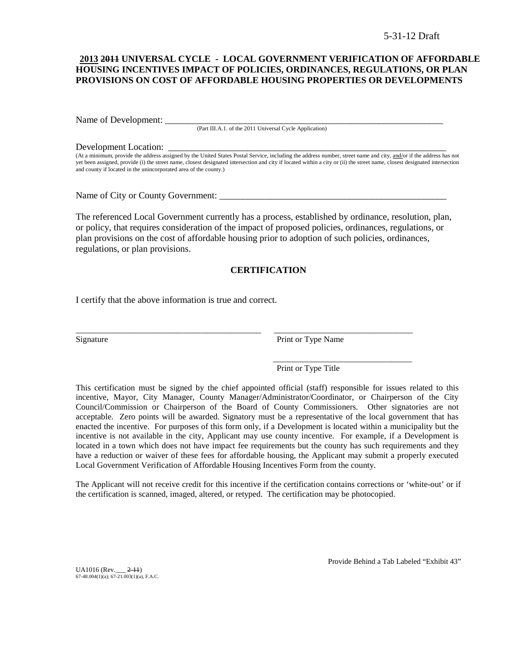### **2013 2011 UNIVERSAL CYCLE - LOCAL GOVERNMENT VERIFICATION OF AFFORDABLE HOUSING INCENTIVES IMPACT OF POLICIES, ORDINANCES, REGULATIONS, OR PLAN PROVISIONS ON COST OF AFFORDABLE HOUSING PROPERTIES OR DEVELOPMENTS**

Name of Development:

(Part III.A.1. of the 2011 Universal Cycle Application)

Development Location:

(At a minimum, provide the address assigned by the United States Postal Service, including the address number, street name and city, and/or if the address has not yet been assigned, provide (i) the street name, closest designated intersection and city if located within a city or (ii) the street name, closest designated intersection and county if located in the unincorporated area of the county.)

Name of City or County Government:

The referenced Local Government currently has a process, established by ordinance, resolution, plan, or policy, that requires consideration of the impact of proposed policies, ordinances, regulations, or plan provisions on the cost of affordable housing prior to adoption of such policies, ordinances, regulations, or plan provisions.

### **CERTIFICATION**

\_\_\_\_\_\_\_\_\_\_\_\_\_\_\_\_\_\_\_\_\_\_\_\_\_\_\_\_\_\_\_\_\_\_\_\_\_\_\_\_\_\_\_\_ \_\_\_\_\_\_\_\_\_\_\_\_\_\_\_\_\_\_\_\_\_\_\_\_\_\_\_\_\_\_\_\_\_

I certify that the above information is true and correct.

Signature Print or Type Name

Print or Type Title

\_\_\_\_\_\_\_\_\_\_\_\_\_\_\_\_\_\_\_\_\_\_\_\_\_\_\_\_\_\_\_\_\_

This certification must be signed by the chief appointed official (staff) responsible for issues related to this incentive, Mayor, City Manager, County Manager/Administrator/Coordinator, or Chairperson of the City Council/Commission or Chairperson of the Board of County Commissioners. Other signatories are not acceptable. Zero points will be awarded. Signatory must be a representative of the local government that has enacted the incentive. For purposes of this form only, if a Development is located within a municipality but the incentive is not available in the city, Applicant may use county incentive. For example, if a Development is located in a town which does not have impact fee requirements but the county has such requirements and they have a reduction or waiver of these fees for affordable housing, the Applicant may submit a properly executed Local Government Verification of Affordable Housing Incentives Form from the county.

The Applicant will not receive credit for this incentive if the certification contains corrections or 'white-out' or if the certification is scanned, imaged, altered, or retyped. The certification may be photocopied.

 $UA1016$  (Rev.  $2-11$ ) 67-48.004(1)(a); 67-21.003(1)(a), F.A.C. Provide Behind a Tab Labeled "Exhibit 43"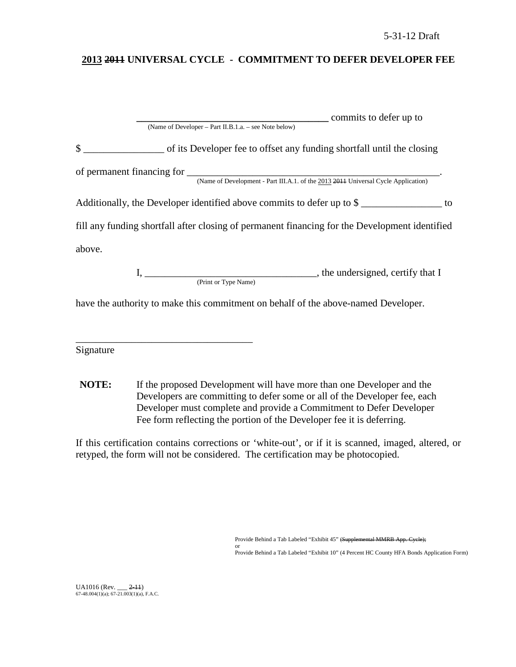# **2013 2011 UNIVERSAL CYCLE - COMMITMENT TO DEFER DEVELOPER FEE**

| commits to defer up to                                                                         |
|------------------------------------------------------------------------------------------------|
| (Name of Developer - Part II.B.1.a. - see Note below)                                          |
| of its Developer fee to offset any funding shortfall until the closing                         |
|                                                                                                |
|                                                                                                |
| Additionally, the Developer identified above commits to defer up to \$                         |
| fill any funding shortfall after closing of permanent financing for the Development identified |
| above.                                                                                         |
|                                                                                                |
| (Print or Type Name)                                                                           |
| have the authority to make this commitment on behalf of the above-named Developer.             |

Signature

\_\_\_\_\_\_\_\_\_\_\_\_\_\_\_\_\_\_\_\_\_\_\_\_\_\_\_\_\_\_\_\_\_\_\_

**NOTE:** If the proposed Development will have more than one Developer and the Developers are committing to defer some or all of the Developer fee, each Developer must complete and provide a Commitment to Defer Developer Fee form reflecting the portion of the Developer fee it is deferring.

If this certification contains corrections or 'white-out', or if it is scanned, imaged, altered, or retyped, the form will not be considered. The certification may be photocopied.

Provide Behind a Tab Labeled "Exhibit 45" (Supplemental MMRB App. Cycle);

or Provide Behind a Tab Labeled "Exhibit 10" (4 Percent HC County HFA Bonds Application Form)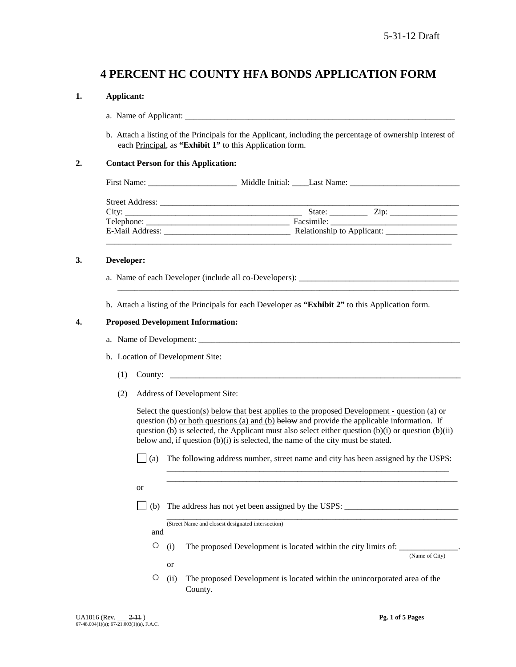# **4 PERCENT HC COUNTY HFA BONDS APPLICATION FORM**

### **1. Applicant:**

- a. Name of Applicant:
- b. Attach a listing of the Principals for the Applicant, including the percentage of ownership interest of each Principal, as **"Exhibit 1"** to this Application form.

### **2. Contact Person for this Application:**

| First<br>Name <sup>.</sup> | Middle<br>-Initial | Name<br>ast |  |
|----------------------------|--------------------|-------------|--|
|                            |                    |             |  |

| <b>Street Address:</b> |                            |
|------------------------|----------------------------|
| City:                  | State:<br>$\mathcal{L}ip:$ |
| Telephone:             | Facsimile:                 |
| E-Mail Address:        | Relationship to Applicant: |
|                        |                            |

\_\_\_\_\_\_\_\_\_\_\_\_\_\_\_\_\_\_\_\_\_\_\_\_\_\_\_\_\_\_\_\_\_\_\_\_\_\_\_\_\_\_\_\_\_\_\_\_\_\_\_\_\_\_\_\_\_\_\_\_\_\_\_\_\_\_\_\_\_\_\_\_\_\_\_\_\_\_\_\_\_

### **3. Developer:**

- a. Name of each Developer (include all co-Developers): \_\_\_\_\_\_\_\_\_\_\_\_\_\_\_\_\_\_\_\_\_\_\_\_\_\_
- b. Attach a listing of the Principals for each Developer as **"Exhibit 2"** to this Application form.

### **4. Proposed Development Information:**

- a. Name of Development:
- b. Location of Development Site:
	- (1) County: \_\_\_\_\_\_\_\_\_\_\_\_\_\_\_\_\_\_\_\_\_\_\_\_\_\_\_\_\_\_\_\_\_\_\_\_\_\_\_\_\_\_\_\_\_\_\_\_\_\_\_\_\_\_\_\_\_\_\_\_\_\_\_\_\_\_\_\_\_
	- (2) Address of Development Site:

Select the question(s) below that best applies to the proposed Development - question (a) or question (b) or both questions (a) and (b) below and provide the applicable information. If question (b) is selected, the Applicant must also select either question (b)(i) or question (b)(ii) below and, if question (b)(i) is selected, the name of the city must be stated.

 $\Box$  (a) The following address number, street name and city has been assigned by the USPS:

\_\_\_\_\_\_\_\_\_\_\_\_\_\_\_\_\_\_\_\_\_\_\_\_\_\_\_\_\_\_\_\_\_\_\_\_\_\_\_\_\_\_\_\_\_\_\_\_\_\_\_\_\_\_\_\_\_\_\_\_\_\_\_\_\_\_\_ \_\_\_\_\_\_\_\_\_\_\_\_\_\_\_\_\_\_\_\_\_\_\_\_\_\_\_\_\_\_\_\_\_\_\_\_\_\_\_\_\_\_\_\_\_\_\_\_\_\_\_\_\_\_\_\_\_\_\_\_\_\_\_\_\_\_\_\_\_

\_\_\_\_\_\_\_\_\_\_\_\_\_\_\_\_\_\_\_\_\_\_\_\_\_\_\_\_\_\_\_\_\_\_\_\_\_\_\_\_\_\_\_\_\_\_\_\_\_\_\_\_\_\_\_\_\_\_\_\_\_\_\_\_\_\_\_\_\_

or

(b) The address has not yet been assigned by the USPS:

(Street Name and closest designated intersection)

and

or

 $\circ$  (i) The proposed Development is located within the city limits of:

(Name of City)

○ (ii) The proposed Development is located within the unincorporated area of the County.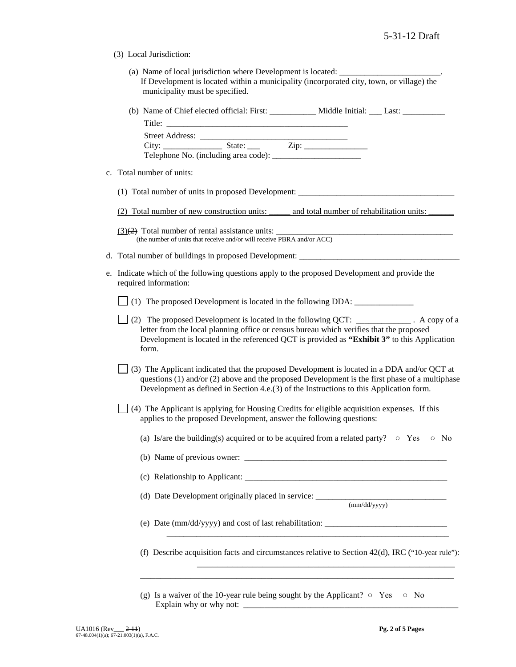(3) Local Jurisdiction:

| (a) Name of local jurisdiction where Development is located:                              |  |
|-------------------------------------------------------------------------------------------|--|
| If Development is located within a municipality (incorporated city, town, or village) the |  |
| municipality must be specified.                                                           |  |

| (b) Name of Chief elected official: First: | Middle Initial: | Last: |
|--------------------------------------------|-----------------|-------|
| Title.                                     |                 |       |

| Street Address:                            |        |      |  |
|--------------------------------------------|--------|------|--|
| City:                                      | State: | Zip: |  |
| Telephone No. (including area code): _____ |        |      |  |

c. Total number of units:

(1) Total number of units in proposed Development: \_\_\_\_\_\_\_\_\_\_\_\_\_\_\_\_\_\_\_\_\_\_\_\_\_\_\_\_\_

 $(3)(2)$  Total number of rental assistance units: (the number of units that receive and/or will receive PBRA and/or ACC)

- d. Total number of buildings in proposed Development:
- e. Indicate which of the following questions apply to the proposed Development and provide the required information:

(1) The proposed Development is located in the following DDA: \_\_\_\_\_\_\_\_\_\_\_\_\_\_

- (2) The proposed Development is located in the following QCT: \_\_\_\_\_\_\_\_\_\_\_\_\_ . A copy of a letter from the local planning office or census bureau which verifies that the proposed Development is located in the referenced QCT is provided as **"Exhibit 3"** to this Application form.
- $\vert$  (3) The Applicant indicated that the proposed Development is located in a DDA and/or QCT at questions (1) and/or (2) above and the proposed Development is the first phase of a multiphase Development as defined in Section 4.e.(3) of the Instructions to this Application form.
- (4) The Applicant is applying for Housing Credits for eligible acquisition expenses*.* If this applies to the proposed Development, answer the following questions:
	- (a) Is/are the building(s) acquired or to be acquired from a related party?  $\circ$  Yes  $\circ$  No
	- (b) Name of previous owner: \_\_\_\_\_\_\_\_\_\_\_\_\_\_\_\_\_\_\_\_\_\_\_\_\_\_\_\_\_\_\_\_\_\_\_\_\_\_\_\_\_\_\_\_\_\_\_\_

(c) Relationship to Applicant: \_\_\_\_\_\_\_\_\_\_\_\_\_\_\_\_\_\_\_\_\_\_\_\_\_\_\_\_\_\_\_\_\_\_\_\_\_\_\_\_\_\_\_\_\_\_\_\_

(d) Date Development originally placed in service: \_\_\_\_\_\_\_\_\_\_\_\_\_\_\_\_\_\_\_\_\_\_\_\_\_\_\_\_\_

(mm/dd/yyyy)

(e) Date (mm/dd/yyyy) and cost of last rehabilitation: \_\_\_\_\_\_\_\_\_\_\_\_\_\_\_\_\_\_\_\_\_\_\_\_\_\_\_\_\_

(f) Describe acquisition facts and circumstances relative to Section  $42(d)$ , IRC ("10-year rule"):

\_\_\_\_\_\_\_\_\_\_\_\_\_\_\_\_\_\_\_\_\_\_\_\_\_\_\_\_\_\_\_\_\_\_\_\_\_\_\_\_\_\_\_\_\_\_\_\_\_\_\_\_\_\_\_\_\_\_\_\_\_\_

\_\_\_\_\_\_\_\_\_\_\_\_\_\_\_\_\_\_\_\_\_\_\_\_\_\_\_\_\_\_\_\_\_\_\_\_\_\_\_\_\_\_\_\_\_\_\_\_\_\_\_\_\_\_\_\_\_\_\_\_\_\_\_\_\_\_\_

\_\_\_\_\_\_\_\_\_\_\_\_\_\_\_\_\_\_\_\_\_\_\_\_\_\_\_\_\_\_\_\_\_\_\_\_\_\_\_\_\_\_\_\_\_\_\_\_\_\_\_

(g) Is a waiver of the 10-year rule being sought by the Applicant?  $\circ$  Yes  $\circ$  No Explain why or why not: \_\_\_\_\_\_\_\_\_\_\_\_\_\_\_\_\_\_\_\_\_\_\_\_\_\_\_\_\_\_\_\_\_\_\_\_\_\_\_\_\_\_\_\_\_\_\_\_\_\_\_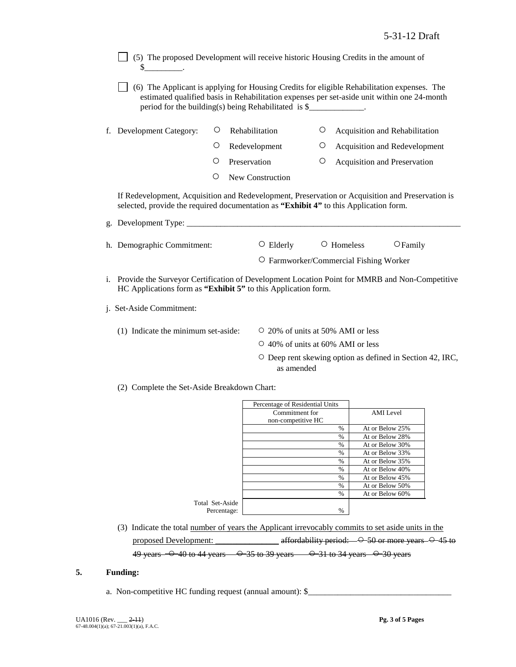- $\Box$  (5) The proposed Development will receive historic Housing Credits in the amount of  $\mathbb{S}_-$
- (6) The Applicant is applying for Housing Credits for eligible Rehabilitation expenses. The estimated qualified basis in Rehabilitation expenses per set-aside unit within one 24-month period for the building(s) being Rehabilitated is  $\$
- f. Development Category:  $\circ$  Rehabilitation  $\circ$  Acquisition and Rehabilitation
	- Redevelopment Acquisition and Redevelopment
	- O Preservation <sup>O</sup> Acquisition and Preservation
	- New Construction

If Redevelopment, Acquisition and Redevelopment, Preservation or Acquisition and Preservation is selected, provide the required documentation as **"Exhibit 4"** to this Application form.

| g. Development Type:       |                 |                                        |                   |  |  |
|----------------------------|-----------------|----------------------------------------|-------------------|--|--|
|                            |                 |                                        |                   |  |  |
| h. Demographic Commitment: | $\circ$ Elderly | $\circ$ Homeless                       | $\bigcirc$ Family |  |  |
|                            |                 | O Farmworker/Commercial Fishing Worker |                   |  |  |

- i. Provide the Surveyor Certification of Development Location Point for MMRB and Non-Competitive HC Applications form as **"Exhibit 5"** to this Application form.
- j. Set-Aside Commitment:
	- (1) Indicate the minimum set-aside:  $\qquad \qquad \circ$  20% of units at 50% AMI or less
		-
		- 40% of units at 60% AMI or less
		- Deep rent skewing option as defined in Section 42, IRC, as amended
	- (2) Complete the Set-Aside Breakdown Chart:

|                 | Percentage of Residential Units |               |                 |
|-----------------|---------------------------------|---------------|-----------------|
|                 | Commitment for                  |               | AMI Level       |
|                 | non-competitive HC              |               |                 |
|                 |                                 | $\%$          | At or Below 25% |
|                 |                                 | $\%$          | At or Below 28% |
|                 |                                 | $\%$          | At or Below 30% |
|                 |                                 | $\%$          | At or Below 33% |
|                 |                                 | $\frac{0}{0}$ | At or Below 35% |
|                 |                                 | $\frac{0}{0}$ | At or Below 40% |
|                 |                                 | $\%$          | At or Below 45% |
|                 |                                 | $\frac{0}{0}$ | At or Below 50% |
|                 |                                 | $\%$          | At or Below 60% |
| Total Set-Aside |                                 |               |                 |
| Percentage:     |                                 | $\frac{0}{0}$ |                 |

(3) Indicate the total number of years the Applicant irrevocably commits to set aside units in the proposed Development:  $\alpha$  affordability period:  $\rightarrow$  50 or more years  $\rightarrow$  45 to 49 years  $-$  0 40 to 44 years  $-$  0 35 to 39 years  $-$  0 31 to 34 years  $-$  0 30 years

### **5. Funding:**

a. Non-competitive HC funding request (annual amount): \$\_\_\_\_\_\_\_\_\_\_\_\_\_\_\_\_\_\_\_\_\_\_\_\_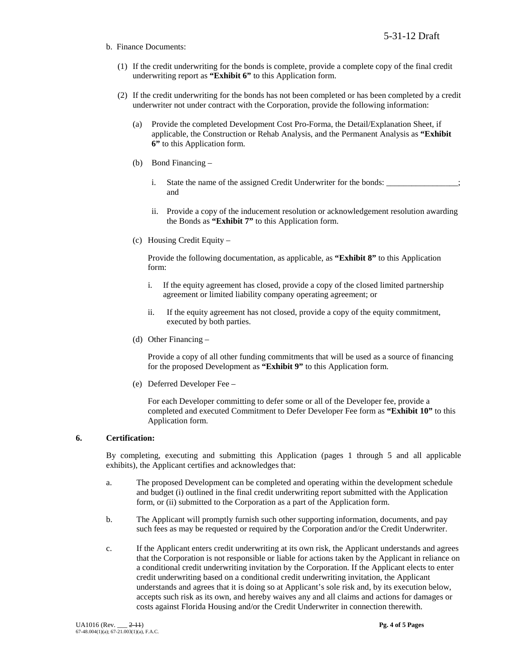- b. Finance Documents:
	- (1) If the credit underwriting for the bonds is complete, provide a complete copy of the final credit underwriting report as **"Exhibit 6"** to this Application form.
	- (2) If the credit underwriting for the bonds has not been completed or has been completed by a credit underwriter not under contract with the Corporation, provide the following information:
		- (a) Provide the completed Development Cost Pro-Forma, the Detail/Explanation Sheet, if applicable, the Construction or Rehab Analysis, and the Permanent Analysis as **"Exhibit 6"** to this Application form.
		- (b) Bond Financing
			- i. State the name of the assigned Credit Underwriter for the bonds: and
			- ii. Provide a copy of the inducement resolution or acknowledgement resolution awarding the Bonds as **"Exhibit 7"** to this Application form.
		- (c) Housing Credit Equity –

Provide the following documentation, as applicable, as **"Exhibit 8"** to this Application form:

- i. If the equity agreement has closed, provide a copy of the closed limited partnership agreement or limited liability company operating agreement; or
- ii. If the equity agreement has not closed, provide a copy of the equity commitment, executed by both parties.
- (d) Other Financing –

Provide a copy of all other funding commitments that will be used as a source of financing for the proposed Development as **"Exhibit 9"** to this Application form.

(e) Deferred Developer Fee –

For each Developer committing to defer some or all of the Developer fee, provide a completed and executed Commitment to Defer Developer Fee form as **"Exhibit 10"** to this Application form.

### **6. Certification:**

By completing, executing and submitting this Application (pages 1 through 5 and all applicable exhibits), the Applicant certifies and acknowledges that:

- a. The proposed Development can be completed and operating within the development schedule and budget (i) outlined in the final credit underwriting report submitted with the Application form, or (ii) submitted to the Corporation as a part of the Application form.
- b. The Applicant will promptly furnish such other supporting information, documents, and pay such fees as may be requested or required by the Corporation and/or the Credit Underwriter.
- c. If the Applicant enters credit underwriting at its own risk, the Applicant understands and agrees that the Corporation is not responsible or liable for actions taken by the Applicant in reliance on a conditional credit underwriting invitation by the Corporation. If the Applicant elects to enter credit underwriting based on a conditional credit underwriting invitation, the Applicant understands and agrees that it is doing so at Applicant's sole risk and, by its execution below, accepts such risk as its own, and hereby waives any and all claims and actions for damages or costs against Florida Housing and/or the Credit Underwriter in connection therewith.